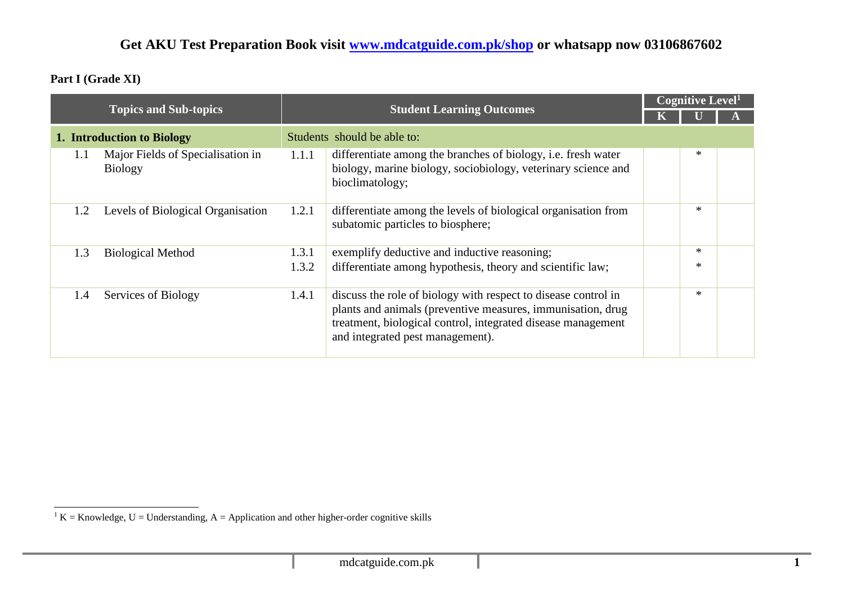**Part I (Grade XI)**

|                            |                                                     |       | <b>Student Learning Outcomes</b>                                                                                                                                                                                                  |  | Cognitive Level <sup>1</sup> |  |  |
|----------------------------|-----------------------------------------------------|-------|-----------------------------------------------------------------------------------------------------------------------------------------------------------------------------------------------------------------------------------|--|------------------------------|--|--|
|                            | <b>Topics and Sub-topics</b>                        |       |                                                                                                                                                                                                                                   |  |                              |  |  |
| 1. Introduction to Biology |                                                     |       | Students should be able to:                                                                                                                                                                                                       |  |                              |  |  |
| 1.1                        | Major Fields of Specialisation in<br><b>Biology</b> | 1.1.1 | differentiate among the branches of biology, i.e. fresh water<br>biology, marine biology, sociobiology, veterinary science and<br>bioclimatology;                                                                                 |  | $\ast$                       |  |  |
| 1.2                        | Levels of Biological Organisation                   | 1.2.1 | differentiate among the levels of biological organisation from<br>subatomic particles to biosphere;                                                                                                                               |  | $\ast$                       |  |  |
| 1.3                        | <b>Biological Method</b>                            | 1.3.1 | exemplify deductive and inductive reasoning;                                                                                                                                                                                      |  | $\ast$                       |  |  |
|                            |                                                     | 1.3.2 | differentiate among hypothesis, theory and scientific law;                                                                                                                                                                        |  | $\ast$                       |  |  |
| 1.4                        | Services of Biology                                 | 1.4.1 | discuss the role of biology with respect to disease control in<br>plants and animals (preventive measures, immunisation, drug<br>treatment, biological control, integrated disease management<br>and integrated pest management). |  | $\ast$                       |  |  |

 $1 K =$ Knowledge, U = Understanding, A = Application and other higher-order cognitive skills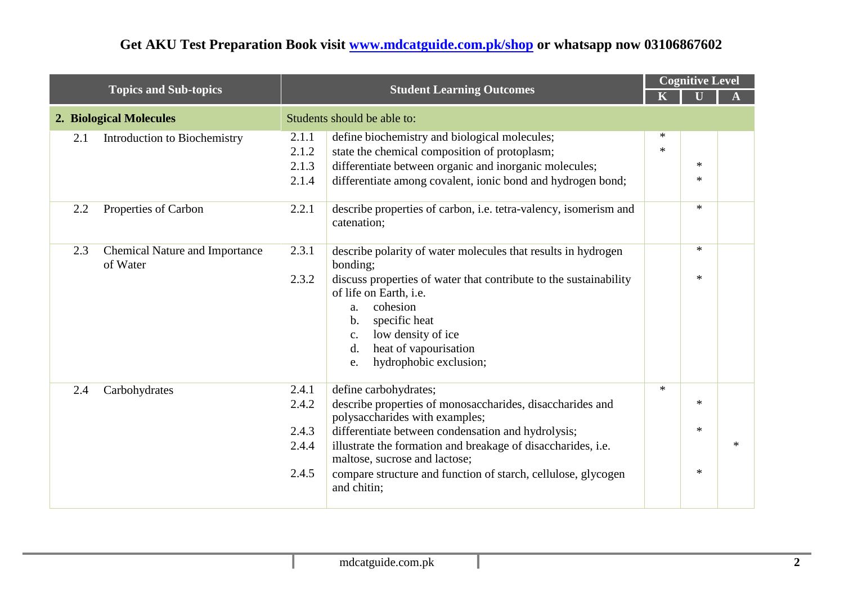| <b>Topics and Sub-topics</b> |                                                   |                                           | <b>Student Learning Outcomes</b>                                                                                                                                                                                                                                                                                                                            |                  | <b>Cognitive Level</b>     |        |  |
|------------------------------|---------------------------------------------------|-------------------------------------------|-------------------------------------------------------------------------------------------------------------------------------------------------------------------------------------------------------------------------------------------------------------------------------------------------------------------------------------------------------------|------------------|----------------------------|--------|--|
|                              |                                                   |                                           |                                                                                                                                                                                                                                                                                                                                                             |                  |                            |        |  |
|                              | 2. Biological Molecules                           |                                           | Students should be able to:                                                                                                                                                                                                                                                                                                                                 |                  |                            |        |  |
| 2.1                          | Introduction to Biochemistry                      | 2.1.1<br>2.1.2<br>2.1.3<br>2.1.4          | define biochemistry and biological molecules;<br>state the chemical composition of protoplasm;<br>differentiate between organic and inorganic molecules;<br>differentiate among covalent, ionic bond and hydrogen bond;                                                                                                                                     | $\ast$<br>$\ast$ | $\ast$<br>$\ast$           |        |  |
| 2.2                          | Properties of Carbon                              | 2.2.1                                     | describe properties of carbon, <i>i.e.</i> tetra-valency, isomerism and<br>catenation;                                                                                                                                                                                                                                                                      |                  | $\ast$                     |        |  |
| 2.3                          | <b>Chemical Nature and Importance</b><br>of Water | 2.3.1<br>2.3.2                            | describe polarity of water molecules that results in hydrogen<br>bonding;<br>discuss properties of water that contribute to the sustainability<br>of life on Earth, i.e.<br>cohesion<br>a.<br>specific heat<br>b.<br>low density of ice<br>c.<br>heat of vapourisation<br>d.<br>hydrophobic exclusion;<br>e.                                                |                  | $\ast$<br>$\ast$           |        |  |
| 2.4                          | Carbohydrates                                     | 2.4.1<br>2.4.2<br>2.4.3<br>2.4.4<br>2.4.5 | define carbohydrates;<br>describe properties of monosaccharides, disaccharides and<br>polysaccharides with examples;<br>differentiate between condensation and hydrolysis;<br>illustrate the formation and breakage of disaccharides, i.e.<br>maltose, sucrose and lactose;<br>compare structure and function of starch, cellulose, glycogen<br>and chitin; | $\ast$           | $\ast$<br>$\ast$<br>$\ast$ | $\ast$ |  |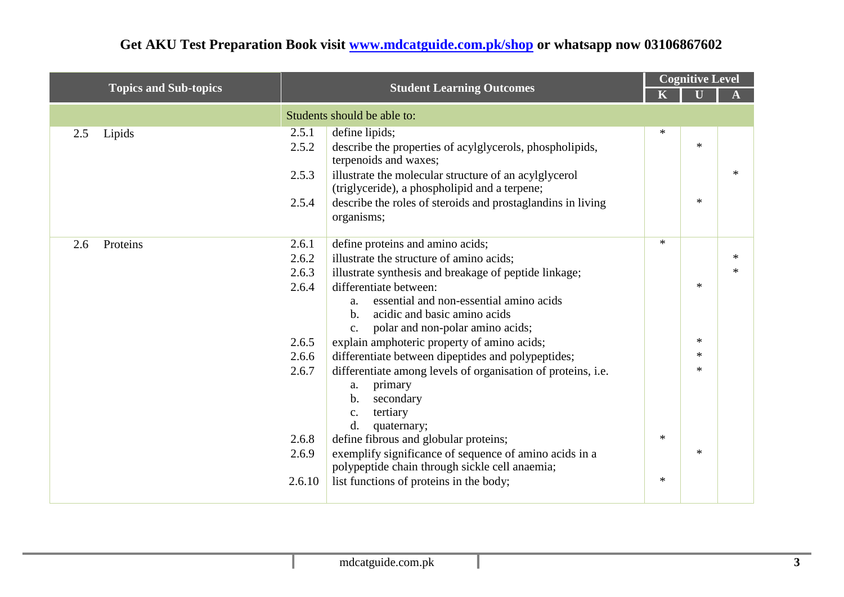| <b>Topics and Sub-topics</b> |        | <b>Student Learning Outcomes</b>                                                                         |        | <b>Cognitive Level</b> |        |
|------------------------------|--------|----------------------------------------------------------------------------------------------------------|--------|------------------------|--------|
|                              |        |                                                                                                          |        |                        |        |
|                              |        | Students should be able to:                                                                              |        |                        |        |
| Lipids<br>2.5                | 2.5.1  | define lipids;                                                                                           | $\ast$ |                        |        |
|                              | 2.5.2  | describe the properties of acylglycerols, phospholipids,<br>terpenoids and waxes;                        |        | $\ast$                 |        |
|                              | 2.5.3  | illustrate the molecular structure of an acylglycerol<br>(triglyceride), a phospholipid and a terpene;   |        |                        | $\ast$ |
|                              | 2.5.4  | describe the roles of steroids and prostaglandins in living<br>organisms;                                |        | $*$                    |        |
| 2.6<br>Proteins              | 2.6.1  | define proteins and amino acids;                                                                         | $*$    |                        |        |
|                              | 2.6.2  | illustrate the structure of amino acids;                                                                 |        |                        | $\ast$ |
|                              | 2.6.3  | illustrate synthesis and breakage of peptide linkage;                                                    |        |                        | $\ast$ |
|                              | 2.6.4  | differentiate between:                                                                                   |        | $\ast$                 |        |
|                              |        | essential and non-essential amino acids<br>a.                                                            |        |                        |        |
|                              |        | acidic and basic amino acids<br>$\mathbf{b}$ .                                                           |        |                        |        |
|                              |        | polar and non-polar amino acids;<br>c.                                                                   |        |                        |        |
|                              | 2.6.5  | explain amphoteric property of amino acids;                                                              |        | $\ast$<br>$\ast$       |        |
|                              | 2.6.6  | differentiate between dipeptides and polypeptides;                                                       |        | $\ast$                 |        |
|                              | 2.6.7  | differentiate among levels of organisation of proteins, i.e.                                             |        |                        |        |
|                              |        | primary<br>a.<br>secondary<br>b.                                                                         |        |                        |        |
|                              |        | tertiary<br>$\mathcal{C}$ .                                                                              |        |                        |        |
|                              |        | d.<br>quaternary;                                                                                        |        |                        |        |
|                              | 2.6.8  | define fibrous and globular proteins;                                                                    | $\ast$ |                        |        |
|                              | 2.6.9  | exemplify significance of sequence of amino acids in a<br>polypeptide chain through sickle cell anaemia; |        | $*$                    |        |
|                              | 2.6.10 | list functions of proteins in the body;                                                                  | $\ast$ |                        |        |
|                              |        |                                                                                                          |        |                        |        |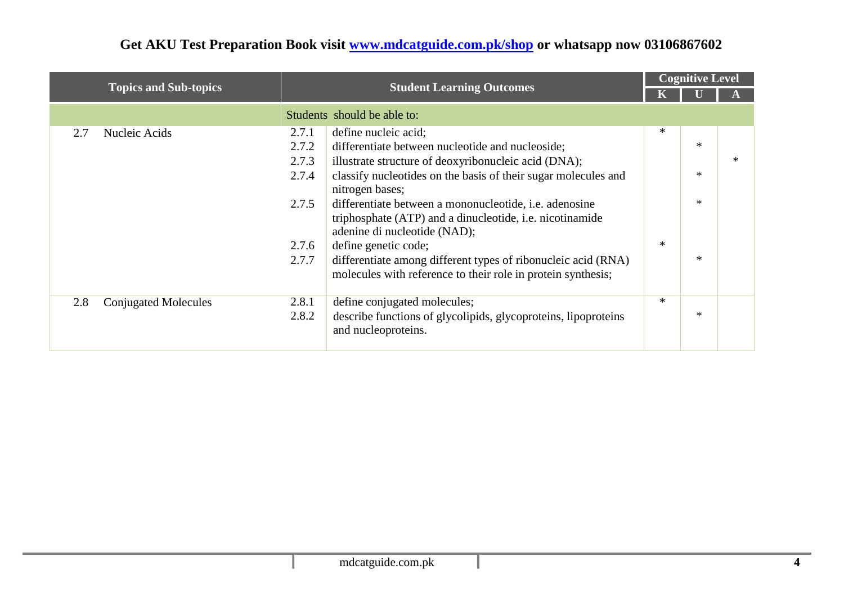| <b>Topics and Sub-topics</b>       |       |                                                                                                                               | <b>Cognitive Level</b> |        |        |
|------------------------------------|-------|-------------------------------------------------------------------------------------------------------------------------------|------------------------|--------|--------|
|                                    |       | <b>Student Learning Outcomes</b>                                                                                              |                        |        |        |
|                                    |       | Students should be able to:                                                                                                   |                        |        |        |
| Nucleic Acids<br>2.7               | 2.7.1 | define nucleic acid;                                                                                                          | $\ast$                 |        |        |
|                                    | 2.7.2 | differentiate between nucleotide and nucleoside;                                                                              |                        | $\ast$ |        |
|                                    | 2.7.3 | illustrate structure of deoxyribonucleic acid (DNA);                                                                          |                        |        | $\ast$ |
|                                    | 2.7.4 | classify nucleotides on the basis of their sugar molecules and<br>nitrogen bases;                                             |                        | $\ast$ |        |
|                                    | 2.7.5 | differentiate between a mononucleotide, <i>i.e.</i> adenosine                                                                 |                        | $\ast$ |        |
|                                    |       | triphosphate (ATP) and a dinucleotide, i.e. nicotinamide<br>adenine di nucleotide (NAD);                                      |                        |        |        |
|                                    | 2.7.6 | define genetic code;                                                                                                          | $\ast$                 |        |        |
|                                    | 2.7.7 | differentiate among different types of ribonucleic acid (RNA)<br>molecules with reference to their role in protein synthesis; |                        | $\ast$ |        |
| 2.8<br><b>Conjugated Molecules</b> | 2.8.1 | define conjugated molecules;                                                                                                  | $\ast$                 |        |        |
|                                    | 2.8.2 | describe functions of glycolipids, glycoproteins, lipoproteins<br>and nucleoproteins.                                         |                        | $\ast$ |        |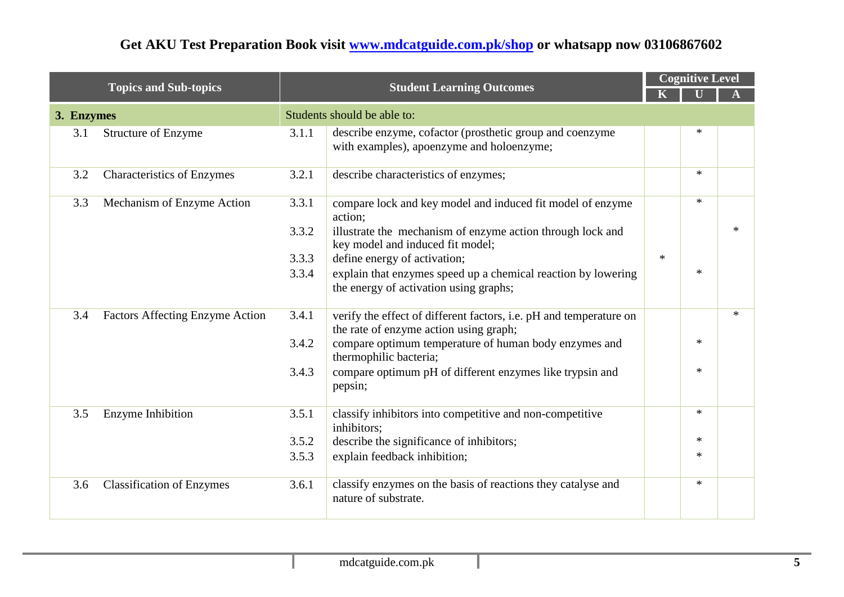|            | <b>Topics and Sub-topics</b>           |       | <b>Student Learning Outcomes</b>                                                                             |        | <b>Cognitive Level</b> |        |
|------------|----------------------------------------|-------|--------------------------------------------------------------------------------------------------------------|--------|------------------------|--------|
|            |                                        |       |                                                                                                              |        |                        |        |
| 3. Enzymes |                                        |       | Students should be able to:                                                                                  |        |                        |        |
| 3.1        | <b>Structure of Enzyme</b>             | 3.1.1 | describe enzyme, cofactor (prosthetic group and coenzyme<br>with examples), apoenzyme and holoenzyme;        |        |                        |        |
| 3.2        | <b>Characteristics of Enzymes</b>      | 3.2.1 | describe characteristics of enzymes;                                                                         |        | $\ast$                 |        |
| 3.3        | Mechanism of Enzyme Action             | 3.3.1 | compare lock and key model and induced fit model of enzyme<br>action;                                        |        | $*$                    |        |
|            |                                        | 3.3.2 | illustrate the mechanism of enzyme action through lock and<br>key model and induced fit model;               |        |                        |        |
|            |                                        | 3.3.3 | define energy of activation;                                                                                 | $\ast$ |                        |        |
|            |                                        | 3.3.4 | explain that enzymes speed up a chemical reaction by lowering<br>the energy of activation using graphs;      |        | $\ast$                 |        |
| 3.4        | <b>Factors Affecting Enzyme Action</b> | 3.4.1 | verify the effect of different factors, i.e. pH and temperature on<br>the rate of enzyme action using graph; |        |                        | $\ast$ |
|            |                                        | 3.4.2 | compare optimum temperature of human body enzymes and<br>thermophilic bacteria;                              |        | $*$                    |        |
|            |                                        | 3.4.3 | compare optimum pH of different enzymes like trypsin and<br>pepsin;                                          |        | ∗                      |        |
| 3.5        | Enzyme Inhibition                      | 3.5.1 | classify inhibitors into competitive and non-competitive<br>inhibitors;                                      |        | $\ast$                 |        |
|            |                                        | 3.5.2 | describe the significance of inhibitors;                                                                     |        | $*$                    |        |
|            |                                        | 3.5.3 | explain feedback inhibition;                                                                                 |        | ∗                      |        |
| 3.6        | <b>Classification of Enzymes</b>       | 3.6.1 | classify enzymes on the basis of reactions they catalyse and<br>nature of substrate.                         |        | $\ast$                 |        |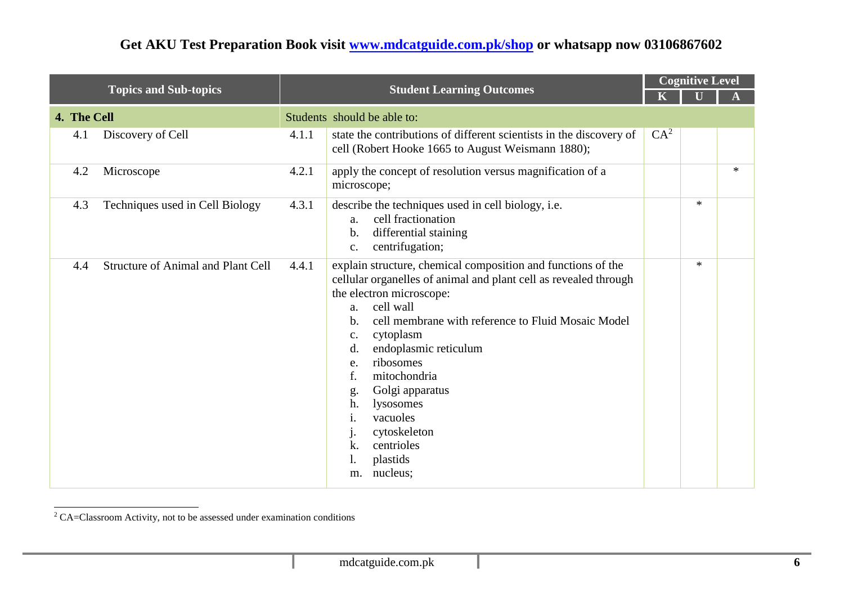|                                                  |       |                                                                                                                                                                                                                                                                                                                                                                                                                                                                                   |                 | <b>Cognitive Level</b> |        |
|--------------------------------------------------|-------|-----------------------------------------------------------------------------------------------------------------------------------------------------------------------------------------------------------------------------------------------------------------------------------------------------------------------------------------------------------------------------------------------------------------------------------------------------------------------------------|-----------------|------------------------|--------|
| <b>Topics and Sub-topics</b>                     |       | <b>Student Learning Outcomes</b>                                                                                                                                                                                                                                                                                                                                                                                                                                                  | K               |                        |        |
| 4. The Cell                                      |       | Students should be able to:                                                                                                                                                                                                                                                                                                                                                                                                                                                       |                 |                        |        |
| Discovery of Cell<br>4.1                         | 4.1.1 | state the contributions of different scientists in the discovery of<br>cell (Robert Hooke 1665 to August Weismann 1880);                                                                                                                                                                                                                                                                                                                                                          | CA <sup>2</sup> |                        |        |
| Microscope<br>4.2                                | 4.2.1 | apply the concept of resolution versus magnification of a<br>microscope;                                                                                                                                                                                                                                                                                                                                                                                                          |                 |                        | $\ast$ |
| Techniques used in Cell Biology<br>4.3           | 4.3.1 | describe the techniques used in cell biology, i.e.<br>cell fractionation<br>a.<br>differential staining<br>b.<br>centrifugation;<br>c.                                                                                                                                                                                                                                                                                                                                            |                 | $\ast$                 |        |
| <b>Structure of Animal and Plant Cell</b><br>4.4 | 4.4.1 | explain structure, chemical composition and functions of the<br>cellular organelles of animal and plant cell as revealed through<br>the electron microscope:<br>cell wall<br>a.<br>cell membrane with reference to Fluid Mosaic Model<br>$\mathbf b$ .<br>cytoplasm<br>c.<br>endoplasmic reticulum<br>d.<br>ribosomes<br>e.<br>mitochondria<br>f.<br>Golgi apparatus<br>g.<br>h.<br>lysosomes<br>vacuoles<br>1.<br>cytoskeleton<br>centrioles<br>k.<br>plastids<br>nucleus;<br>m. |                 | $\ast$                 |        |

<sup>2</sup> CA=Classroom Activity, not to be assessed under examination conditions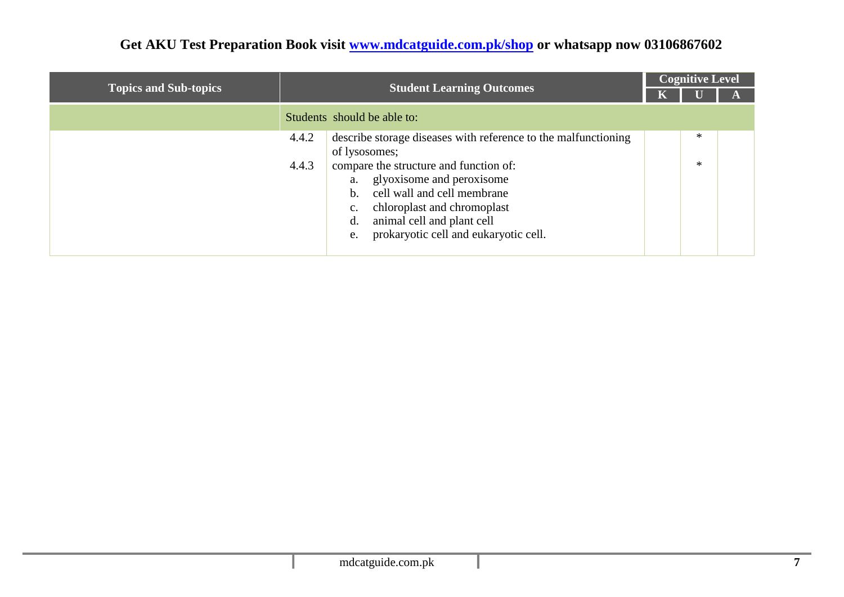|                              |                                                                                                                                                                                                                                                                                                                                                   | <b>Cognitive Level</b> |             |  |  |  |
|------------------------------|---------------------------------------------------------------------------------------------------------------------------------------------------------------------------------------------------------------------------------------------------------------------------------------------------------------------------------------------------|------------------------|-------------|--|--|--|
| <b>Topics and Sub-topics</b> | <b>Student Learning Outcomes</b>                                                                                                                                                                                                                                                                                                                  |                        |             |  |  |  |
|                              | Students should be able to:                                                                                                                                                                                                                                                                                                                       |                        |             |  |  |  |
|                              | 4.4.2<br>describe storage diseases with reference to the malfunctioning<br>of lysosomes;<br>4.4.3<br>compare the structure and function of:<br>glyoxisome and peroxisome<br>cell wall and cell membrane<br>b.<br>chloroplast and chromoplast<br>$\mathbf{c}$ .<br>animal cell and plant cell<br>d.<br>prokaryotic cell and eukaryotic cell.<br>e. |                        | ∗<br>$\ast$ |  |  |  |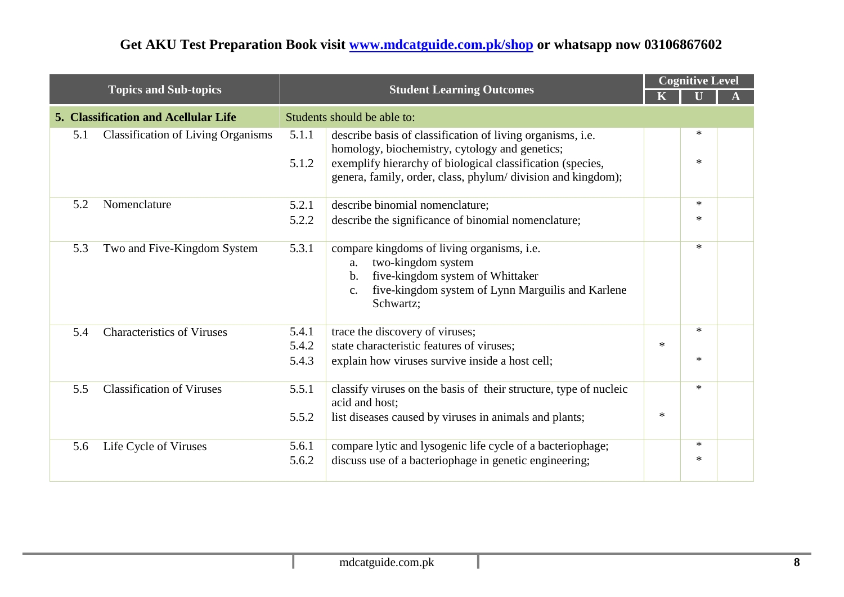|     |                                           |                |                                                                                                                                                                                                                                           |        | <b>Cognitive Level</b> |  |
|-----|-------------------------------------------|----------------|-------------------------------------------------------------------------------------------------------------------------------------------------------------------------------------------------------------------------------------------|--------|------------------------|--|
|     | <b>Topics and Sub-topics</b>              |                | <b>Student Learning Outcomes</b>                                                                                                                                                                                                          |        |                        |  |
|     | 5. Classification and Acellular Life      |                | Students should be able to:                                                                                                                                                                                                               |        |                        |  |
| 5.1 | <b>Classification of Living Organisms</b> | 5.1.1<br>5.1.2 | describe basis of classification of living organisms, i.e.<br>homology, biochemistry, cytology and genetics;<br>exemplify hierarchy of biological classification (species,<br>genera, family, order, class, phylum/division and kingdom); |        | *<br>$\ast$            |  |
| 5.2 | Nomenclature                              | 5.2.1          | describe binomial nomenclature;                                                                                                                                                                                                           |        | *                      |  |
|     |                                           | 5.2.2          | describe the significance of binomial nomenclature;                                                                                                                                                                                       |        | $\ast$                 |  |
| 5.3 | Two and Five-Kingdom System               | 5.3.1          | compare kingdoms of living organisms, i.e.<br>two-kingdom system<br>a.<br>five-kingdom system of Whittaker<br>b.<br>five-kingdom system of Lynn Marguilis and Karlene<br>$C_{\bullet}$<br>Schwartz;                                       |        | $\ast$                 |  |
| 5.4 | <b>Characteristics of Viruses</b>         | 5.4.1          | trace the discovery of viruses;                                                                                                                                                                                                           |        | $\ast$                 |  |
|     |                                           | 5.4.2          | state characteristic features of viruses;                                                                                                                                                                                                 | $\ast$ |                        |  |
|     |                                           | 5.4.3          | explain how viruses survive inside a host cell;                                                                                                                                                                                           |        | *                      |  |
| 5.5 | <b>Classification of Viruses</b>          | 5.5.1          | classify viruses on the basis of their structure, type of nucleic<br>acid and host;                                                                                                                                                       |        | $\ast$                 |  |
|     |                                           | 5.5.2          | list diseases caused by viruses in animals and plants;                                                                                                                                                                                    | $\ast$ |                        |  |
| 5.6 | Life Cycle of Viruses                     | 5.6.1          | compare lytic and lysogenic life cycle of a bacteriophage;                                                                                                                                                                                |        | $\ast$                 |  |
|     |                                           | 5.6.2          | discuss use of a bacteriophage in genetic engineering;                                                                                                                                                                                    |        | ∗                      |  |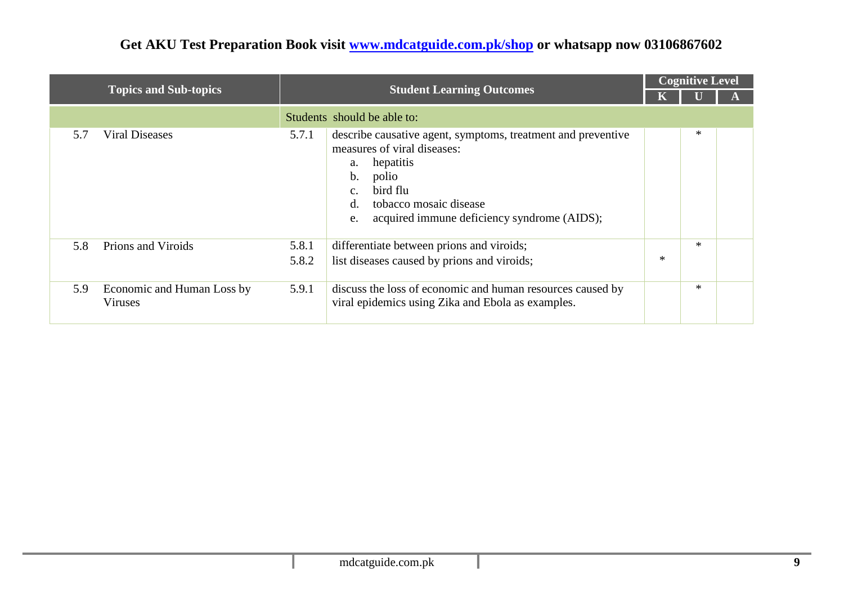| <b>Topics and Sub-topics</b> |                                              |                |                                                                                                                                                                                                                                               | <b>Cognitive Level</b> |        |  |
|------------------------------|----------------------------------------------|----------------|-----------------------------------------------------------------------------------------------------------------------------------------------------------------------------------------------------------------------------------------------|------------------------|--------|--|
|                              |                                              |                | <b>Student Learning Outcomes</b>                                                                                                                                                                                                              |                        |        |  |
|                              |                                              |                | Students should be able to:                                                                                                                                                                                                                   |                        |        |  |
| 5.7                          | Viral Diseases                               | 5.7.1          | describe causative agent, symptoms, treatment and preventive<br>measures of viral diseases:<br>hepatitis<br>a.<br>b.<br>polio<br>bird flu<br>c.<br>tobacco mosaic disease<br>$d_{\cdot}$<br>acquired immune deficiency syndrome (AIDS);<br>e. |                        | ∗      |  |
| 5.8                          | Prions and Viroids                           | 5.8.1<br>5.8.2 | differentiate between prions and viroids;<br>list diseases caused by prions and viroids;                                                                                                                                                      | *                      | ∗      |  |
| 5.9                          | Economic and Human Loss by<br><b>Viruses</b> | 5.9.1          | discuss the loss of economic and human resources caused by<br>viral epidemics using Zika and Ebola as examples.                                                                                                                               |                        | $\ast$ |  |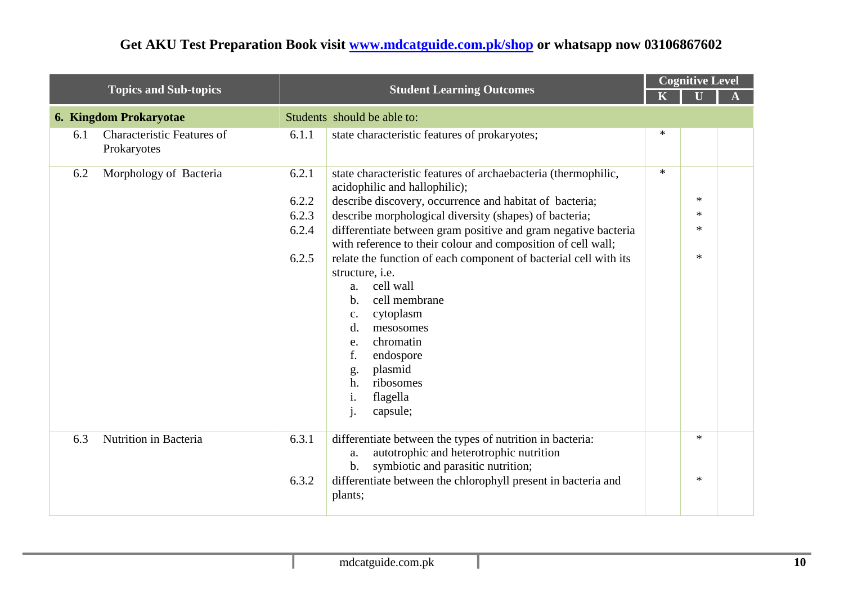| <b>Topics and Sub-topics</b>                            |       | <b>Student Learning Outcomes</b>                                                                                                                                                                                                                                                                        |        | <b>Cognitive Level</b> |  |
|---------------------------------------------------------|-------|---------------------------------------------------------------------------------------------------------------------------------------------------------------------------------------------------------------------------------------------------------------------------------------------------------|--------|------------------------|--|
|                                                         |       |                                                                                                                                                                                                                                                                                                         |        |                        |  |
| <b>6. Kingdom Prokaryotae</b>                           |       | Students should be able to:                                                                                                                                                                                                                                                                             |        |                        |  |
| <b>Characteristic Features of</b><br>6.1<br>Prokaryotes | 6.1.1 | state characteristic features of prokaryotes;                                                                                                                                                                                                                                                           | *      |                        |  |
| Morphology of Bacteria<br>6.2                           | 6.2.1 | state characteristic features of archaebacteria (thermophilic,<br>acidophilic and hallophilic);                                                                                                                                                                                                         | $\ast$ |                        |  |
|                                                         | 6.2.2 | describe discovery, occurrence and habitat of bacteria;                                                                                                                                                                                                                                                 |        | $*$                    |  |
|                                                         | 6.2.3 | describe morphological diversity (shapes) of bacteria;                                                                                                                                                                                                                                                  |        | $\ast$                 |  |
|                                                         | 6.2.4 | differentiate between gram positive and gram negative bacteria<br>with reference to their colour and composition of cell wall;                                                                                                                                                                          |        | $\ast$                 |  |
|                                                         | 6.2.5 | relate the function of each component of bacterial cell with its<br>structure, i.e.<br>cell wall<br>a.<br>cell membrane<br>b.<br>cytoplasm<br>c.<br>$\mathbf{d}$ .<br>mesosomes<br>chromatin<br>e.<br>f.<br>endospore<br>plasmid<br>g.<br>ribosomes<br>h.<br>i.<br>flagella<br>capsule;<br>$\mathbf{1}$ |        | $\ast$                 |  |
| Nutrition in Bacteria<br>6.3                            | 6.3.1 | differentiate between the types of nutrition in bacteria:<br>autotrophic and heterotrophic nutrition<br>a.<br>symbiotic and parasitic nutrition;<br>b.                                                                                                                                                  |        | $\ast$                 |  |
|                                                         | 6.3.2 | differentiate between the chlorophyll present in bacteria and<br>plants;                                                                                                                                                                                                                                |        | $\ast$                 |  |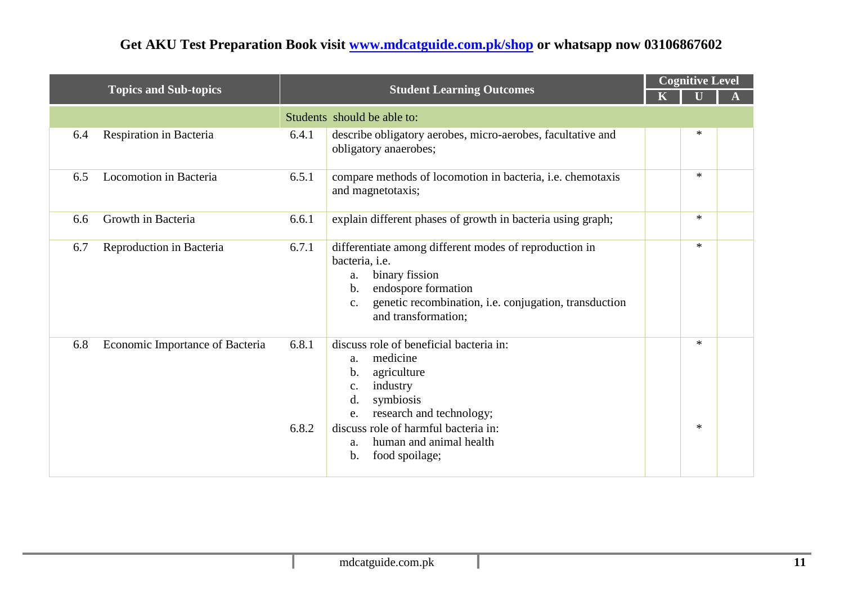|     |                                 |                |                                                                                                                                                                                                                                                        | <b>Cognitive Level</b> |            |  |  |
|-----|---------------------------------|----------------|--------------------------------------------------------------------------------------------------------------------------------------------------------------------------------------------------------------------------------------------------------|------------------------|------------|--|--|
|     | <b>Topics and Sub-topics</b>    |                | <b>Student Learning Outcomes</b>                                                                                                                                                                                                                       |                        |            |  |  |
|     |                                 |                | Students should be able to:                                                                                                                                                                                                                            |                        |            |  |  |
| 6.4 | Respiration in Bacteria         | 6.4.1          | describe obligatory aerobes, micro-aerobes, facultative and<br>obligatory anaerobes;                                                                                                                                                                   |                        | $\ast$     |  |  |
| 6.5 | Locomotion in Bacteria          | 6.5.1          | compare methods of locomotion in bacteria, i.e. chemotaxis<br>and magnetotaxis;                                                                                                                                                                        |                        | $*$        |  |  |
| 6.6 | Growth in Bacteria              | 6.6.1          | explain different phases of growth in bacteria using graph;                                                                                                                                                                                            |                        | $*$        |  |  |
| 6.7 | Reproduction in Bacteria        | 6.7.1          | differentiate among different modes of reproduction in<br>bacteria, i.e.<br>binary fission<br>a.<br>endospore formation<br>$\mathbf b$ .<br>genetic recombination, i.e. conjugation, transduction<br>c.<br>and transformation;                         |                        | $*$        |  |  |
| 6.8 | Economic Importance of Bacteria | 6.8.1<br>6.8.2 | discuss role of beneficial bacteria in:<br>medicine<br>a.<br>agriculture<br>b.<br>industry<br>c.<br>symbiosis<br>d.<br>research and technology;<br>e.<br>discuss role of harmful bacteria in:<br>human and animal health<br>a.<br>food spoilage;<br>b. |                        | $*$<br>$*$ |  |  |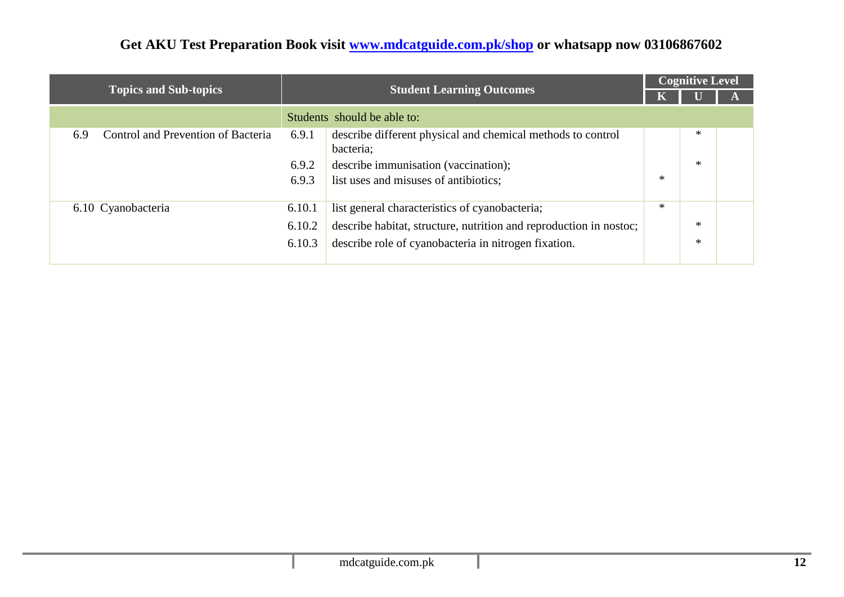|                                                  |        |                                                                          |        | <b>Cognitive Level</b> |  |  |
|--------------------------------------------------|--------|--------------------------------------------------------------------------|--------|------------------------|--|--|
| <b>Topics and Sub-topics</b>                     |        | <b>Student Learning Outcomes</b>                                         |        |                        |  |  |
|                                                  |        | Students should be able to:                                              |        |                        |  |  |
| <b>Control and Prevention of Bacteria</b><br>6.9 | 6.9.1  | describe different physical and chemical methods to control<br>bacteria; |        | *                      |  |  |
|                                                  | 6.9.2  | describe immunisation (vaccination);                                     |        | ∗                      |  |  |
|                                                  | 6.9.3  | list uses and misuses of antibiotics;                                    | ∗      |                        |  |  |
| 6.10 Cyanobacteria                               | 6.10.1 | list general characteristics of cyanobacteria;                           | $\ast$ |                        |  |  |
|                                                  | 6.10.2 | describe habitat, structure, nutrition and reproduction in nostoc;       |        | $\ast$                 |  |  |
|                                                  | 6.10.3 | describe role of cyanobacteria in nitrogen fixation.                     |        | ∗                      |  |  |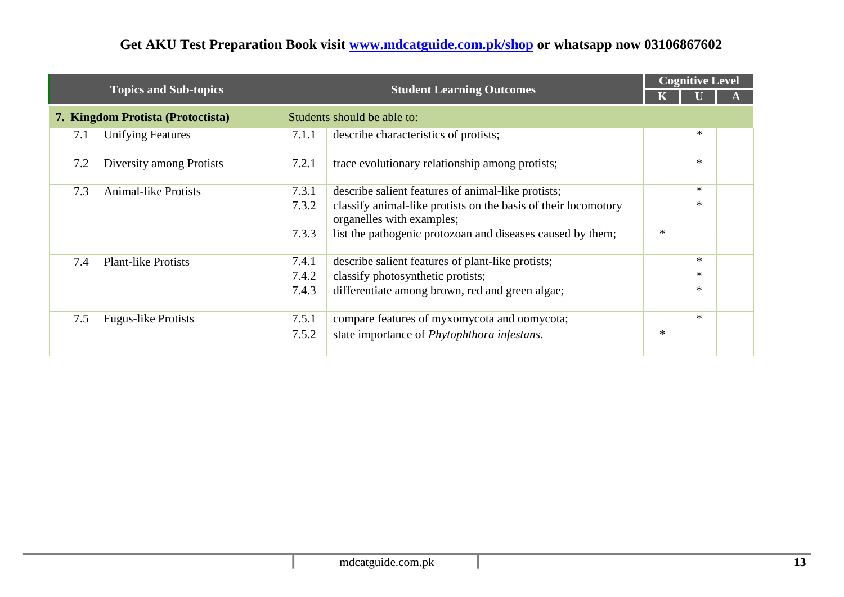|     |                                   |       |                                                                                             |        | <b>Cognitive Level</b> |  |  |
|-----|-----------------------------------|-------|---------------------------------------------------------------------------------------------|--------|------------------------|--|--|
|     | <b>Topics and Sub-topics</b>      |       | <b>Student Learning Outcomes</b>                                                            |        |                        |  |  |
|     | 7. Kingdom Protista (Protoctista) |       | Students should be able to:                                                                 |        |                        |  |  |
| 7.1 | <b>Unifying Features</b>          | 7.1.1 | describe characteristics of protists;                                                       |        | $\ast$                 |  |  |
| 7.2 | Diversity among Protists          | 7.2.1 | trace evolutionary relationship among protists;                                             |        | $\ast$                 |  |  |
| 7.3 | <b>Animal-like Protists</b>       | 7.3.1 | describe salient features of animal-like protists;                                          |        | $\ast$                 |  |  |
|     |                                   | 7.3.2 | classify animal-like protists on the basis of their locomotory<br>organelles with examples; |        | $\ast$                 |  |  |
|     |                                   | 7.3.3 | list the pathogenic protozoan and diseases caused by them;                                  | $\ast$ |                        |  |  |
| 7.4 | <b>Plant-like Protists</b>        | 7.4.1 | describe salient features of plant-like protists;                                           |        | $\ast$                 |  |  |
|     |                                   | 7.4.2 | classify photosynthetic protists;                                                           |        | $\ast$                 |  |  |
|     |                                   | 7.4.3 | differentiate among brown, red and green algae;                                             |        | $\ast$                 |  |  |
| 7.5 | <b>Fugus-like Protists</b>        | 7.5.1 | compare features of myxomycota and oomycota;                                                |        | $\ast$                 |  |  |
|     |                                   | 7.5.2 | state importance of <i>Phytophthora infestans</i> .                                         | $\ast$ |                        |  |  |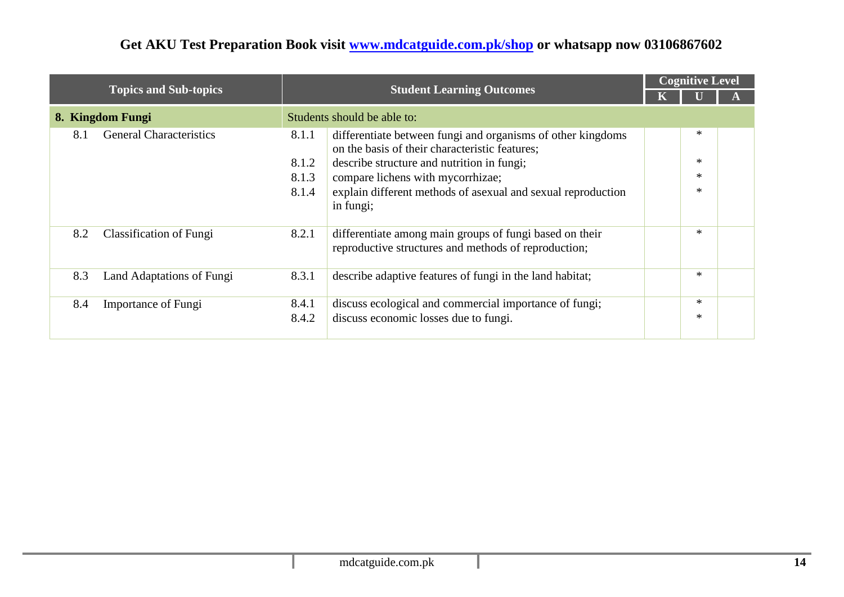|                  |                                |       |                                                                                                                 | <b>Cognitive Level</b> |        |  |
|------------------|--------------------------------|-------|-----------------------------------------------------------------------------------------------------------------|------------------------|--------|--|
|                  | <b>Topics and Sub-topics</b>   |       | <b>Student Learning Outcomes</b>                                                                                |                        |        |  |
| 8. Kingdom Fungi |                                |       | Students should be able to:                                                                                     |                        |        |  |
| 8.1              | <b>General Characteristics</b> | 8.1.1 | differentiate between fungi and organisms of other kingdoms<br>on the basis of their characteristic features;   |                        | $\ast$ |  |
|                  |                                | 8.1.2 | describe structure and nutrition in fungi;                                                                      |                        | $\ast$ |  |
|                  |                                | 8.1.3 | compare lichens with mycorrhizae;                                                                               |                        | $\ast$ |  |
|                  |                                | 8.1.4 | explain different methods of asexual and sexual reproduction<br>in fungi;                                       |                        | $\ast$ |  |
| 8.2              | Classification of Fungi        | 8.2.1 | differentiate among main groups of fungi based on their<br>reproductive structures and methods of reproduction; |                        | $\ast$ |  |
| 8.3              | Land Adaptations of Fungi      | 8.3.1 | describe adaptive features of fungi in the land habitat;                                                        |                        | $\ast$ |  |
| 8.4              | Importance of Fungi            | 8.4.1 | discuss ecological and commercial importance of fungi;                                                          |                        | $\ast$ |  |
|                  |                                | 8.4.2 | discuss economic losses due to fungi.                                                                           |                        | ∗      |  |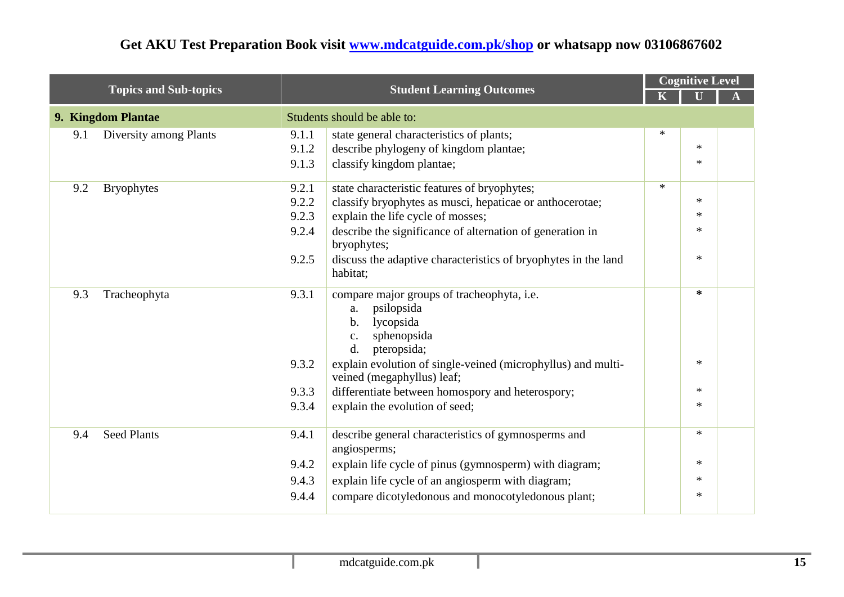| <b>Topics and Sub-topics</b> |                        | <b>Student Learning Outcomes</b> |                                                                                                                                         | <b>Cognitive Level</b> |        |  |  |
|------------------------------|------------------------|----------------------------------|-----------------------------------------------------------------------------------------------------------------------------------------|------------------------|--------|--|--|
|                              |                        |                                  |                                                                                                                                         |                        |        |  |  |
|                              | 9. Kingdom Plantae     |                                  | Students should be able to:                                                                                                             |                        |        |  |  |
| 9.1                          | Diversity among Plants | 9.1.1                            | state general characteristics of plants;                                                                                                | $\ast$                 |        |  |  |
|                              |                        | 9.1.2                            | describe phylogeny of kingdom plantae;                                                                                                  |                        | $\ast$ |  |  |
|                              |                        | 9.1.3                            | classify kingdom plantae;                                                                                                               |                        | $\ast$ |  |  |
| 9.2                          | <b>Bryophytes</b>      | 9.2.1                            | state characteristic features of bryophytes;                                                                                            | $\ast$                 |        |  |  |
|                              |                        | 9.2.2                            | classify bryophytes as musci, hepaticae or anthocerotae;                                                                                |                        | $\ast$ |  |  |
|                              |                        | 9.2.3                            | explain the life cycle of mosses;                                                                                                       |                        | $\ast$ |  |  |
|                              |                        | 9.2.4                            | describe the significance of alternation of generation in<br>bryophytes;                                                                |                        | $\ast$ |  |  |
|                              |                        | 9.2.5                            | discuss the adaptive characteristics of bryophytes in the land<br>habitat;                                                              |                        | $\ast$ |  |  |
| 9.3                          | Tracheophyta           | 9.3.1                            | compare major groups of tracheophyta, i.e.<br>psilopsida<br>a.<br>lycopsida<br>b.<br>sphenopsida<br>c.<br>pteropsida;<br>$\mathbf{d}$ . |                        | $\ast$ |  |  |
|                              |                        | 9.3.2                            | explain evolution of single-veined (microphyllus) and multi-<br>veined (megaphyllus) leaf;                                              |                        | $\ast$ |  |  |
|                              |                        | 9.3.3                            | differentiate between homospory and heterospory;                                                                                        |                        | $\ast$ |  |  |
|                              |                        | 9.3.4                            | explain the evolution of seed;                                                                                                          |                        | $\ast$ |  |  |
| 9.4                          | <b>Seed Plants</b>     | 9.4.1                            | describe general characteristics of gymnosperms and<br>angiosperms;                                                                     |                        | $\ast$ |  |  |
|                              |                        | 9.4.2                            | explain life cycle of pinus (gymnosperm) with diagram;                                                                                  |                        | $\ast$ |  |  |
|                              |                        | 9.4.3                            | explain life cycle of an angiosperm with diagram;                                                                                       |                        | $\ast$ |  |  |
|                              |                        | 9.4.4                            | compare dicotyledonous and monocotyledonous plant;                                                                                      |                        | $\ast$ |  |  |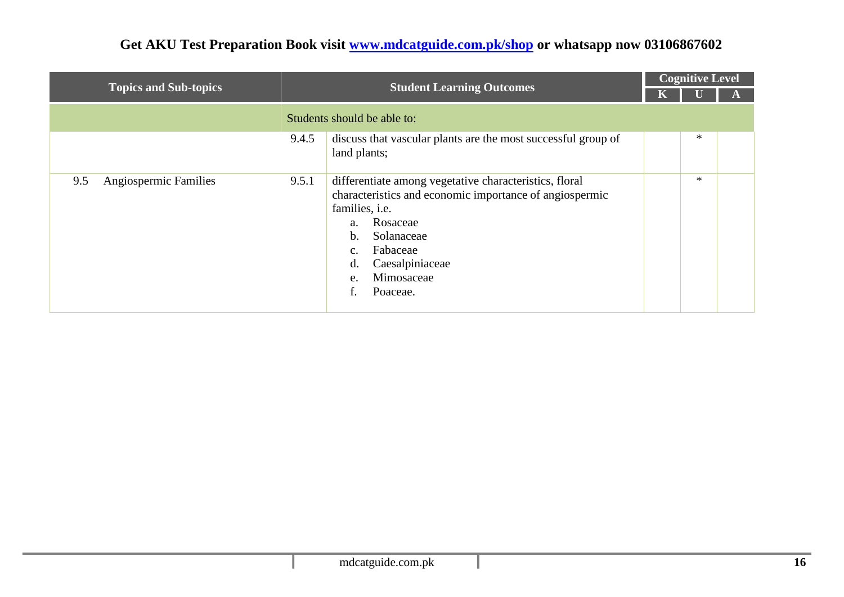|                              |       | <b>Student Learning Outcomes</b>                                                                                                                                                                                                                            | <b>Cognitive Level</b> |        |  |  |  |
|------------------------------|-------|-------------------------------------------------------------------------------------------------------------------------------------------------------------------------------------------------------------------------------------------------------------|------------------------|--------|--|--|--|
| <b>Topics and Sub-topics</b> |       |                                                                                                                                                                                                                                                             |                        |        |  |  |  |
|                              |       | Students should be able to:                                                                                                                                                                                                                                 |                        |        |  |  |  |
|                              | 9.4.5 | discuss that vascular plants are the most successful group of<br>land plants;                                                                                                                                                                               |                        | $\ast$ |  |  |  |
| Angiospermic Families<br>9.5 | 9.5.1 | differentiate among vegetative characteristics, floral<br>characteristics and economic importance of angiospermic<br>families, <i>i.e.</i><br>Rosaceae<br>a.<br>Solanaceae<br>b.<br>Fabaceae<br>c.<br>Caesalpiniaceae<br>d.<br>Mimosaceae<br>e.<br>Poaceae. |                        | $\ast$ |  |  |  |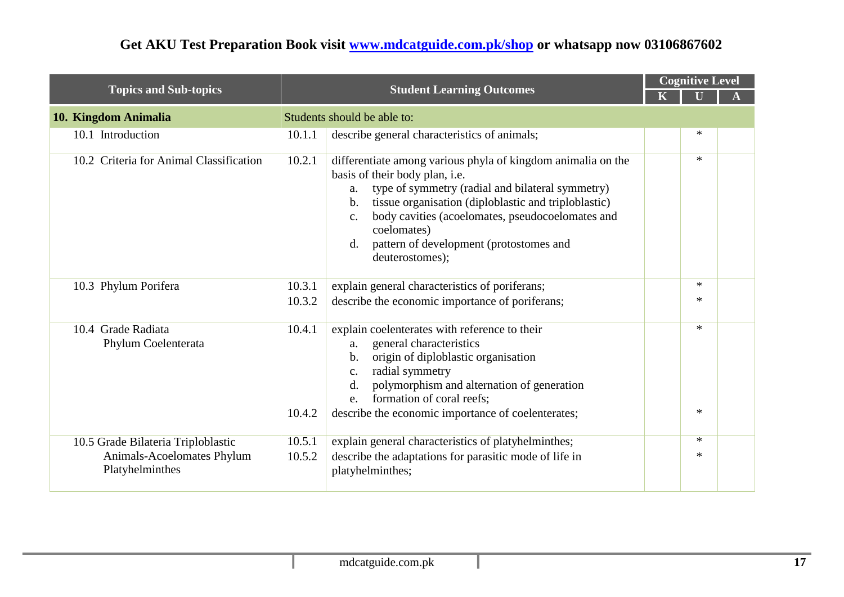|                                                                                     |                  | <b>Student Learning Outcomes</b>                                                                                                                                                                                                                                                                                                                                                          |  | <b>Cognitive Level</b> |  |  |  |  |
|-------------------------------------------------------------------------------------|------------------|-------------------------------------------------------------------------------------------------------------------------------------------------------------------------------------------------------------------------------------------------------------------------------------------------------------------------------------------------------------------------------------------|--|------------------------|--|--|--|--|
| <b>Topics and Sub-topics</b>                                                        |                  |                                                                                                                                                                                                                                                                                                                                                                                           |  |                        |  |  |  |  |
| 10. Kingdom Animalia                                                                |                  | Students should be able to:                                                                                                                                                                                                                                                                                                                                                               |  |                        |  |  |  |  |
| 10.1 Introduction                                                                   | 10.1.1           | describe general characteristics of animals;                                                                                                                                                                                                                                                                                                                                              |  | $\ast$                 |  |  |  |  |
| 10.2 Criteria for Animal Classification                                             | 10.2.1           | differentiate among various phyla of kingdom animalia on the<br>basis of their body plan, i.e.<br>type of symmetry (radial and bilateral symmetry)<br>a.<br>tissue organisation (diploblastic and triploblastic)<br>$\mathbf b$ .<br>body cavities (acoelomates, pseudocoelomates and<br>$C_{\bullet}$<br>coelomates)<br>pattern of development (protostomes and<br>d.<br>deuterostomes); |  | $\ast$                 |  |  |  |  |
| 10.3 Phylum Porifera                                                                | 10.3.1           | explain general characteristics of poriferans;                                                                                                                                                                                                                                                                                                                                            |  | $\ast$                 |  |  |  |  |
|                                                                                     | 10.3.2           | describe the economic importance of poriferans;                                                                                                                                                                                                                                                                                                                                           |  | $\ast$                 |  |  |  |  |
| 10.4 Grade Radiata<br>Phylum Coelenterata                                           | 10.4.1<br>10.4.2 | explain coelenterates with reference to their<br>general characteristics<br>a.<br>origin of diploblastic organisation<br>$\mathbf{b}$ .<br>radial symmetry<br>c.<br>polymorphism and alternation of generation<br>d.<br>formation of coral reefs;<br>e.<br>describe the economic importance of coelenterates;                                                                             |  | $\ast$<br>$\ast$       |  |  |  |  |
| 10.5 Grade Bilateria Triploblastic<br>Animals-Acoelomates Phylum<br>Platyhelminthes | 10.5.1<br>10.5.2 | explain general characteristics of platyhelminthes;<br>describe the adaptations for parasitic mode of life in<br>platyhelminthes;                                                                                                                                                                                                                                                         |  | $\ast$<br>$\ast$       |  |  |  |  |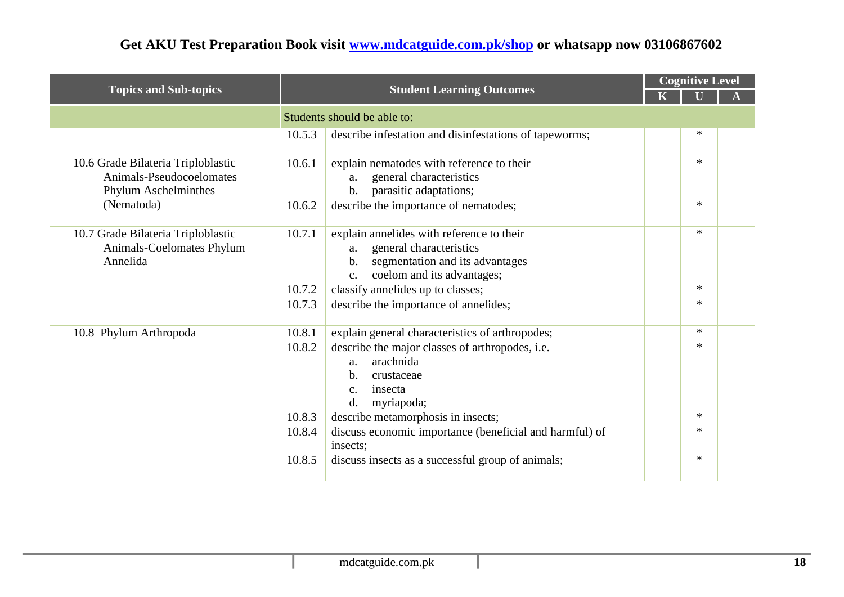|                                                                                        |        |                                                                                                                                                                               | <b>Cognitive Level</b><br><b>Student Learning Outcomes</b> |        |  |
|----------------------------------------------------------------------------------------|--------|-------------------------------------------------------------------------------------------------------------------------------------------------------------------------------|------------------------------------------------------------|--------|--|
| <b>Topics and Sub-topics</b>                                                           |        |                                                                                                                                                                               |                                                            |        |  |
|                                                                                        |        | Students should be able to:                                                                                                                                                   |                                                            |        |  |
|                                                                                        | 10.5.3 | describe infestation and disinfestations of tapeworms;                                                                                                                        |                                                            | $\ast$ |  |
| 10.6 Grade Bilateria Triploblastic<br>Animals-Pseudocoelomates<br>Phylum Aschelminthes | 10.6.1 | explain nematodes with reference to their<br>general characteristics<br>a.<br>parasitic adaptations;<br>b.                                                                    |                                                            | $\ast$ |  |
| (Nematoda)                                                                             | 10.6.2 | describe the importance of nematodes;                                                                                                                                         |                                                            | $\ast$ |  |
| 10.7 Grade Bilateria Triploblastic<br>Animals-Coelomates Phylum<br>Annelida            | 10.7.1 | explain annelides with reference to their<br>general characteristics<br>a.<br>segmentation and its advantages<br>$\mathbf b$ .<br>coelom and its advantages;<br>$C_{\bullet}$ |                                                            | $\ast$ |  |
|                                                                                        | 10.7.2 | classify annelides up to classes;                                                                                                                                             |                                                            | $\ast$ |  |
|                                                                                        | 10.7.3 | describe the importance of annelides;                                                                                                                                         |                                                            | $\ast$ |  |
| 10.8 Phylum Arthropoda                                                                 | 10.8.1 | explain general characteristics of arthropodes;                                                                                                                               |                                                            | $\ast$ |  |
|                                                                                        | 10.8.2 | describe the major classes of arthropodes, i.e.<br>arachnida<br>a.<br>b.<br>crustaceae<br>insecta<br>$\mathbf{c}$ .<br>d.<br>myriapoda;                                       |                                                            | $\ast$ |  |
|                                                                                        | 10.8.3 | describe metamorphosis in insects;                                                                                                                                            |                                                            | $\ast$ |  |
|                                                                                        | 10.8.4 | discuss economic importance (beneficial and harmful) of<br>insects;                                                                                                           |                                                            | $\ast$ |  |
|                                                                                        | 10.8.5 | discuss insects as a successful group of animals;                                                                                                                             |                                                            | $\ast$ |  |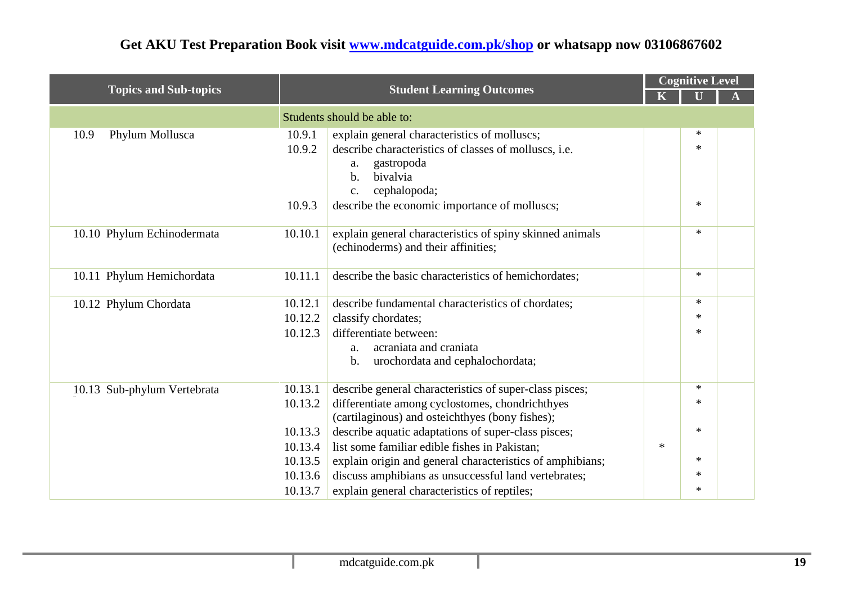|                              |         |                                                                                                      |        | <b>Cognitive Level</b> |  |
|------------------------------|---------|------------------------------------------------------------------------------------------------------|--------|------------------------|--|
| <b>Topics and Sub-topics</b> |         | <b>Student Learning Outcomes</b>                                                                     |        |                        |  |
|                              |         | Students should be able to:                                                                          |        |                        |  |
| Phylum Mollusca<br>10.9      | 10.9.1  | explain general characteristics of molluscs;                                                         |        | $\ast$                 |  |
|                              | 10.9.2  | describe characteristics of classes of molluscs, i.e.                                                |        | $\ast$                 |  |
|                              |         | gastropoda<br>a.                                                                                     |        |                        |  |
|                              |         | bivalvia<br>$\mathbf{b}$ .                                                                           |        |                        |  |
|                              |         | cephalopoda;<br>$\mathbf{c}$ .                                                                       |        |                        |  |
|                              | 10.9.3  | describe the economic importance of molluscs;                                                        |        | $\ast$                 |  |
| 10.10 Phylum Echinodermata   | 10.10.1 | explain general characteristics of spiny skinned animals                                             |        | $\ast$                 |  |
|                              |         | (echinoderms) and their affinities;                                                                  |        |                        |  |
|                              |         |                                                                                                      |        |                        |  |
| 10.11 Phylum Hemichordata    | 10.11.1 | describe the basic characteristics of hemichordates;                                                 |        | $*$                    |  |
| 10.12 Phylum Chordata        | 10.12.1 | describe fundamental characteristics of chordates;                                                   |        | $*$                    |  |
|                              | 10.12.2 | classify chordates;                                                                                  |        | $\ast$                 |  |
|                              | 10.12.3 | differentiate between:                                                                               |        | $\ast$                 |  |
|                              |         | acraniata and craniata<br>a.                                                                         |        |                        |  |
|                              |         | urochordata and cephalochordata;<br>$\mathbf b$ .                                                    |        |                        |  |
|                              |         |                                                                                                      |        |                        |  |
| 10.13 Sub-phylum Vertebrata  | 10.13.1 | describe general characteristics of super-class pisces;                                              |        | $*$                    |  |
|                              | 10.13.2 | differentiate among cyclostomes, chondrichthyes                                                      |        | $\ast$                 |  |
|                              | 10.13.3 | (cartilaginous) and osteichthyes (bony fishes);                                                      |        | $*$                    |  |
|                              | 10.13.4 | describe aquatic adaptations of super-class pisces;<br>list some familiar edible fishes in Pakistan; | $\ast$ |                        |  |
|                              | 10.13.5 |                                                                                                      |        | $\ast$                 |  |
|                              | 10.13.6 | explain origin and general characteristics of amphibians;                                            |        | $\ast$                 |  |
|                              |         | discuss amphibians as unsuccessful land vertebrates;                                                 |        | $\ast$                 |  |
|                              | 10.13.7 | explain general characteristics of reptiles;                                                         |        |                        |  |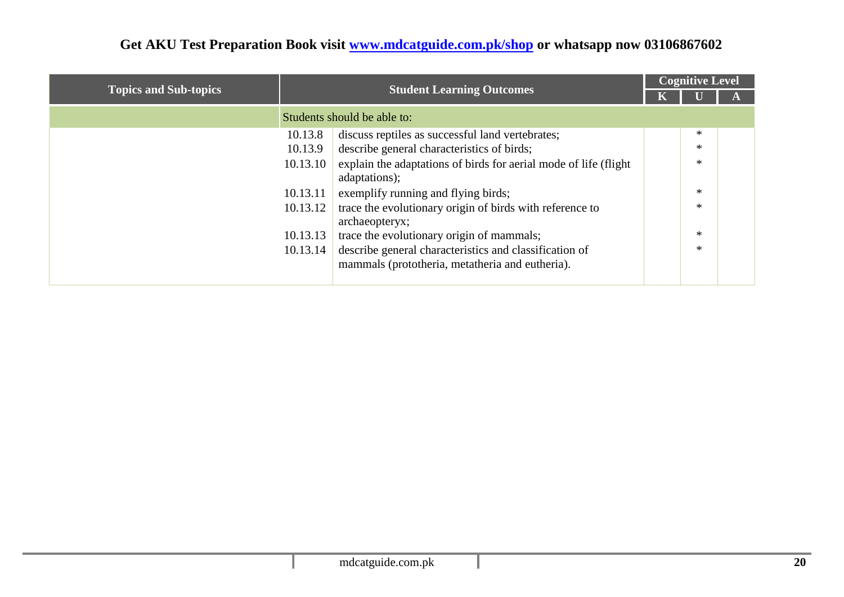|                              |          |                                                                                                           |  | <b>Cognitive Level</b> |  |
|------------------------------|----------|-----------------------------------------------------------------------------------------------------------|--|------------------------|--|
| <b>Topics and Sub-topics</b> |          | <b>Student Learning Outcomes</b>                                                                          |  |                        |  |
|                              |          | Students should be able to:                                                                               |  |                        |  |
|                              | 10.13.8  | discuss reptiles as successful land vertebrates;                                                          |  | $\ast$                 |  |
|                              | 10.13.9  | describe general characteristics of birds;                                                                |  | $\ast$                 |  |
|                              | 10.13.10 | explain the adaptations of birds for aerial mode of life (flight)<br>adaptations);                        |  | $\ast$                 |  |
|                              | 10.13.11 | exemplify running and flying birds;                                                                       |  | $\ast$                 |  |
|                              | 10.13.12 | trace the evolutionary origin of birds with reference to<br>archaeopteryx;                                |  | $\ast$                 |  |
|                              | 10.13.13 | trace the evolutionary origin of mammals;                                                                 |  | $\ast$                 |  |
|                              | 10.13.14 | describe general characteristics and classification of<br>mammals (prototheria, metatheria and eutheria). |  | $\ast$                 |  |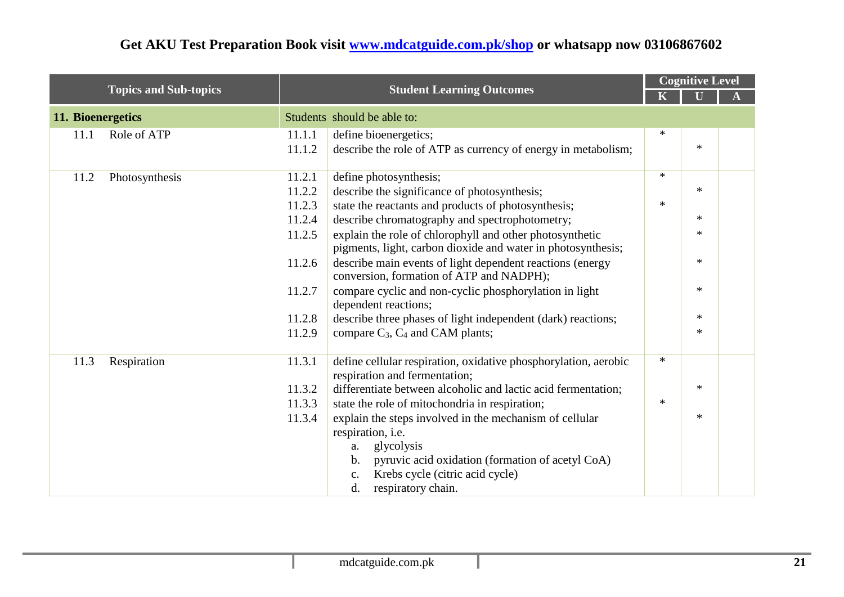|                   |                              |        | <b>Student Learning Outcomes</b>                                                                                         |        | <b>Cognitive Level</b> |  |  |
|-------------------|------------------------------|--------|--------------------------------------------------------------------------------------------------------------------------|--------|------------------------|--|--|
|                   | <b>Topics and Sub-topics</b> |        |                                                                                                                          |        |                        |  |  |
| 11. Bioenergetics |                              |        | Students should be able to:                                                                                              |        |                        |  |  |
| 11.1              | Role of ATP                  | 11.1.1 | define bioenergetics;                                                                                                    | $\ast$ |                        |  |  |
|                   |                              | 11.1.2 | describe the role of ATP as currency of energy in metabolism;                                                            |        | $\ast$                 |  |  |
| 11.2              | Photosynthesis               | 11.2.1 | define photosynthesis;                                                                                                   | $\ast$ |                        |  |  |
|                   |                              | 11.2.2 | describe the significance of photosynthesis;                                                                             |        | $\ast$                 |  |  |
|                   |                              | 11.2.3 | state the reactants and products of photosynthesis;                                                                      | $\ast$ |                        |  |  |
|                   |                              | 11.2.4 | describe chromatography and spectrophotometry;                                                                           |        | $\ast$                 |  |  |
|                   |                              | 11.2.5 | explain the role of chlorophyll and other photosynthetic<br>pigments, light, carbon dioxide and water in photosynthesis; |        | $\ast$                 |  |  |
|                   |                              | 11.2.6 | describe main events of light dependent reactions (energy<br>conversion, formation of ATP and NADPH);                    |        | $\ast$                 |  |  |
|                   |                              | 11.2.7 | compare cyclic and non-cyclic phosphorylation in light<br>dependent reactions;                                           |        | $\ast$                 |  |  |
|                   |                              | 11.2.8 | describe three phases of light independent (dark) reactions;                                                             |        | $\ast$                 |  |  |
|                   |                              | 11.2.9 | compare $C_3$ , $C_4$ and CAM plants;                                                                                    |        | $\ast$                 |  |  |
| 11.3              | Respiration                  | 11.3.1 | define cellular respiration, oxidative phosphorylation, aerobic<br>respiration and fermentation;                         | $\ast$ |                        |  |  |
|                   |                              | 11.3.2 | differentiate between alcoholic and lactic acid fermentation;                                                            |        | $\ast$                 |  |  |
|                   |                              | 11.3.3 | state the role of mitochondria in respiration;                                                                           | $\ast$ |                        |  |  |
|                   |                              | 11.3.4 | explain the steps involved in the mechanism of cellular                                                                  |        | $\ast$                 |  |  |
|                   |                              |        | respiration, i.e.                                                                                                        |        |                        |  |  |
|                   |                              |        | glycolysis<br>a.                                                                                                         |        |                        |  |  |
|                   |                              |        | pyruvic acid oxidation (formation of acetyl CoA)<br>b.                                                                   |        |                        |  |  |
|                   |                              |        | Krebs cycle (citric acid cycle)<br>c.                                                                                    |        |                        |  |  |
|                   |                              |        | d.<br>respiratory chain.                                                                                                 |        |                        |  |  |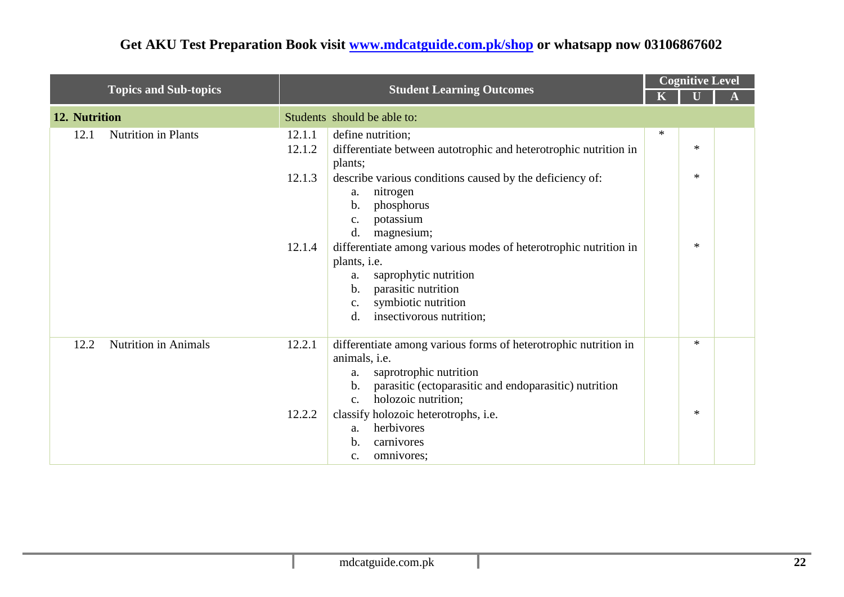|                                     |                                                                                                                                                                                                                                                                                                                                                                                                                                                                                                 |        | <b>Cognitive Level</b>     |  |  |
|-------------------------------------|-------------------------------------------------------------------------------------------------------------------------------------------------------------------------------------------------------------------------------------------------------------------------------------------------------------------------------------------------------------------------------------------------------------------------------------------------------------------------------------------------|--------|----------------------------|--|--|
| <b>Topics and Sub-topics</b>        | <b>Student Learning Outcomes</b>                                                                                                                                                                                                                                                                                                                                                                                                                                                                |        |                            |  |  |
| 12. Nutrition                       | Students should be able to:                                                                                                                                                                                                                                                                                                                                                                                                                                                                     |        |                            |  |  |
| <b>Nutrition in Plants</b><br>12.1  | 12.1.1<br>define nutrition;<br>differentiate between autotrophic and heterotrophic nutrition in<br>12.1.2<br>plants;<br>12.1.3<br>describe various conditions caused by the deficiency of:<br>nitrogen<br>a.<br>phosphorus<br>b.<br>potassium<br>c.<br>d.<br>magnesium;<br>differentiate among various modes of heterotrophic nutrition in<br>12.1.4<br>plants, i.e.<br>saprophytic nutrition<br>a.<br>parasitic nutrition<br>b.<br>symbiotic nutrition<br>c.<br>d.<br>insectivorous nutrition; | $\ast$ | $\ast$<br>$\ast$<br>$\ast$ |  |  |
| 12.2<br><b>Nutrition in Animals</b> | differentiate among various forms of heterotrophic nutrition in<br>12.2.1<br>animals, i.e.<br>saprotrophic nutrition<br>a.<br>parasitic (ectoparasitic and endoparasitic) nutrition<br>b.<br>holozoic nutrition;<br>$C_{\bullet}$<br>12.2.2<br>classify holozoic heterotrophs, i.e.<br>herbivores<br>a.<br>carnivores<br>b.<br>omnivores;<br>c.                                                                                                                                                 |        | $\ast$<br>$\ast$           |  |  |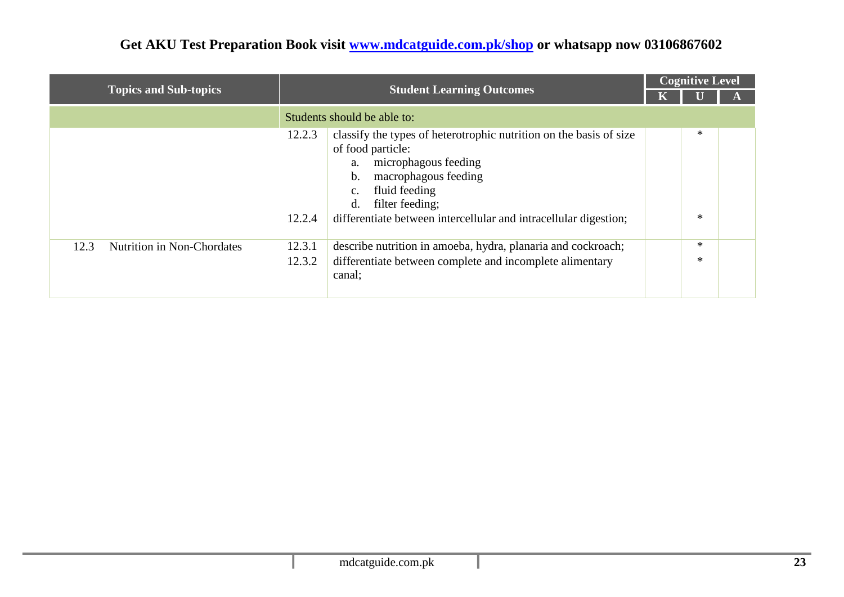|                                    |                  |                                                                                                                                                                                                                                                                                    | <b>Cognitive Level</b> |                  |  |
|------------------------------------|------------------|------------------------------------------------------------------------------------------------------------------------------------------------------------------------------------------------------------------------------------------------------------------------------------|------------------------|------------------|--|
| <b>Topics and Sub-topics</b>       |                  | <b>Student Learning Outcomes</b>                                                                                                                                                                                                                                                   |                        |                  |  |
|                                    |                  | Students should be able to:                                                                                                                                                                                                                                                        |                        |                  |  |
|                                    | 12.2.3<br>12.2.4 | classify the types of heterotrophic nutrition on the basis of size<br>of food particle:<br>microphagous feeding<br>a.<br>macrophagous feeding<br>b.<br>fluid feeding<br>$C_{\bullet}$<br>filter feeding;<br>d.<br>differentiate between intercellular and intracellular digestion; |                        | $\ast$<br>$\ast$ |  |
| 12.3<br>Nutrition in Non-Chordates | 12.3.1           | describe nutrition in amoeba, hydra, planaria and cockroach;                                                                                                                                                                                                                       |                        | $\ast$           |  |
|                                    | 12.3.2           | differentiate between complete and incomplete alimentary<br>canal;                                                                                                                                                                                                                 |                        | $\ast$           |  |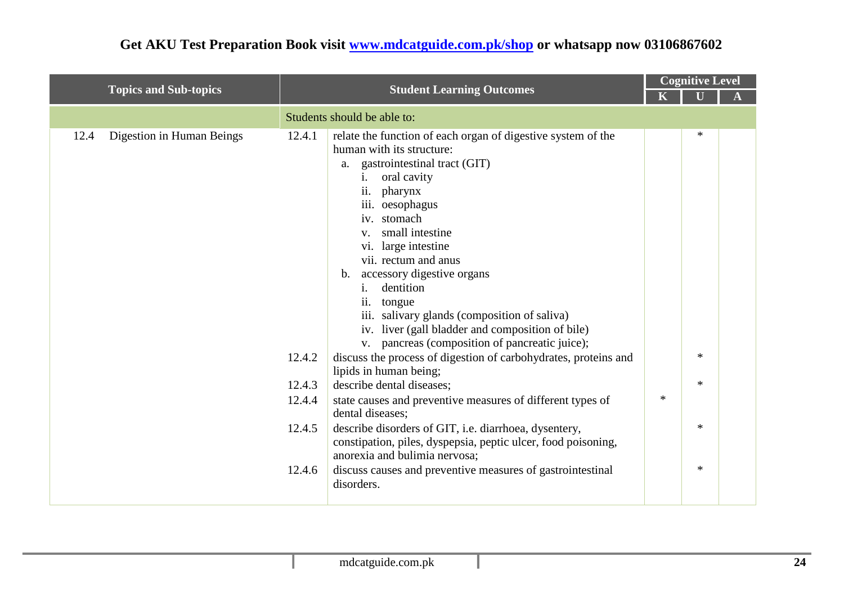|                                   |                                                          | <b>Student Learning Outcomes</b><br>$\mathbf K$                                                                                                                                                                                                                                                                                                                                                                                                                                                                                                                                                                                                                                                                                                                                                                                                                                                                                                                                                         |        | <b>Cognitive Level</b>                    |  |  |  |
|-----------------------------------|----------------------------------------------------------|---------------------------------------------------------------------------------------------------------------------------------------------------------------------------------------------------------------------------------------------------------------------------------------------------------------------------------------------------------------------------------------------------------------------------------------------------------------------------------------------------------------------------------------------------------------------------------------------------------------------------------------------------------------------------------------------------------------------------------------------------------------------------------------------------------------------------------------------------------------------------------------------------------------------------------------------------------------------------------------------------------|--------|-------------------------------------------|--|--|--|
| <b>Topics and Sub-topics</b>      |                                                          |                                                                                                                                                                                                                                                                                                                                                                                                                                                                                                                                                                                                                                                                                                                                                                                                                                                                                                                                                                                                         |        |                                           |  |  |  |
|                                   |                                                          | Students should be able to:                                                                                                                                                                                                                                                                                                                                                                                                                                                                                                                                                                                                                                                                                                                                                                                                                                                                                                                                                                             |        |                                           |  |  |  |
| Digestion in Human Beings<br>12.4 | 12.4.1<br>12.4.2<br>12.4.3<br>12.4.4<br>12.4.5<br>12.4.6 | relate the function of each organ of digestive system of the<br>human with its structure:<br>gastrointestinal tract (GIT)<br>a.<br>oral cavity<br>$\mathbf{i}$ .<br>pharynx<br>$\overline{11}$ .<br>iii. oesophagus<br>iv. stomach<br>small intestine<br>$V_{\star}$<br>vi. large intestine<br>vii. rectum and anus<br>accessory digestive organs<br>$\mathbf{b}$ .<br>dentition<br>ii. tongue<br>iii. salivary glands (composition of saliva)<br>iv. liver (gall bladder and composition of bile)<br>v. pancreas (composition of pancreatic juice);<br>discuss the process of digestion of carbohydrates, proteins and<br>lipids in human being;<br>describe dental diseases;<br>state causes and preventive measures of different types of<br>dental diseases;<br>describe disorders of GIT, i.e. diarrhoea, dysentery,<br>constipation, piles, dyspepsia, peptic ulcer, food poisoning,<br>anorexia and bulimia nervosa;<br>discuss causes and preventive measures of gastrointestinal<br>disorders. | $\ast$ | $\ast$<br>$\ast$<br>$\ast$<br>∗<br>$\ast$ |  |  |  |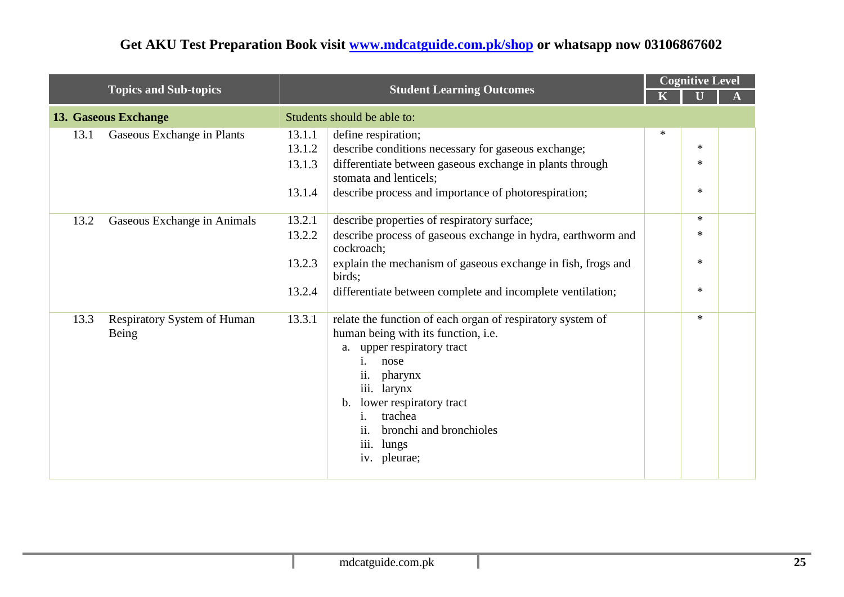|                                                     | <b>Student Learning Outcomes</b> |                                                                                                                                                                                                                                                                                                                      | <b>Cognitive Level</b> |        |  |
|-----------------------------------------------------|----------------------------------|----------------------------------------------------------------------------------------------------------------------------------------------------------------------------------------------------------------------------------------------------------------------------------------------------------------------|------------------------|--------|--|
| <b>Topics and Sub-topics</b>                        |                                  |                                                                                                                                                                                                                                                                                                                      |                        |        |  |
| 13. Gaseous Exchange                                |                                  | Students should be able to:                                                                                                                                                                                                                                                                                          |                        |        |  |
| Gaseous Exchange in Plants<br>13.1                  | 13.1.1                           | define respiration;                                                                                                                                                                                                                                                                                                  | $\ast$                 |        |  |
|                                                     | 13.1.2                           | describe conditions necessary for gaseous exchange;                                                                                                                                                                                                                                                                  |                        | $\ast$ |  |
|                                                     | 13.1.3                           | differentiate between gaseous exchange in plants through<br>stomata and lenticels;                                                                                                                                                                                                                                   |                        | $\ast$ |  |
|                                                     | 13.1.4                           | describe process and importance of photorespiration;                                                                                                                                                                                                                                                                 |                        | $\ast$ |  |
| 13.2<br>Gaseous Exchange in Animals                 | 13.2.1                           | describe properties of respiratory surface;                                                                                                                                                                                                                                                                          |                        | $\ast$ |  |
|                                                     | 13.2.2                           | describe process of gaseous exchange in hydra, earthworm and<br>cockroach;                                                                                                                                                                                                                                           |                        | $\ast$ |  |
|                                                     | 13.2.3                           | explain the mechanism of gaseous exchange in fish, frogs and<br>birds;                                                                                                                                                                                                                                               |                        | $\ast$ |  |
|                                                     | 13.2.4                           | differentiate between complete and incomplete ventilation;                                                                                                                                                                                                                                                           |                        | $\ast$ |  |
| <b>Respiratory System of Human</b><br>13.3<br>Being | 13.3.1                           | relate the function of each organ of respiratory system of<br>human being with its function, i.e.<br>a. upper respiratory tract<br>nose<br>1.<br>ii.<br>pharynx<br>iii. larynx<br>lower respiratory tract<br>b.<br>trachea<br>1.<br>bronchi and bronchioles<br>$\overline{11}$ .<br>iii.<br>lungs<br>pleurae;<br>iv. |                        | $\ast$ |  |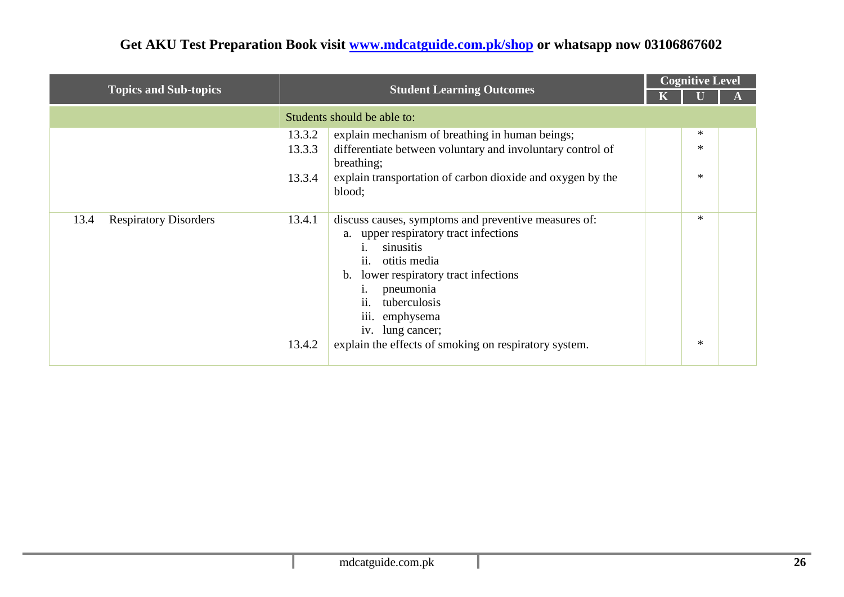|                                      |                            |                                                                                                                                                                                                                                                                                                                  |  | <b>Cognitive Level</b> |  |  |
|--------------------------------------|----------------------------|------------------------------------------------------------------------------------------------------------------------------------------------------------------------------------------------------------------------------------------------------------------------------------------------------------------|--|------------------------|--|--|
| <b>Topics and Sub-topics</b>         |                            | <b>Student Learning Outcomes</b>                                                                                                                                                                                                                                                                                 |  |                        |  |  |
|                                      |                            | Students should be able to:                                                                                                                                                                                                                                                                                      |  |                        |  |  |
|                                      | 13.3.2<br>13.3.3<br>13.3.4 | explain mechanism of breathing in human beings;<br>differentiate between voluntary and involuntary control of<br>breathing;<br>explain transportation of carbon dioxide and oxygen by the<br>blood;                                                                                                              |  | ∗<br>$\ast$<br>$\ast$  |  |  |
| <b>Respiratory Disorders</b><br>13.4 | 13.4.1<br>13.4.2           | discuss causes, symptoms and preventive measures of:<br>upper respiratory tract infections<br>a.<br>sinusitis<br>ii.<br>otitis media<br>lower respiratory tract infections<br>b.<br>pneumonia<br>ii. tuberculosis<br>iii. emphysema<br>iv. lung cancer;<br>explain the effects of smoking on respiratory system. |  | $\ast$<br>∗            |  |  |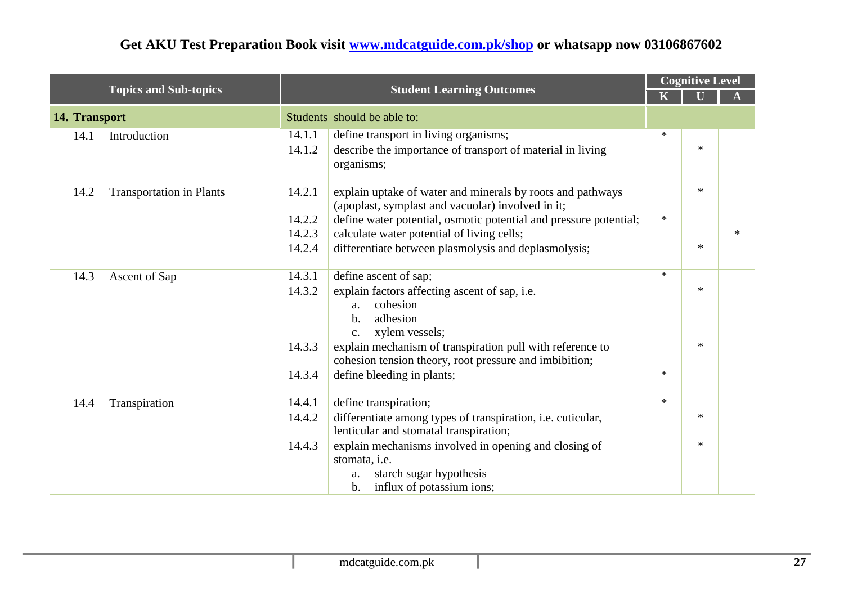|               |                                 | <b>Student Learning Outcomes</b> |                                                                                                                       |        | <b>Cognitive Level</b> |        |
|---------------|---------------------------------|----------------------------------|-----------------------------------------------------------------------------------------------------------------------|--------|------------------------|--------|
|               | <b>Topics and Sub-topics</b>    |                                  |                                                                                                                       |        |                        |        |
| 14. Transport |                                 |                                  | Students should be able to:                                                                                           |        |                        |        |
| 14.1          | Introduction                    | 14.1.1                           | define transport in living organisms;                                                                                 | $\ast$ |                        |        |
|               |                                 | 14.1.2                           | describe the importance of transport of material in living<br>organisms;                                              |        | $\ast$                 |        |
| 14.2          | <b>Transportation in Plants</b> | 14.2.1                           | explain uptake of water and minerals by roots and pathways<br>(apoplast, symplast and vacuolar) involved in it;       |        | $\ast$                 |        |
|               |                                 | 14.2.2                           | define water potential, osmotic potential and pressure potential;                                                     | $\ast$ |                        |        |
|               |                                 | 14.2.3                           | calculate water potential of living cells;                                                                            |        |                        | $\ast$ |
|               |                                 | 14.2.4                           | differentiate between plasmolysis and deplasmolysis;                                                                  |        | $\ast$                 |        |
| 14.3          | Ascent of Sap                   | 14.3.1                           | define ascent of sap;                                                                                                 | $\ast$ |                        |        |
|               |                                 | 14.3.2                           | explain factors affecting ascent of sap, i.e.<br>cohesion<br>a.<br>adhesion<br>$b$<br>xylem vessels;<br>$C_{\bullet}$ |        | $\ast$                 |        |
|               |                                 | 14.3.3                           | explain mechanism of transpiration pull with reference to<br>cohesion tension theory, root pressure and imbibition;   |        | $*$                    |        |
|               |                                 | 14.3.4                           | define bleeding in plants;                                                                                            | $*$    |                        |        |
| 14.4          | Transpiration                   | 14.4.1                           | define transpiration;                                                                                                 | $*$    |                        |        |
|               |                                 | 14.4.2                           | differentiate among types of transpiration, i.e. cuticular,<br>lenticular and stomatal transpiration;                 |        | $\ast$                 |        |
|               |                                 | 14.4.3                           | explain mechanisms involved in opening and closing of<br>stomata, i.e.                                                |        | $\ast$                 |        |
|               |                                 |                                  | starch sugar hypothesis<br>a.<br>influx of potassium ions;<br>$\mathbf{b}$ .                                          |        |                        |        |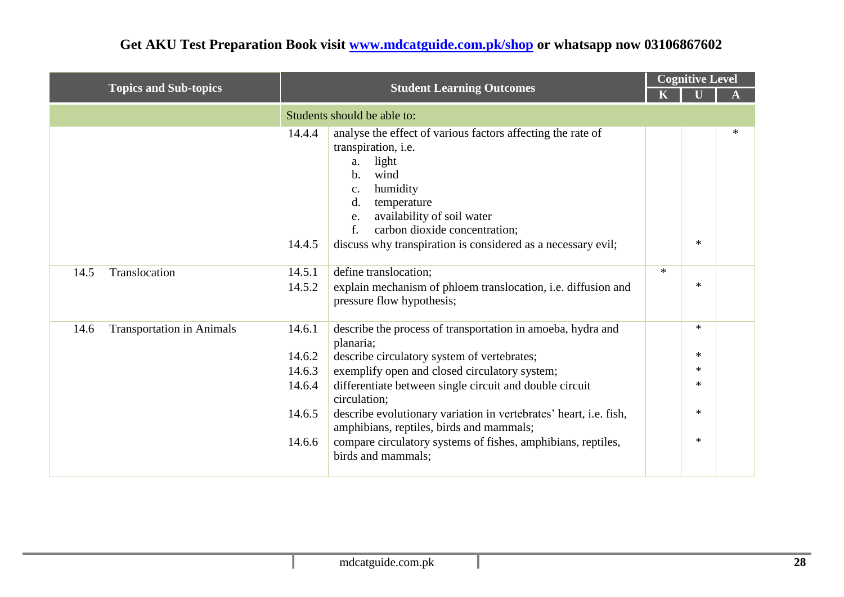| <b>Topics and Sub-topics</b>             | <b>Student Learning Outcomes</b>                         |                                                                                                                                                                                                                                                                                                                                                                                                                                                            | <b>Cognitive Level</b> |                                                          |   |  |  |
|------------------------------------------|----------------------------------------------------------|------------------------------------------------------------------------------------------------------------------------------------------------------------------------------------------------------------------------------------------------------------------------------------------------------------------------------------------------------------------------------------------------------------------------------------------------------------|------------------------|----------------------------------------------------------|---|--|--|
|                                          |                                                          |                                                                                                                                                                                                                                                                                                                                                                                                                                                            |                        |                                                          |   |  |  |
|                                          |                                                          | Students should be able to:                                                                                                                                                                                                                                                                                                                                                                                                                                |                        |                                                          |   |  |  |
|                                          | 14.4.4                                                   | analyse the effect of various factors affecting the rate of<br>transpiration, <i>i.e.</i><br>light<br>a.<br>wind<br>$\mathbf{b}$ .<br>humidity<br>c.<br>d.<br>temperature<br>availability of soil water<br>e.<br>f.<br>carbon dioxide concentration;                                                                                                                                                                                                       |                        |                                                          | ∗ |  |  |
|                                          | 14.4.5                                                   | discuss why transpiration is considered as a necessary evil;                                                                                                                                                                                                                                                                                                                                                                                               |                        | $\ast$                                                   |   |  |  |
| Translocation<br>14.5                    | 14.5.1<br>14.5.2                                         | define translocation;<br>explain mechanism of phloem translocation, i.e. diffusion and<br>pressure flow hypothesis;                                                                                                                                                                                                                                                                                                                                        | $\ast$                 | $\ast$                                                   |   |  |  |
| <b>Transportation in Animals</b><br>14.6 | 14.6.1<br>14.6.2<br>14.6.3<br>14.6.4<br>14.6.5<br>14.6.6 | describe the process of transportation in amoeba, hydra and<br>planaria;<br>describe circulatory system of vertebrates;<br>exemplify open and closed circulatory system;<br>differentiate between single circuit and double circuit<br>circulation;<br>describe evolutionary variation in vertebrates' heart, i.e. fish,<br>amphibians, reptiles, birds and mammals;<br>compare circulatory systems of fishes, amphibians, reptiles,<br>birds and mammals; |                        | $\ast$<br>$\ast$<br>$\ast$<br>$\ast$<br>$\ast$<br>$\ast$ |   |  |  |
|                                          |                                                          |                                                                                                                                                                                                                                                                                                                                                                                                                                                            |                        |                                                          |   |  |  |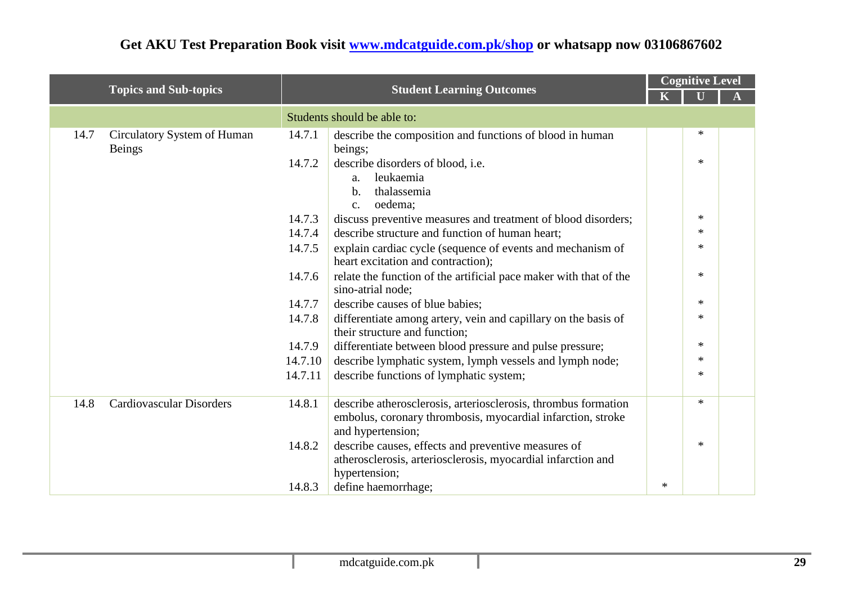|      |                                 |         | <b>Student Learning Outcomes</b>                                  |     | <b>Cognitive Level</b> |  |  |  |  |
|------|---------------------------------|---------|-------------------------------------------------------------------|-----|------------------------|--|--|--|--|
|      | <b>Topics and Sub-topics</b>    |         |                                                                   |     |                        |  |  |  |  |
|      |                                 |         | Students should be able to:                                       |     |                        |  |  |  |  |
| 14.7 | Circulatory System of Human     | 14.7.1  | describe the composition and functions of blood in human          |     | $\ast$                 |  |  |  |  |
|      | <b>Beings</b>                   |         | beings;                                                           |     |                        |  |  |  |  |
|      |                                 | 14.7.2  | describe disorders of blood, i.e.                                 |     | $\ast$                 |  |  |  |  |
|      |                                 |         | leukaemia<br>a.                                                   |     |                        |  |  |  |  |
|      |                                 |         | thalassemia<br>b.                                                 |     |                        |  |  |  |  |
|      |                                 |         | oedema:<br>$\mathbf{C}$ .                                         |     |                        |  |  |  |  |
|      |                                 | 14.7.3  | discuss preventive measures and treatment of blood disorders;     |     | $\ast$                 |  |  |  |  |
|      |                                 | 14.7.4  | describe structure and function of human heart;                   |     | $\ast$                 |  |  |  |  |
|      |                                 | 14.7.5  | explain cardiac cycle (sequence of events and mechanism of        |     | $\ast$                 |  |  |  |  |
|      |                                 |         | heart excitation and contraction);                                |     |                        |  |  |  |  |
|      |                                 | 14.7.6  | relate the function of the artificial pace maker with that of the |     | $\ast$                 |  |  |  |  |
|      |                                 |         | sino-atrial node;                                                 |     |                        |  |  |  |  |
|      |                                 | 14.7.7  | describe causes of blue babies;                                   |     | $*$                    |  |  |  |  |
|      |                                 | 14.7.8  | differentiate among artery, vein and capillary on the basis of    |     | $\ast$                 |  |  |  |  |
|      |                                 |         | their structure and function;                                     |     |                        |  |  |  |  |
|      |                                 | 14.7.9  | differentiate between blood pressure and pulse pressure;          |     | $\ast$                 |  |  |  |  |
|      |                                 | 14.7.10 | describe lymphatic system, lymph vessels and lymph node;          |     | $\ast$                 |  |  |  |  |
|      |                                 | 14.7.11 | describe functions of lymphatic system;                           |     | $\ast$                 |  |  |  |  |
|      |                                 |         |                                                                   |     |                        |  |  |  |  |
| 14.8 | <b>Cardiovascular Disorders</b> | 14.8.1  | describe atherosclerosis, arteriosclerosis, thrombus formation    |     | $\ast$                 |  |  |  |  |
|      |                                 |         | embolus, coronary thrombosis, myocardial infarction, stroke       |     |                        |  |  |  |  |
|      |                                 |         | and hypertension;                                                 |     |                        |  |  |  |  |
|      |                                 | 14.8.2  | describe causes, effects and preventive measures of               |     | $\ast$                 |  |  |  |  |
|      |                                 |         | atherosclerosis, arteriosclerosis, myocardial infarction and      |     |                        |  |  |  |  |
|      |                                 |         | hypertension;                                                     |     |                        |  |  |  |  |
|      |                                 | 14.8.3  | define haemorrhage;                                               | $*$ |                        |  |  |  |  |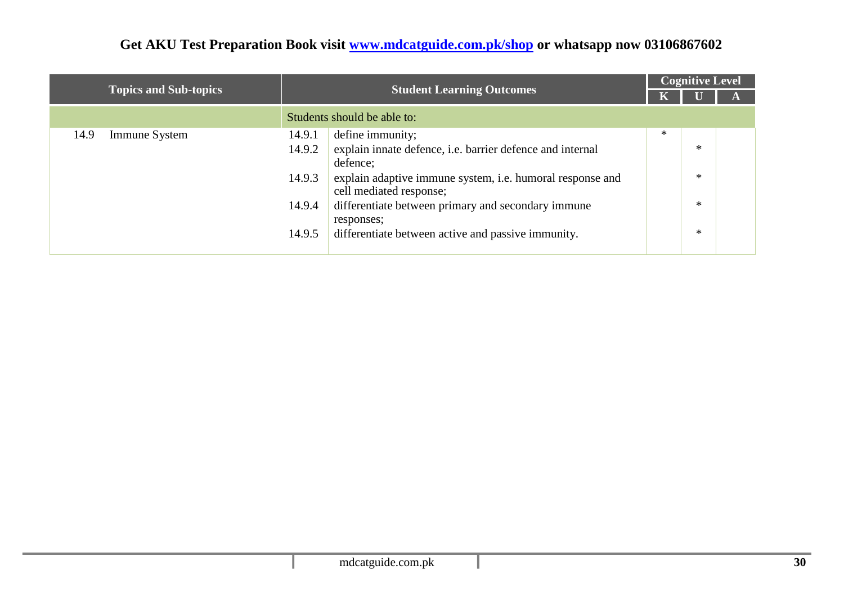|                              | <b>Student Learning Outcomes</b> |                                                                                      |   |        |  |  | <b>Cognitive Level</b> |
|------------------------------|----------------------------------|--------------------------------------------------------------------------------------|---|--------|--|--|------------------------|
| <b>Topics and Sub-topics</b> |                                  |                                                                                      |   |        |  |  |                        |
|                              |                                  | Students should be able to:                                                          |   |        |  |  |                        |
| 14.9<br>Immune System        | 14.9.1<br>define immunity;       |                                                                                      | * |        |  |  |                        |
|                              | 14.9.2<br>defence;               | explain innate defence, i.e. barrier defence and internal                            |   | $\ast$ |  |  |                        |
|                              | 14.9.3                           | explain adaptive immune system, i.e. humoral response and<br>cell mediated response; |   | $\ast$ |  |  |                        |
|                              | 14.9.4<br>responses;             | differentiate between primary and secondary immune                                   |   | $\ast$ |  |  |                        |
|                              | 14.9.5                           | differentiate between active and passive immunity.                                   |   | $\ast$ |  |  |                        |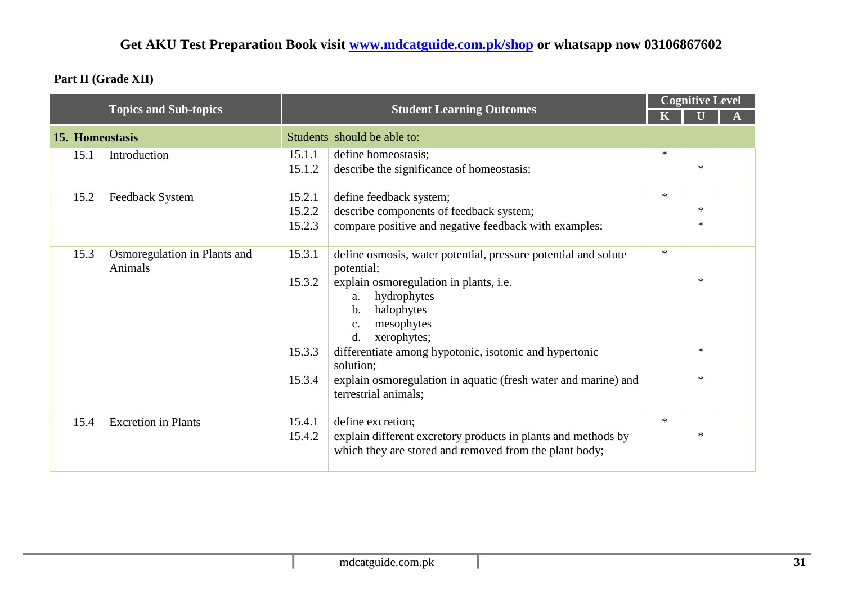#### **Part II (Grade XII)**

|                 |                                         |        |                                                                                        | <b>Student Learning Outcomes</b> |        |  | <b>Cognitive Level</b> |  |
|-----------------|-----------------------------------------|--------|----------------------------------------------------------------------------------------|----------------------------------|--------|--|------------------------|--|
|                 | <b>Topics and Sub-topics</b>            |        |                                                                                        |                                  |        |  |                        |  |
| 15. Homeostasis |                                         |        | Students should be able to:                                                            |                                  |        |  |                        |  |
| 15.1            | Introduction                            | 15.1.1 | define homeostasis;                                                                    | $\ast$                           |        |  |                        |  |
|                 |                                         | 15.1.2 | describe the significance of homeostasis;                                              |                                  | $\ast$ |  |                        |  |
| 15.2            | Feedback System                         | 15.2.1 | define feedback system;                                                                | $*$                              |        |  |                        |  |
|                 |                                         | 15.2.2 | describe components of feedback system;                                                |                                  | $\ast$ |  |                        |  |
|                 |                                         | 15.2.3 | compare positive and negative feedback with examples;                                  |                                  | $\ast$ |  |                        |  |
| 15.3            | Osmoregulation in Plants and<br>Animals | 15.3.1 | define osmosis, water potential, pressure potential and solute<br>potential;           | $*$                              |        |  |                        |  |
|                 |                                         | 15.3.2 | explain osmoregulation in plants, i.e.                                                 |                                  | $\ast$ |  |                        |  |
|                 |                                         |        | hydrophytes<br>a.                                                                      |                                  |        |  |                        |  |
|                 |                                         |        | halophytes<br>b.                                                                       |                                  |        |  |                        |  |
|                 |                                         |        | mesophytes<br>$C_{\bullet}$<br>d.<br>xerophytes;                                       |                                  |        |  |                        |  |
|                 |                                         | 15.3.3 | differentiate among hypotonic, isotonic and hypertonic                                 |                                  | $\ast$ |  |                        |  |
|                 |                                         | 15.3.4 | solution;                                                                              |                                  | $\ast$ |  |                        |  |
|                 |                                         |        | explain osmoregulation in aquatic (fresh water and marine) and<br>terrestrial animals; |                                  |        |  |                        |  |
| 15.4            | <b>Excretion in Plants</b>              | 15.4.1 | define excretion;                                                                      | $*$                              |        |  |                        |  |
|                 |                                         | 15.4.2 | explain different excretory products in plants and methods by                          |                                  | $*$    |  |                        |  |
|                 |                                         |        | which they are stored and removed from the plant body;                                 |                                  |        |  |                        |  |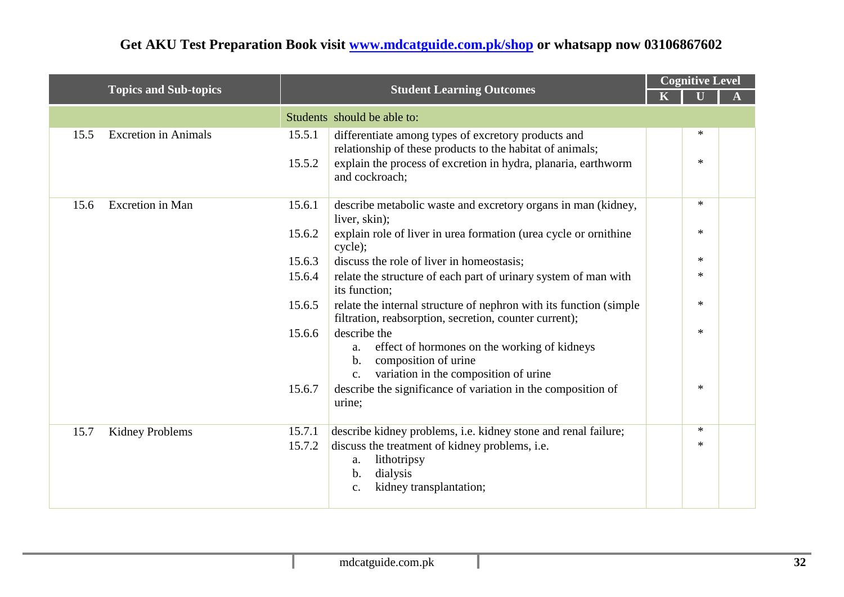|      |                              |                  |                                                                                                                                                                                                      |  | <b>Cognitive Level</b> |  |  |  |
|------|------------------------------|------------------|------------------------------------------------------------------------------------------------------------------------------------------------------------------------------------------------------|--|------------------------|--|--|--|
|      | <b>Topics and Sub-topics</b> |                  | <b>Student Learning Outcomes</b>                                                                                                                                                                     |  |                        |  |  |  |
|      |                              |                  | Students should be able to:                                                                                                                                                                          |  |                        |  |  |  |
| 15.5 | <b>Excretion</b> in Animals  | 15.5.1<br>15.5.2 | differentiate among types of excretory products and<br>relationship of these products to the habitat of animals;<br>explain the process of excretion in hydra, planaria, earthworm<br>and cockroach; |  | ∗<br>$\ast$            |  |  |  |
| 15.6 | <b>Excretion</b> in Man      | 15.6.1<br>15.6.2 | describe metabolic waste and excretory organs in man (kidney,<br>liver, skin);<br>explain role of liver in urea formation (urea cycle or ornithine                                                   |  | ∗<br>$\ast$            |  |  |  |
|      |                              | 15.6.3           | cycle);<br>discuss the role of liver in homeostasis;                                                                                                                                                 |  | $\ast$                 |  |  |  |
|      |                              | 15.6.4           | relate the structure of each part of urinary system of man with<br>its function;                                                                                                                     |  | $\ast$                 |  |  |  |
|      |                              | 15.6.5           | relate the internal structure of nephron with its function (simple<br>filtration, reabsorption, secretion, counter current);                                                                         |  | $*$                    |  |  |  |
|      |                              | 15.6.6           | describe the<br>effect of hormones on the working of kidneys<br>a.<br>composition of urine<br>$b$ .<br>variation in the composition of urine<br>$C_{\bullet}$                                        |  | $\ast$                 |  |  |  |
|      |                              | 15.6.7           | describe the significance of variation in the composition of<br>urine;                                                                                                                               |  | $\ast$                 |  |  |  |
| 15.7 | <b>Kidney Problems</b>       | 15.7.1           | describe kidney problems, i.e. kidney stone and renal failure;                                                                                                                                       |  | $*$                    |  |  |  |
|      |                              | 15.7.2           | discuss the treatment of kidney problems, i.e.<br>lithotripsy<br>a.<br>dialysis<br>$\mathbf b$ .<br>kidney transplantation;<br>$\mathcal{C}$ .                                                       |  | $\ast$                 |  |  |  |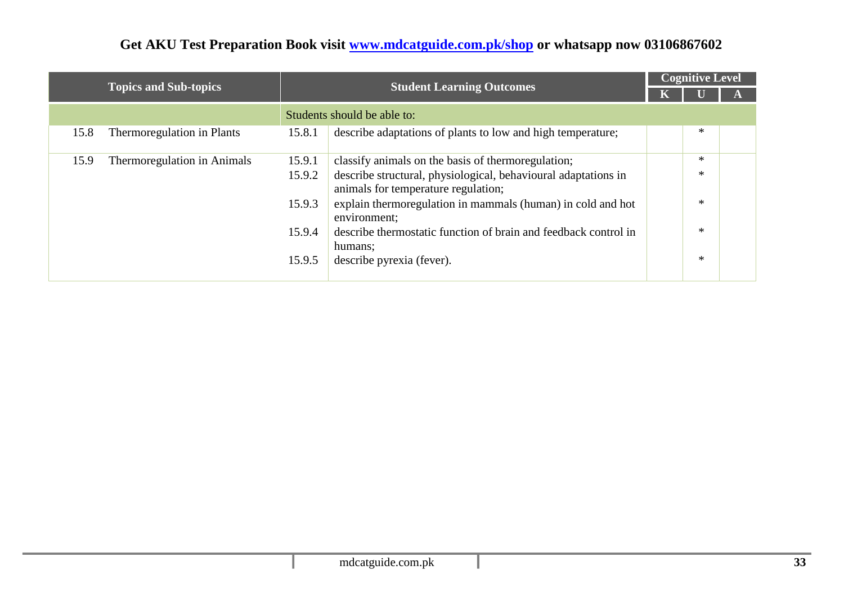|                                     |                                                                                                                 |  | <b>Cognitive Level</b> |  |
|-------------------------------------|-----------------------------------------------------------------------------------------------------------------|--|------------------------|--|
| <b>Topics and Sub-topics</b>        | <b>Student Learning Outcomes</b>                                                                                |  |                        |  |
|                                     | Students should be able to:                                                                                     |  |                        |  |
| 15.8<br>Thermoregulation in Plants  | describe adaptations of plants to low and high temperature;<br>15.8.1                                           |  | $\ast$                 |  |
| Thermoregulation in Animals<br>15.9 | classify animals on the basis of thermoregulation;<br>15.9.1                                                    |  | $\ast$                 |  |
|                                     | describe structural, physiological, behavioural adaptations in<br>15.9.2<br>animals for temperature regulation; |  | $\ast$                 |  |
|                                     | explain thermoregulation in mammals (human) in cold and hot<br>15.9.3<br>environment;                           |  | $\ast$                 |  |
|                                     | describe thermostatic function of brain and feedback control in<br>15.9.4<br>humans;                            |  | $\ast$                 |  |
|                                     | 15.9.5<br>describe pyrexia (fever).                                                                             |  | $\ast$                 |  |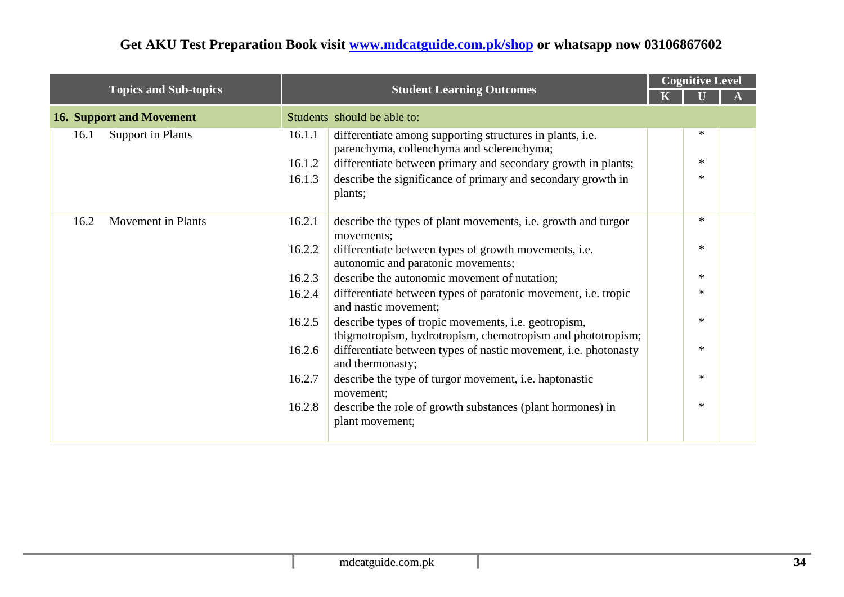|                                   |                                                                                                                  |  | <b>Cognitive Level</b> |  |
|-----------------------------------|------------------------------------------------------------------------------------------------------------------|--|------------------------|--|
| <b>Topics and Sub-topics</b>      | <b>Student Learning Outcomes</b>                                                                                 |  |                        |  |
| <b>16. Support and Movement</b>   | Students should be able to:                                                                                      |  |                        |  |
| <b>Support in Plants</b><br>16.1  | differentiate among supporting structures in plants, i.e.<br>16.1.1<br>parenchyma, collenchyma and sclerenchyma; |  | ∗                      |  |
|                                   | differentiate between primary and secondary growth in plants;<br>16.1.2                                          |  | $*$                    |  |
|                                   | describe the significance of primary and secondary growth in<br>16.1.3<br>plants;                                |  | $*$                    |  |
| 16.2<br><b>Movement</b> in Plants | describe the types of plant movements, i.e. growth and turgor<br>16.2.1<br>movements;                            |  | $\ast$                 |  |
|                                   | differentiate between types of growth movements, i.e.<br>16.2.2<br>autonomic and paratonic movements;            |  | $*$                    |  |
|                                   | describe the autonomic movement of nutation;<br>16.2.3                                                           |  | $*$                    |  |
|                                   | differentiate between types of paratonic movement, i.e. tropic<br>16.2.4<br>and nastic movement;                 |  | $\ast$                 |  |
|                                   | describe types of tropic movements, i.e. geotropism,<br>16.2.5                                                   |  | $*$                    |  |
|                                   | differentiate between types of nastic movement, i.e. photonasty<br>16.2.6<br>and thermonasty;                    |  | $\ast$                 |  |
|                                   | 16.2.7<br>describe the type of turgor movement, i.e. haptonastic                                                 |  | $*$                    |  |
|                                   | describe the role of growth substances (plant hormones) in<br>16.2.8<br>plant movement;                          |  | $*$                    |  |
|                                   | thigmotropism, hydrotropism, chemotropism and phototropism;<br>movement;                                         |  |                        |  |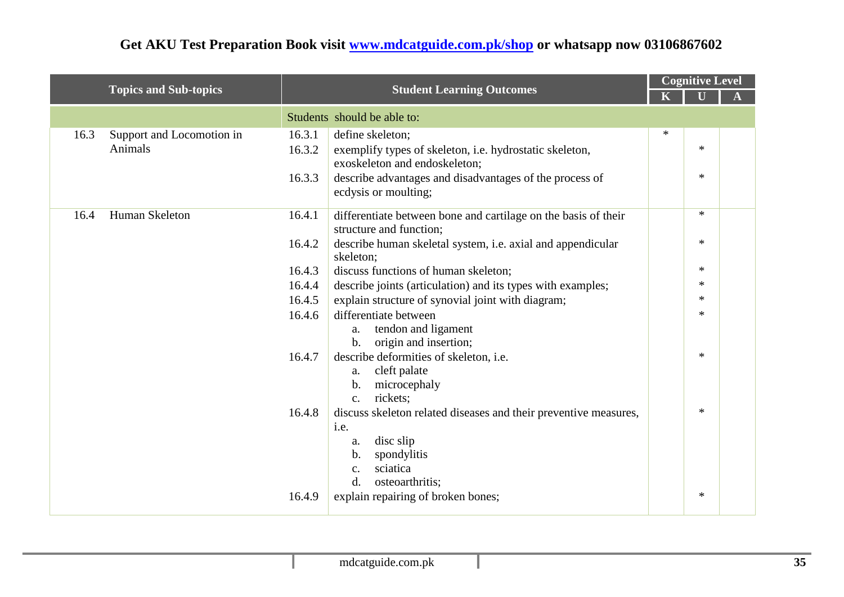| <b>Topics and Sub-topics</b> |                           |        | <b>Student Learning Outcomes</b>                                                          |        | <b>Cognitive Level</b> |  |  |
|------------------------------|---------------------------|--------|-------------------------------------------------------------------------------------------|--------|------------------------|--|--|
|                              |                           |        |                                                                                           |        |                        |  |  |
|                              |                           |        | Students should be able to:                                                               |        |                        |  |  |
| 16.3                         | Support and Locomotion in | 16.3.1 | define skeleton;                                                                          | $\ast$ |                        |  |  |
|                              | Animals                   | 16.3.2 | exemplify types of skeleton, i.e. hydrostatic skeleton,<br>exoskeleton and endoskeleton;  |        | $\ast$                 |  |  |
|                              |                           | 16.3.3 | describe advantages and disadvantages of the process of<br>ecdysis or moulting;           |        | $\ast$                 |  |  |
| 16.4                         | Human Skeleton            | 16.4.1 | differentiate between bone and cartilage on the basis of their<br>structure and function; |        | $\ast$                 |  |  |
|                              |                           | 16.4.2 | describe human skeletal system, i.e. axial and appendicular<br>skeleton;                  |        | $*$                    |  |  |
|                              |                           | 16.4.3 | discuss functions of human skeleton;                                                      |        | $\ast$                 |  |  |
|                              |                           | 16.4.4 | describe joints (articulation) and its types with examples;                               |        | $*$                    |  |  |
|                              |                           | 16.4.5 | explain structure of synovial joint with diagram;                                         |        | $\ast$                 |  |  |
|                              |                           | 16.4.6 | differentiate between                                                                     |        | $\ast$                 |  |  |
|                              |                           |        | tendon and ligament<br>a.                                                                 |        |                        |  |  |
|                              |                           |        | origin and insertion;<br>$\mathbf b$ .                                                    |        |                        |  |  |
|                              |                           | 16.4.7 | describe deformities of skeleton, i.e.                                                    |        | $\ast$                 |  |  |
|                              |                           |        | cleft palate<br>a.                                                                        |        |                        |  |  |
|                              |                           |        | microcephaly<br>b.<br>rickets;<br>$\mathbf{c}$ .                                          |        |                        |  |  |
|                              |                           | 16.4.8 | discuss skeleton related diseases and their preventive measures,                          |        | $\ast$                 |  |  |
|                              |                           |        | i.e.                                                                                      |        |                        |  |  |
|                              |                           |        | disc slip<br>a.                                                                           |        |                        |  |  |
|                              |                           |        | spondylitis<br>b.                                                                         |        |                        |  |  |
|                              |                           |        | sciatica<br>c.                                                                            |        |                        |  |  |
|                              |                           |        | d.<br>osteoarthritis;                                                                     |        |                        |  |  |
|                              |                           | 16.4.9 | explain repairing of broken bones;                                                        |        | ∗                      |  |  |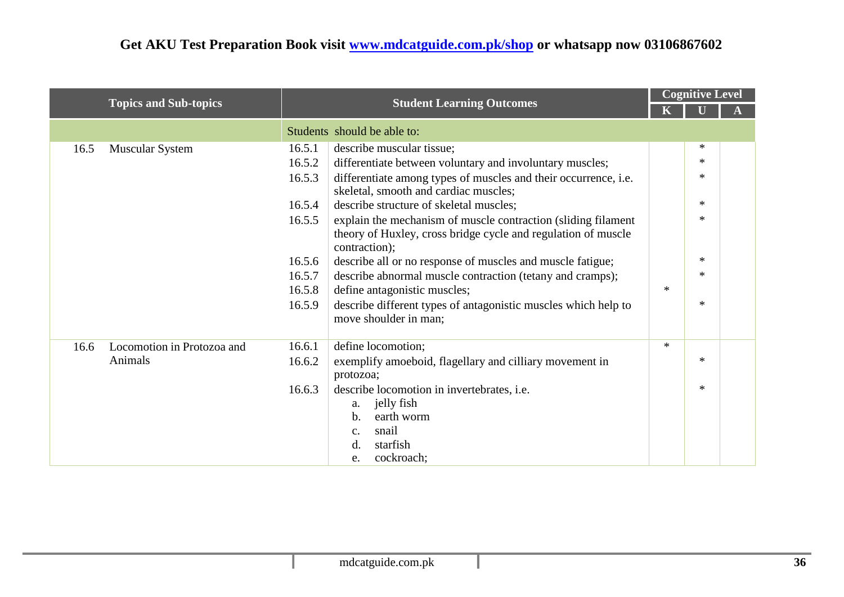|                                    |                                                                                            |                                                                                                                                | <b>Cognitive Level</b> |        |  |
|------------------------------------|--------------------------------------------------------------------------------------------|--------------------------------------------------------------------------------------------------------------------------------|------------------------|--------|--|
| <b>Topics and Sub-topics</b>       |                                                                                            | <b>Student Learning Outcomes</b>                                                                                               |                        |        |  |
|                                    | Students should be able to:                                                                |                                                                                                                                |                        |        |  |
| <b>Muscular System</b><br>16.5     | 16.5.1<br>describe muscular tissue;                                                        |                                                                                                                                |                        | ∗      |  |
|                                    | 16.5.2                                                                                     | differentiate between voluntary and involuntary muscles;                                                                       |                        | $\ast$ |  |
|                                    | 16.5.3                                                                                     | differentiate among types of muscles and their occurrence, i.e.<br>skeletal, smooth and cardiac muscles;                       |                        | $\ast$ |  |
|                                    | 16.5.4                                                                                     | describe structure of skeletal muscles;                                                                                        |                        | $*$    |  |
|                                    | 16.5.5<br>contraction);                                                                    | explain the mechanism of muscle contraction (sliding filament<br>theory of Huxley, cross bridge cycle and regulation of muscle |                        | $\ast$ |  |
|                                    | 16.5.6                                                                                     | describe all or no response of muscles and muscle fatigue;                                                                     |                        | $\ast$ |  |
|                                    | 16.5.7                                                                                     | describe abnormal muscle contraction (tetany and cramps);                                                                      |                        | ∗      |  |
|                                    | define antagonistic muscles;<br>16.5.8                                                     |                                                                                                                                | $\ast$                 |        |  |
|                                    | 16.5.9<br>move shoulder in man;                                                            | describe different types of antagonistic muscles which help to                                                                 |                        | $\ast$ |  |
| Locomotion in Protozoa and<br>16.6 | 16.6.1<br>define locomotion;                                                               |                                                                                                                                | $\ast$                 |        |  |
| Animals                            | 16.6.2<br>protozoa;                                                                        | exemplify amoeboid, flagellary and cilliary movement in                                                                        |                        | $\ast$ |  |
|                                    | 16.6.3<br>jelly fish<br>a.<br>earth worm<br>$\mathbf b$ .<br>snail<br>c.<br>starfish<br>d. | describe locomotion in invertebrates, i.e.                                                                                     |                        | $\ast$ |  |
|                                    | cockroach;<br>e.                                                                           |                                                                                                                                |                        |        |  |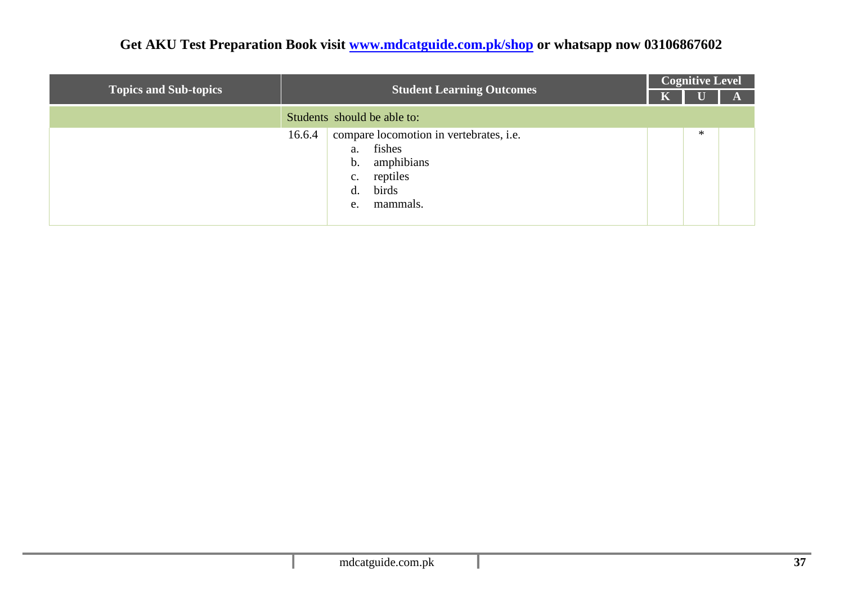| <b>Topics and Sub-topics</b> | <b>Student Learning Outcomes</b>                                                                                                                               | <b>Cognitive Level</b> |        |  |  |  |
|------------------------------|----------------------------------------------------------------------------------------------------------------------------------------------------------------|------------------------|--------|--|--|--|
|                              |                                                                                                                                                                |                        |        |  |  |  |
|                              | Students should be able to:                                                                                                                                    |                        |        |  |  |  |
|                              | compare locomotion in vertebrates, i.e.<br>16.6.4<br>fishes<br>a.<br>amphibians<br>$\mathbf b$ .<br>reptiles<br>$C_{\bullet}$<br>birds<br>d.<br>mammals.<br>e. |                        | $\ast$ |  |  |  |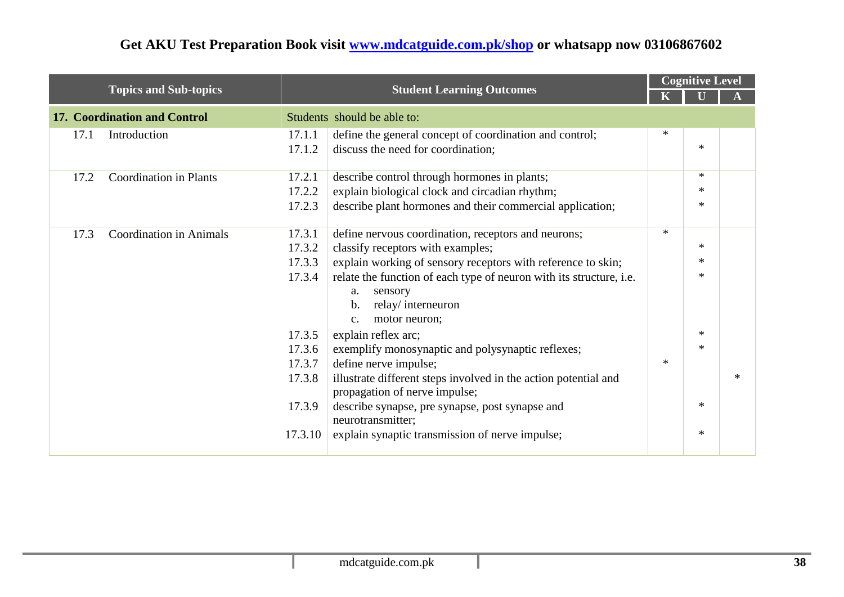|      |                                     |         |                                                                                                  | <b>Cognitive Level</b> |        |  |
|------|-------------------------------------|---------|--------------------------------------------------------------------------------------------------|------------------------|--------|--|
|      | <b>Topics and Sub-topics</b>        |         | <b>Student Learning Outcomes</b>                                                                 |                        |        |  |
|      | <b>17. Coordination and Control</b> |         | Students should be able to:                                                                      |                        |        |  |
| 17.1 | Introduction                        | 17.1.1  | define the general concept of coordination and control;                                          | $\ast$                 |        |  |
|      |                                     | 17.1.2  | discuss the need for coordination;                                                               |                        | $\ast$ |  |
| 17.2 | <b>Coordination in Plants</b>       | 17.2.1  | describe control through hormones in plants;                                                     |                        | $*$    |  |
|      |                                     | 17.2.2  | explain biological clock and circadian rhythm;                                                   |                        | $\ast$ |  |
|      |                                     | 17.2.3  | describe plant hormones and their commercial application;                                        |                        | $\ast$ |  |
| 17.3 | <b>Coordination in Animals</b>      | 17.3.1  | define nervous coordination, receptors and neurons;                                              | $\ast$                 |        |  |
|      |                                     | 17.3.2  | classify receptors with examples;                                                                |                        | $\ast$ |  |
|      |                                     | 17.3.3  | explain working of sensory receptors with reference to skin;                                     |                        | $\ast$ |  |
|      |                                     | 17.3.4  | relate the function of each type of neuron with its structure, i.e.                              |                        | $\ast$ |  |
|      |                                     |         | sensory<br>a.                                                                                    |                        |        |  |
|      |                                     |         | relay/interneuron<br>b.                                                                          |                        |        |  |
|      |                                     |         | motor neuron;<br>$C_{\star}$                                                                     |                        |        |  |
|      |                                     | 17.3.5  | explain reflex arc;                                                                              |                        | $*$    |  |
|      |                                     | 17.3.6  | exemplify monosynaptic and polysynaptic reflexes;                                                |                        | $*$    |  |
|      |                                     | 17.3.7  | define nerve impulse;                                                                            | $*$                    |        |  |
|      |                                     | 17.3.8  | illustrate different steps involved in the action potential and<br>propagation of nerve impulse; |                        |        |  |
|      |                                     | 17.3.9  | describe synapse, pre synapse, post synapse and<br>neurotransmitter;                             |                        | $*$    |  |
|      |                                     | 17.3.10 | explain synaptic transmission of nerve impulse;                                                  |                        | $\ast$ |  |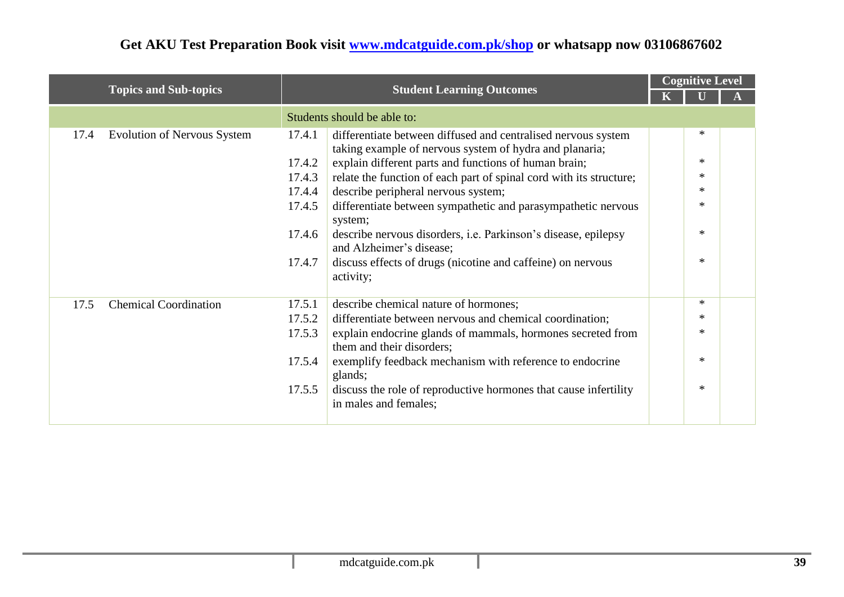|      |                                    |        |                                                                                                                          |  | <b>Cognitive Level</b> |  |
|------|------------------------------------|--------|--------------------------------------------------------------------------------------------------------------------------|--|------------------------|--|
|      | <b>Topics and Sub-topics</b>       |        | <b>Student Learning Outcomes</b>                                                                                         |  |                        |  |
|      |                                    |        | Students should be able to:                                                                                              |  |                        |  |
| 17.4 | <b>Evolution of Nervous System</b> | 17.4.1 | differentiate between diffused and centralised nervous system<br>taking example of nervous system of hydra and planaria; |  | $\ast$                 |  |
|      |                                    | 17.4.2 | explain different parts and functions of human brain;                                                                    |  | *                      |  |
|      |                                    | 17.4.3 | relate the function of each part of spinal cord with its structure;                                                      |  | $\ast$                 |  |
|      |                                    | 17.4.4 | describe peripheral nervous system;                                                                                      |  | $\ast$                 |  |
|      |                                    | 17.4.5 | differentiate between sympathetic and parasympathetic nervous<br>system;                                                 |  | *                      |  |
|      |                                    | 17.4.6 | describe nervous disorders, <i>i.e.</i> Parkinson's disease, epilepsy<br>and Alzheimer's disease;                        |  | $\ast$                 |  |
|      |                                    | 17.4.7 | discuss effects of drugs (nicotine and caffeine) on nervous<br>activity;                                                 |  | $\ast$                 |  |
| 17.5 | <b>Chemical Coordination</b>       | 17.5.1 | describe chemical nature of hormones;                                                                                    |  | ∗                      |  |
|      |                                    | 17.5.2 | differentiate between nervous and chemical coordination;                                                                 |  | $\ast$                 |  |
|      |                                    | 17.5.3 | explain endocrine glands of mammals, hormones secreted from<br>them and their disorders;                                 |  | $\ast$                 |  |
|      |                                    | 17.5.4 | exemplify feedback mechanism with reference to endocrine<br>glands;                                                      |  | $\ast$                 |  |
|      |                                    | 17.5.5 | discuss the role of reproductive hormones that cause infertility<br>in males and females;                                |  | $\ast$                 |  |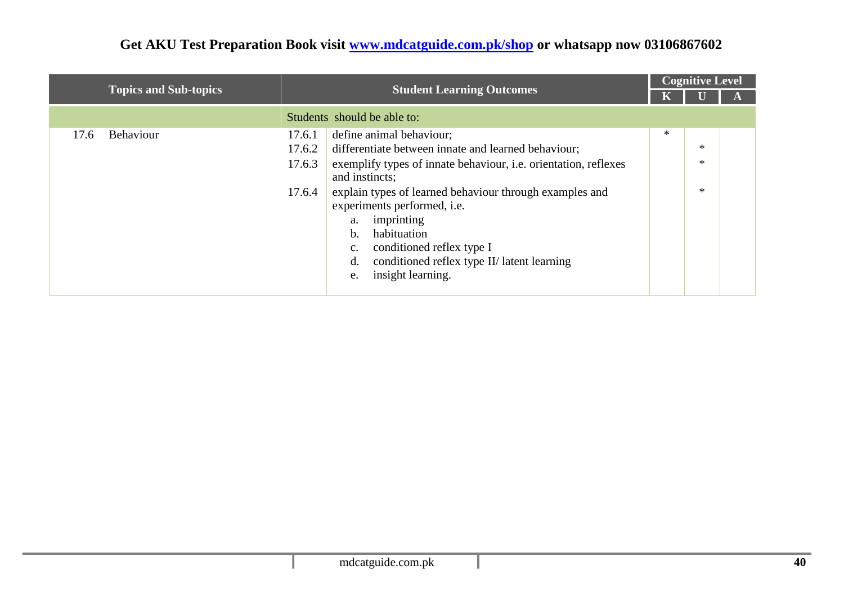|                              |                                                                                                                                                                                                                                                                                                                                                                                                                                                                           |        | <b>Cognitive Level</b> |  |  |  |
|------------------------------|---------------------------------------------------------------------------------------------------------------------------------------------------------------------------------------------------------------------------------------------------------------------------------------------------------------------------------------------------------------------------------------------------------------------------------------------------------------------------|--------|------------------------|--|--|--|
| <b>Topics and Sub-topics</b> | <b>Student Learning Outcomes</b>                                                                                                                                                                                                                                                                                                                                                                                                                                          |        |                        |  |  |  |
|                              | Students should be able to:                                                                                                                                                                                                                                                                                                                                                                                                                                               |        |                        |  |  |  |
| Behaviour<br>17.6            | define animal behaviour;<br>17.6.1<br>differentiate between innate and learned behaviour;<br>17.6.2<br>exemplify types of innate behaviour, <i>i.e.</i> orientation, reflexes<br>17.6.3<br>and instincts;<br>explain types of learned behaviour through examples and<br>17.6.4<br>experiments performed, i.e.<br>imprinting<br>a.<br>habituation<br>b.<br>conditioned reflex type I<br>c.<br>conditioned reflex type II/ latent learning<br>d.<br>insight learning.<br>e. | $\ast$ | *<br>*<br>*            |  |  |  |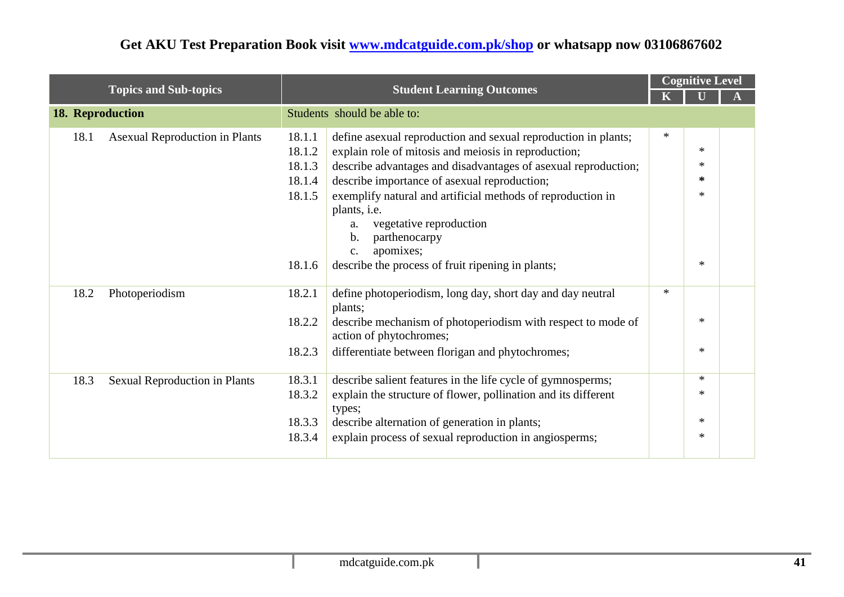|                  |                                       |        |                                                                                         |        | <b>Cognitive Level</b> |  |  |
|------------------|---------------------------------------|--------|-----------------------------------------------------------------------------------------|--------|------------------------|--|--|
|                  | <b>Topics and Sub-topics</b>          |        | <b>Student Learning Outcomes</b>                                                        |        |                        |  |  |
| 18. Reproduction |                                       |        | Students should be able to:                                                             |        |                        |  |  |
| 18.1             | <b>Asexual Reproduction in Plants</b> | 18.1.1 | define as exual reproduction and sexual reproduction in plants;                         | $\ast$ |                        |  |  |
|                  |                                       | 18.1.2 | explain role of mitosis and meiosis in reproduction;                                    |        | $\ast$                 |  |  |
|                  |                                       | 18.1.3 | describe advantages and disadvantages of asexual reproduction;                          |        | $\ast$                 |  |  |
|                  |                                       | 18.1.4 | describe importance of asexual reproduction;                                            |        | ∗                      |  |  |
|                  |                                       | 18.1.5 | exemplify natural and artificial methods of reproduction in                             |        | $\ast$                 |  |  |
|                  |                                       |        | plants, i.e.                                                                            |        |                        |  |  |
|                  |                                       |        | vegetative reproduction<br>a.                                                           |        |                        |  |  |
|                  |                                       |        | b.<br>parthenocarpy                                                                     |        |                        |  |  |
|                  |                                       |        | apomixes;<br>$C_{\bullet}$                                                              |        |                        |  |  |
|                  |                                       | 18.1.6 | describe the process of fruit ripening in plants;                                       |        | $\ast$                 |  |  |
| 18.2             | Photoperiodism                        | 18.2.1 | define photoperiodism, long day, short day and day neutral                              | $\ast$ |                        |  |  |
|                  |                                       |        | plants;                                                                                 |        | $\ast$                 |  |  |
|                  |                                       | 18.2.2 | describe mechanism of photoperiodism with respect to mode of<br>action of phytochromes; |        |                        |  |  |
|                  |                                       | 18.2.3 | differentiate between florigan and phytochromes;                                        |        | $\ast$                 |  |  |
| 18.3             | <b>Sexual Reproduction in Plants</b>  | 18.3.1 | describe salient features in the life cycle of gymnosperms;                             |        | $\ast$                 |  |  |
|                  |                                       | 18.3.2 | explain the structure of flower, pollination and its different<br>types;                |        | $\ast$                 |  |  |
|                  |                                       | 18.3.3 | describe alternation of generation in plants;                                           |        | $\ast$                 |  |  |
|                  |                                       | 18.3.4 | explain process of sexual reproduction in angiosperms;                                  |        | $\ast$                 |  |  |
|                  |                                       |        |                                                                                         |        |                        |  |  |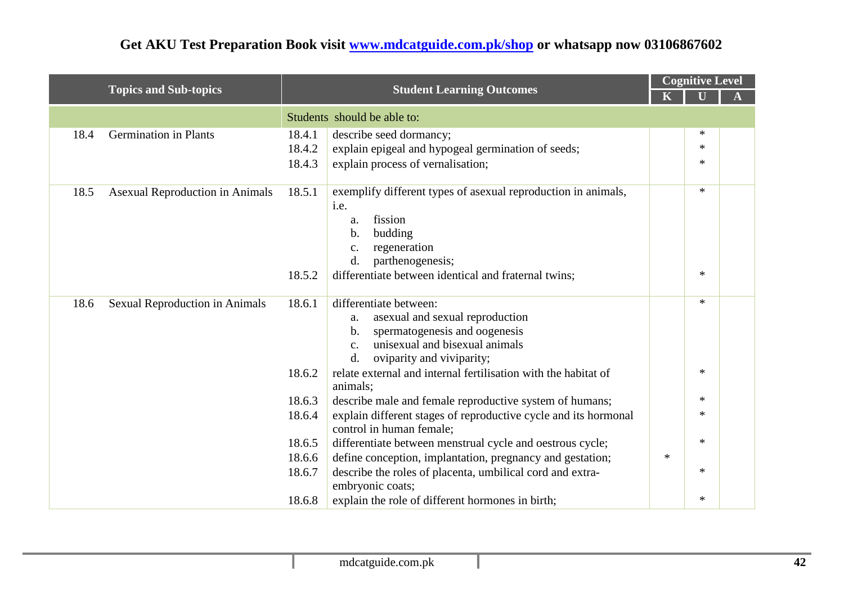|                                                |        |                                                                                             |        | <b>Cognitive Level</b> |  |  |
|------------------------------------------------|--------|---------------------------------------------------------------------------------------------|--------|------------------------|--|--|
| <b>Topics and Sub-topics</b>                   |        | <b>Student Learning Outcomes</b>                                                            |        |                        |  |  |
|                                                |        | Students should be able to:                                                                 |        |                        |  |  |
| <b>Germination in Plants</b><br>18.4           | 18.4.1 | describe seed dormancy;                                                                     |        | $\ast$                 |  |  |
|                                                | 18.4.2 | explain epigeal and hypogeal germination of seeds;                                          |        | $\ast$                 |  |  |
|                                                | 18.4.3 | explain process of vernalisation;                                                           |        | $\ast$                 |  |  |
|                                                |        |                                                                                             |        |                        |  |  |
| 18.5<br><b>Asexual Reproduction in Animals</b> | 18.5.1 | exemplify different types of asexual reproduction in animals,                               |        | $\ast$                 |  |  |
|                                                |        | i.e.                                                                                        |        |                        |  |  |
|                                                |        | fission<br>a.                                                                               |        |                        |  |  |
|                                                |        | budding<br>b.<br>regeneration<br>c.                                                         |        |                        |  |  |
|                                                |        | d.<br>parthenogenesis;                                                                      |        |                        |  |  |
|                                                | 18.5.2 | differentiate between identical and fraternal twins;                                        |        | $\ast$                 |  |  |
|                                                |        |                                                                                             |        |                        |  |  |
| 18.6<br>Sexual Reproduction in Animals         | 18.6.1 | differentiate between:                                                                      |        | $\ast$                 |  |  |
|                                                |        | asexual and sexual reproduction<br>a.                                                       |        |                        |  |  |
|                                                |        | spermatogenesis and oogenesis<br>b.                                                         |        |                        |  |  |
|                                                |        | unisexual and bisexual animals<br>c.                                                        |        |                        |  |  |
|                                                |        | oviparity and viviparity;<br>$\mathbf{d}$ .                                                 |        | $\ast$                 |  |  |
|                                                | 18.6.2 | relate external and internal fertilisation with the habitat of<br>animals;                  |        |                        |  |  |
|                                                | 18.6.3 | describe male and female reproductive system of humans;                                     |        | $\ast$                 |  |  |
|                                                | 18.6.4 | explain different stages of reproductive cycle and its hormonal<br>control in human female; |        | $\ast$                 |  |  |
|                                                | 18.6.5 | differentiate between menstrual cycle and oestrous cycle;                                   |        | $\ast$                 |  |  |
|                                                | 18.6.6 | define conception, implantation, pregnancy and gestation;                                   | $\ast$ |                        |  |  |
|                                                | 18.6.7 | describe the roles of placenta, umbilical cord and extra-                                   |        | $\ast$                 |  |  |
|                                                |        | embryonic coats;                                                                            |        |                        |  |  |
|                                                | 18.6.8 | explain the role of different hormones in birth;                                            |        | $\ast$                 |  |  |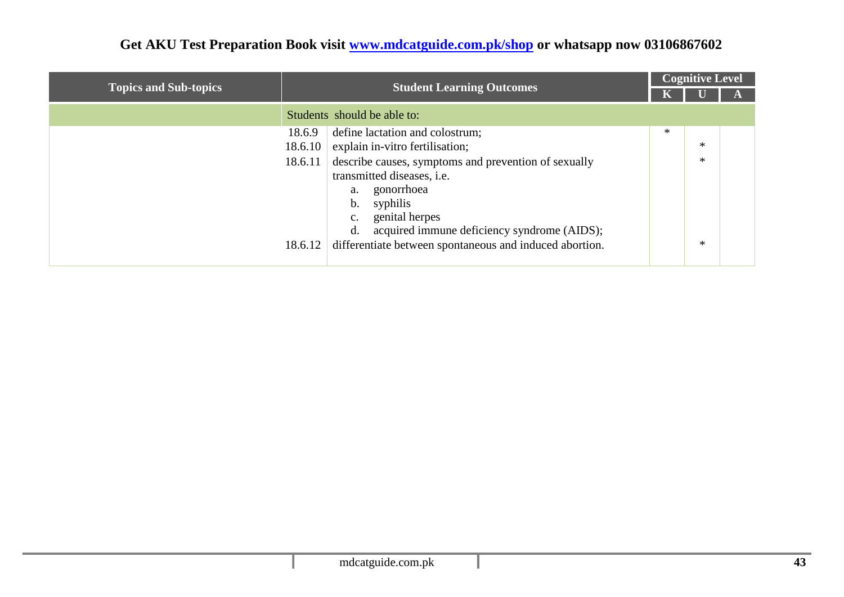|                              | <b>Student Learning Outcomes</b>                                   |     | <b>Cognitive Level</b> |  |
|------------------------------|--------------------------------------------------------------------|-----|------------------------|--|
| <b>Topics and Sub-topics</b> |                                                                    |     |                        |  |
|                              | Students should be able to:                                        |     |                        |  |
|                              | 18.6.9<br>define lactation and colostrum;                          | $*$ |                        |  |
|                              | explain in-vitro fertilisation;<br>18.6.10                         |     | *                      |  |
|                              | describe causes, symptoms and prevention of sexually<br>18.6.11    |     | $\ast$                 |  |
|                              | transmitted diseases, <i>i.e.</i>                                  |     |                        |  |
|                              | gonorrhoea<br>a.                                                   |     |                        |  |
|                              | syphilis<br>b.                                                     |     |                        |  |
|                              | genital herpes<br>c.                                               |     |                        |  |
|                              | d.<br>acquired immune deficiency syndrome (AIDS);                  |     |                        |  |
|                              | differentiate between spontaneous and induced abortion.<br>18.6.12 |     | $\ast$                 |  |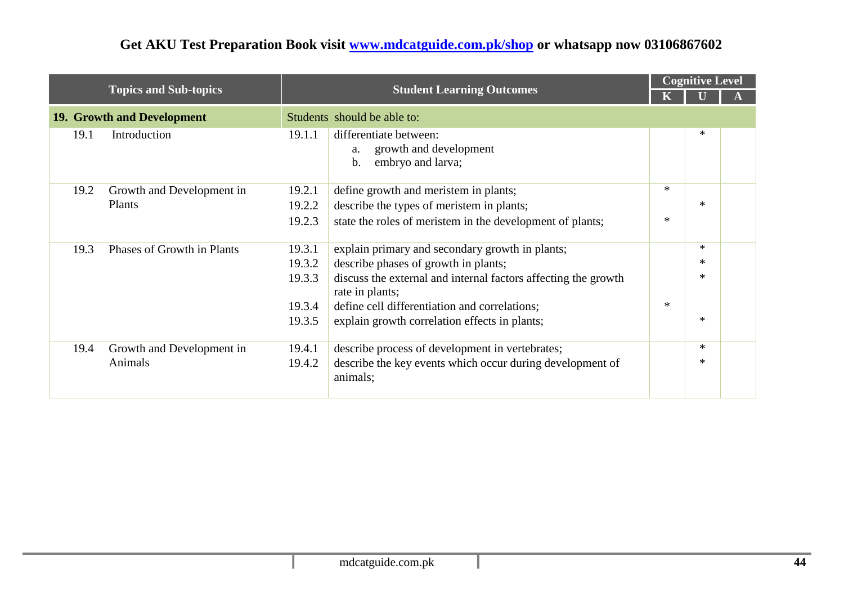|      |                                   |        |                                                                                              |        | <b>Cognitive Level</b> |  |  |
|------|-----------------------------------|--------|----------------------------------------------------------------------------------------------|--------|------------------------|--|--|
|      | <b>Topics and Sub-topics</b>      |        | <b>Student Learning Outcomes</b>                                                             |        |                        |  |  |
|      | <b>19. Growth and Development</b> |        | Students should be able to:                                                                  |        |                        |  |  |
| 19.1 | Introduction                      | 19.1.1 | differentiate between:<br>growth and development<br>a.<br>embryo and larva;<br>$\mathbf b$ . |        | $\ast$                 |  |  |
| 19.2 | Growth and Development in         | 19.2.1 | define growth and meristem in plants;                                                        | $\ast$ |                        |  |  |
|      | Plants                            | 19.2.2 | describe the types of meristem in plants;                                                    |        | $\ast$                 |  |  |
|      |                                   | 19.2.3 | state the roles of meristem in the development of plants;                                    | $\ast$ |                        |  |  |
| 19.3 | Phases of Growth in Plants        | 19.3.1 | explain primary and secondary growth in plants;                                              |        | $\ast$                 |  |  |
|      |                                   | 19.3.2 | describe phases of growth in plants;                                                         |        | $\ast$                 |  |  |
|      |                                   | 19.3.3 | discuss the external and internal factors affecting the growth<br>rate in plants;            |        | $\ast$                 |  |  |
|      |                                   | 19.3.4 | define cell differentiation and correlations;                                                | $\ast$ |                        |  |  |
|      |                                   | 19.3.5 | explain growth correlation effects in plants;                                                |        | $\ast$                 |  |  |
| 19.4 | Growth and Development in         | 19.4.1 | describe process of development in vertebrates;                                              |        | $\ast$                 |  |  |
|      | Animals                           | 19.4.2 | describe the key events which occur during development of<br>animals;                        |        | $\ast$                 |  |  |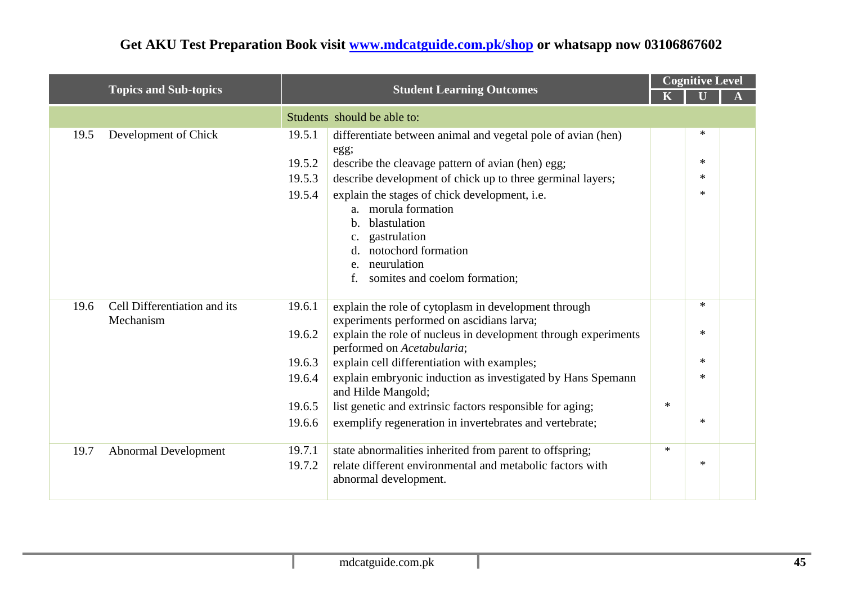|      |                              |                                      |                                                                                                                                                                                                                                                                                                                                                                                    |        | <b>Cognitive Level</b>               |  |
|------|------------------------------|--------------------------------------|------------------------------------------------------------------------------------------------------------------------------------------------------------------------------------------------------------------------------------------------------------------------------------------------------------------------------------------------------------------------------------|--------|--------------------------------------|--|
|      | <b>Topics and Sub-topics</b> |                                      | <b>Student Learning Outcomes</b>                                                                                                                                                                                                                                                                                                                                                   |        |                                      |  |
|      |                              |                                      | Students should be able to:                                                                                                                                                                                                                                                                                                                                                        |        |                                      |  |
| 19.5 | Development of Chick         | 19.5.1<br>19.5.2<br>19.5.3<br>19.5.4 | differentiate between animal and vegetal pole of avian (hen)<br>egg;<br>describe the cleavage pattern of avian (hen) egg;<br>describe development of chick up to three germinal layers;<br>explain the stages of chick development, i.e.<br>a. morula formation<br>blastulation<br>b.<br>gastrulation<br>notochord formation<br>neurulation<br>e.<br>somites and coelom formation; |        | $\ast$<br>$\ast$<br>$\ast$<br>$\ast$ |  |
| 19.6 | Cell Differentiation and its | 19.6.1                               | explain the role of cytoplasm in development through                                                                                                                                                                                                                                                                                                                               |        | $\ast$                               |  |
|      | Mechanism                    | 19.6.2                               | experiments performed on ascidians larva;<br>explain the role of nucleus in development through experiments<br>performed on Acetabularia;                                                                                                                                                                                                                                          |        | $\ast$                               |  |
|      |                              | 19.6.3                               | explain cell differentiation with examples;                                                                                                                                                                                                                                                                                                                                        |        | $*$                                  |  |
|      |                              | 19.6.4                               | explain embryonic induction as investigated by Hans Spemann<br>and Hilde Mangold;                                                                                                                                                                                                                                                                                                  |        | $\ast$                               |  |
|      |                              | 19.6.5                               | list genetic and extrinsic factors responsible for aging;                                                                                                                                                                                                                                                                                                                          | $\ast$ |                                      |  |
|      |                              | 19.6.6                               | exemplify regeneration in invertebrates and vertebrate;                                                                                                                                                                                                                                                                                                                            |        | $\ast$                               |  |
| 19.7 | <b>Abnormal Development</b>  | 19.7.1<br>19.7.2                     | state abnormalities inherited from parent to offspring;<br>relate different environmental and metabolic factors with<br>abnormal development.                                                                                                                                                                                                                                      | $\ast$ | $\ast$                               |  |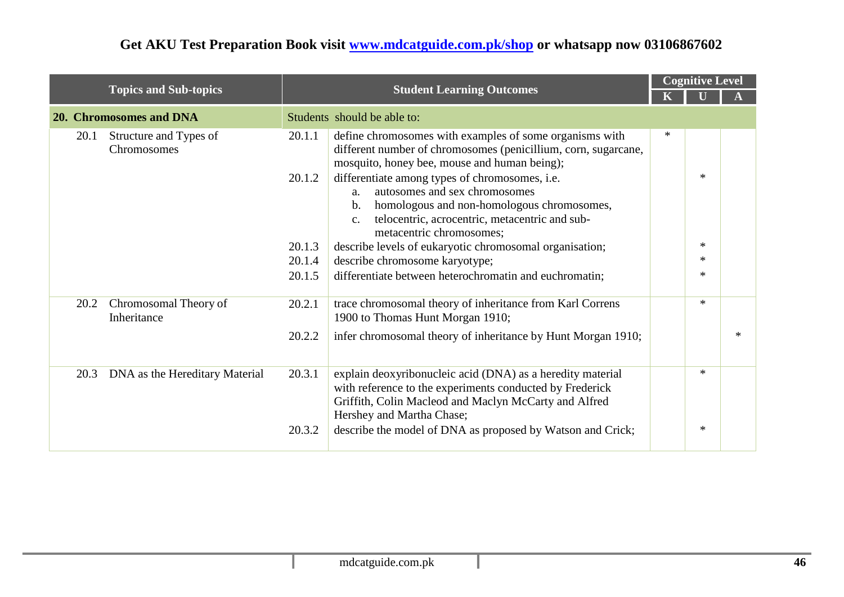|      |                                       |        |                                                                                                                                                                                                                                                      |   | <b>Cognitive Level</b> |        |  |
|------|---------------------------------------|--------|------------------------------------------------------------------------------------------------------------------------------------------------------------------------------------------------------------------------------------------------------|---|------------------------|--------|--|
|      | <b>Topics and Sub-topics</b>          |        | <b>Student Learning Outcomes</b>                                                                                                                                                                                                                     |   |                        |        |  |
|      | 20. Chromosomes and DNA               |        | Students should be able to:                                                                                                                                                                                                                          |   |                        |        |  |
| 20.1 | Structure and Types of<br>Chromosomes | 20.1.1 | define chromosomes with examples of some organisms with<br>different number of chromosomes (penicillium, corn, sugarcane,<br>mosquito, honey bee, mouse and human being);                                                                            | ∗ |                        |        |  |
|      |                                       | 20.1.2 | differentiate among types of chromosomes, i.e.<br>autosomes and sex chromosomes<br>a.<br>homologous and non-homologous chromosomes,<br>$\mathbf b$ .<br>telocentric, acrocentric, metacentric and sub-<br>$\mathbf{c}$ .<br>metacentric chromosomes; |   | $\ast$                 |        |  |
|      |                                       | 20.1.3 | describe levels of eukaryotic chromosomal organisation;                                                                                                                                                                                              |   | $*$                    |        |  |
|      |                                       | 20.1.4 | describe chromosome karyotype;                                                                                                                                                                                                                       |   | $\ast$                 |        |  |
|      |                                       | 20.1.5 | differentiate between heterochromatin and euchromatin;                                                                                                                                                                                               |   | $\ast$                 |        |  |
| 20.2 | Chromosomal Theory of<br>Inheritance  | 20.2.1 | trace chromosomal theory of inheritance from Karl Correns<br>1900 to Thomas Hunt Morgan 1910;                                                                                                                                                        |   | $*$                    |        |  |
|      |                                       | 20.2.2 | infer chromosomal theory of inheritance by Hunt Morgan 1910;                                                                                                                                                                                         |   |                        | $\ast$ |  |
| 20.3 | DNA as the Hereditary Material        | 20.3.1 | explain deoxyribonucleic acid (DNA) as a heredity material<br>with reference to the experiments conducted by Frederick<br>Griffith, Colin Macleod and Maclyn McCarty and Alfred<br>Hershey and Martha Chase;                                         |   | $*$                    |        |  |
|      |                                       | 20.3.2 | describe the model of DNA as proposed by Watson and Crick;                                                                                                                                                                                           |   | $\ast$                 |        |  |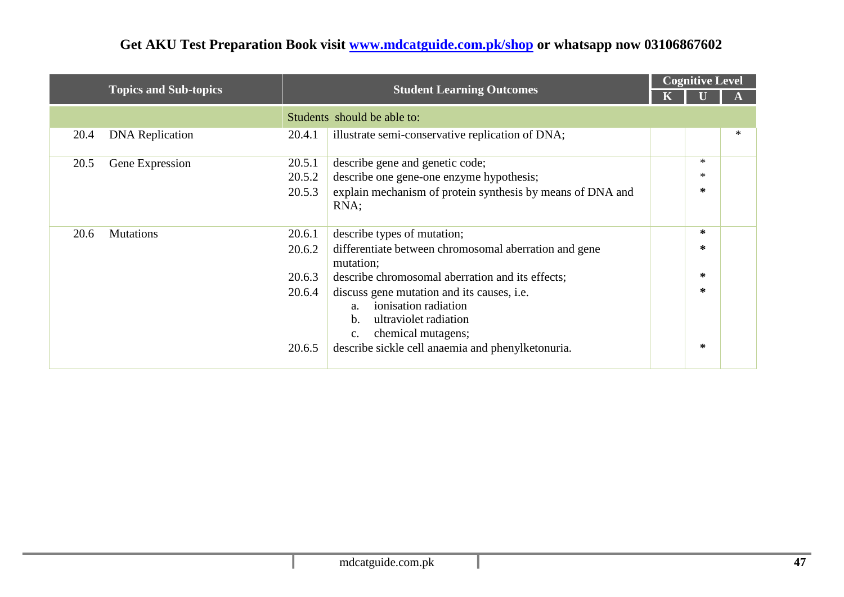|      |                              |        |                                                                                                                                                 | <b>Cognitive Level</b> |  |
|------|------------------------------|--------|-------------------------------------------------------------------------------------------------------------------------------------------------|------------------------|--|
|      | <b>Topics and Sub-topics</b> |        | <b>Student Learning Outcomes</b>                                                                                                                |                        |  |
|      |                              |        | Students should be able to:                                                                                                                     |                        |  |
| 20.4 | <b>DNA</b> Replication       | 20.4.1 | illustrate semi-conservative replication of DNA;                                                                                                |                        |  |
| 20.5 | Gene Expression              | 20.5.1 | describe gene and genetic code;                                                                                                                 | ∗                      |  |
|      |                              | 20.5.2 | describe one gene-one enzyme hypothesis;                                                                                                        | $\ast$                 |  |
|      |                              | 20.5.3 | explain mechanism of protein synthesis by means of DNA and<br>RNA;                                                                              | ∗                      |  |
| 20.6 | <b>Mutations</b>             | 20.6.1 | describe types of mutation;                                                                                                                     | ∗                      |  |
|      |                              | 20.6.2 | differentiate between chromosomal aberration and gene<br>mutation;                                                                              | ∗                      |  |
|      |                              | 20.6.3 | describe chromosomal aberration and its effects;                                                                                                | ∗                      |  |
|      |                              | 20.6.4 | discuss gene mutation and its causes, i.e.<br>ionisation radiation<br>a.<br>ultraviolet radiation<br>$\mathbf{b}$ .<br>chemical mutagens;<br>c. | ∗                      |  |
|      |                              | 20.6.5 | describe sickle cell anaemia and phenylketonuria.                                                                                               | ∗                      |  |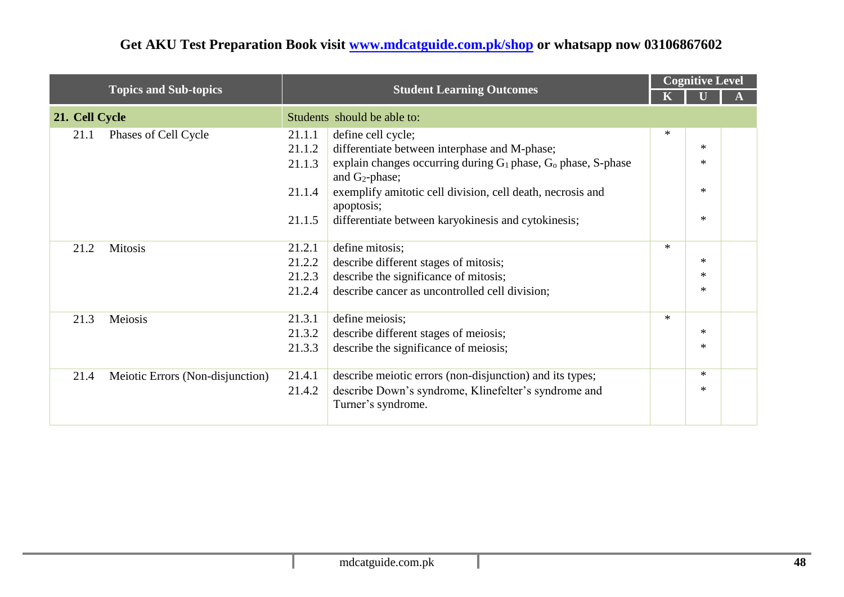|                |                                  |        |                                                                                         |        | <b>Cognitive Level</b> |  |
|----------------|----------------------------------|--------|-----------------------------------------------------------------------------------------|--------|------------------------|--|
|                | <b>Topics and Sub-topics</b>     |        | <b>Student Learning Outcomes</b>                                                        |        |                        |  |
| 21. Cell Cycle |                                  |        | Students should be able to:                                                             |        |                        |  |
| 21.1           | Phases of Cell Cycle             | 21.1.1 | define cell cycle;                                                                      | $\ast$ |                        |  |
|                |                                  | 21.1.2 | differentiate between interphase and M-phase;                                           |        | $\ast$                 |  |
|                |                                  | 21.1.3 | explain changes occurring during $G_1$ phase, $G_0$ phase, S-phase<br>and $G_2$ -phase; |        | $\ast$                 |  |
|                |                                  | 21.1.4 | exemplify amitotic cell division, cell death, necrosis and<br>apoptosis;                |        | $\ast$                 |  |
|                |                                  | 21.1.5 | differentiate between karyokinesis and cytokinesis;                                     |        | $\ast$                 |  |
| 21.2           | <b>Mitosis</b>                   | 21.2.1 | define mitosis;                                                                         | $*$    |                        |  |
|                |                                  | 21.2.2 | describe different stages of mitosis;                                                   |        | $\ast$                 |  |
|                |                                  | 21.2.3 | describe the significance of mitosis;                                                   |        | $\ast$                 |  |
|                |                                  | 21.2.4 | describe cancer as uncontrolled cell division;                                          |        | $\ast$                 |  |
| 21.3           | Meiosis                          | 21.3.1 | define meiosis;                                                                         | $\ast$ |                        |  |
|                |                                  | 21.3.2 | describe different stages of meiosis;                                                   |        | $\ast$                 |  |
|                |                                  | 21.3.3 | describe the significance of meiosis;                                                   |        | $\ast$                 |  |
| 21.4           | Meiotic Errors (Non-disjunction) | 21.4.1 | describe meiotic errors (non-disjunction) and its types;                                |        | $\ast$                 |  |
|                |                                  | 21.4.2 | describe Down's syndrome, Klinefelter's syndrome and                                    |        | $\ast$                 |  |
|                |                                  |        | Turner's syndrome.                                                                      |        |                        |  |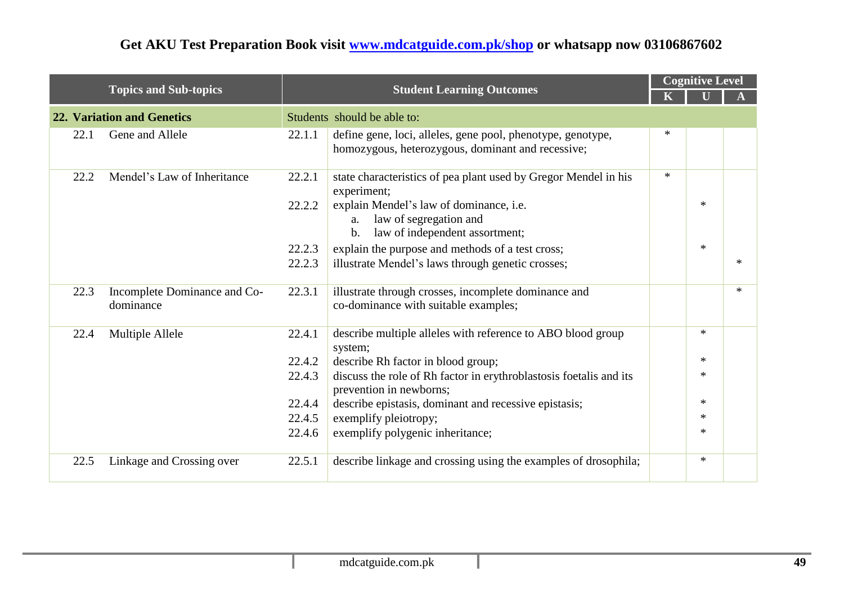|      |                                           |        |                                                                                                                             | <b>Cognitive Level</b> |        |        |  |  |
|------|-------------------------------------------|--------|-----------------------------------------------------------------------------------------------------------------------------|------------------------|--------|--------|--|--|
|      | <b>Topics and Sub-topics</b>              |        | <b>Student Learning Outcomes</b>                                                                                            |                        |        |        |  |  |
|      | <b>22. Variation and Genetics</b>         |        | Students should be able to:                                                                                                 |                        |        |        |  |  |
| 22.1 | Gene and Allele                           | 22.1.1 | define gene, loci, alleles, gene pool, phenotype, genotype,<br>homozygous, heterozygous, dominant and recessive;            | $\ast$                 |        |        |  |  |
| 22.2 | Mendel's Law of Inheritance               | 22.2.1 | state characteristics of pea plant used by Gregor Mendel in his<br>experiment;                                              | $\ast$                 |        |        |  |  |
|      |                                           | 22.2.2 | explain Mendel's law of dominance, i.e.<br>law of segregation and<br>a.<br>law of independent assortment;<br>$\mathbf{b}$ . |                        | $\ast$ |        |  |  |
|      |                                           | 22.2.3 | explain the purpose and methods of a test cross;                                                                            |                        | $*$    |        |  |  |
|      |                                           | 22.2.3 | illustrate Mendel's laws through genetic crosses;                                                                           |                        |        | $\ast$ |  |  |
| 22.3 | Incomplete Dominance and Co-<br>dominance | 22.3.1 | illustrate through crosses, incomplete dominance and<br>co-dominance with suitable examples;                                |                        |        | $\ast$ |  |  |
| 22.4 | Multiple Allele                           | 22.4.1 | describe multiple alleles with reference to ABO blood group<br>system;                                                      |                        | $*$    |        |  |  |
|      |                                           | 22.4.2 | describe Rh factor in blood group;                                                                                          |                        | $*$    |        |  |  |
|      |                                           | 22.4.3 | discuss the role of Rh factor in erythroblastosis foetalis and its<br>prevention in newborns;                               |                        | $\ast$ |        |  |  |
|      |                                           | 22.4.4 | describe epistasis, dominant and recessive epistasis;                                                                       |                        | $*$    |        |  |  |
|      |                                           | 22.4.5 | exemplify pleiotropy;                                                                                                       |                        | $\ast$ |        |  |  |
|      |                                           | 22.4.6 | exemplify polygenic inheritance;                                                                                            |                        | $\ast$ |        |  |  |
| 22.5 | Linkage and Crossing over                 | 22.5.1 | describe linkage and crossing using the examples of drosophila;                                                             |                        | $*$    |        |  |  |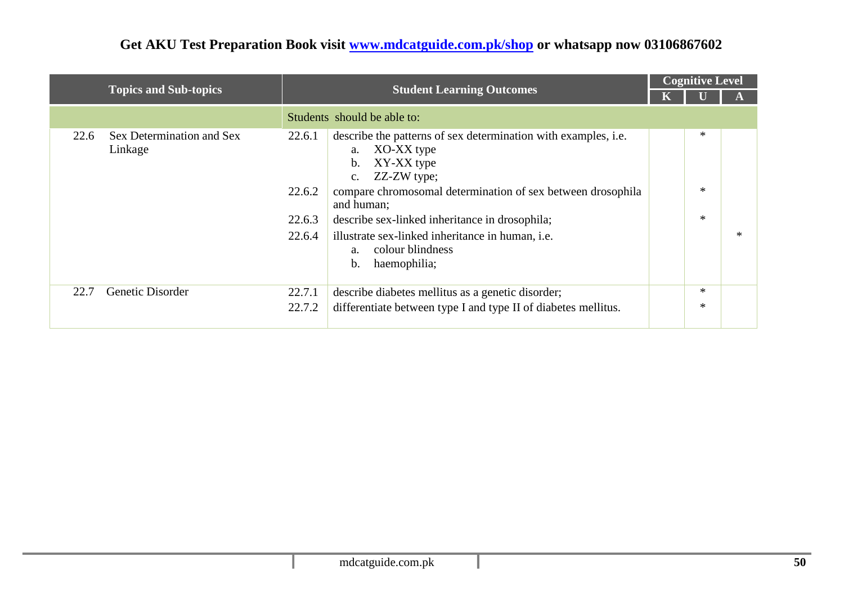|      |                                      |                                      |                                                                                                                                                                                                                                                                                                                                                                                              |  | <b>Cognitive Level</b> |        |  |
|------|--------------------------------------|--------------------------------------|----------------------------------------------------------------------------------------------------------------------------------------------------------------------------------------------------------------------------------------------------------------------------------------------------------------------------------------------------------------------------------------------|--|------------------------|--------|--|
|      | <b>Topics and Sub-topics</b>         | <b>Student Learning Outcomes</b>     |                                                                                                                                                                                                                                                                                                                                                                                              |  |                        |        |  |
|      |                                      |                                      | Students should be able to:                                                                                                                                                                                                                                                                                                                                                                  |  |                        |        |  |
| 22.6 | Sex Determination and Sex<br>Linkage | 22.6.1<br>22.6.2<br>22.6.3<br>22.6.4 | describe the patterns of sex determination with examples, i.e.<br>XO-XX type<br>a.<br>XY-XX type<br>$\mathbf{b}$ .<br>ZZ-ZW type;<br>$C_{\bullet}$<br>compare chromosomal determination of sex between drosophila<br>and human;<br>describe sex-linked inheritance in drosophila;<br>illustrate sex-linked inheritance in human, <i>i.e.</i><br>colour blindness<br>a.<br>haemophilia;<br>b. |  | ∗<br>$\ast$<br>$\ast$  | $\ast$ |  |
| 22.7 | Genetic Disorder                     | 22.7.1<br>22.7.2                     | describe diabetes mellitus as a genetic disorder;<br>differentiate between type I and type II of diabetes mellitus.                                                                                                                                                                                                                                                                          |  | ∗<br>∗                 |        |  |
|      |                                      |                                      |                                                                                                                                                                                                                                                                                                                                                                                              |  |                        |        |  |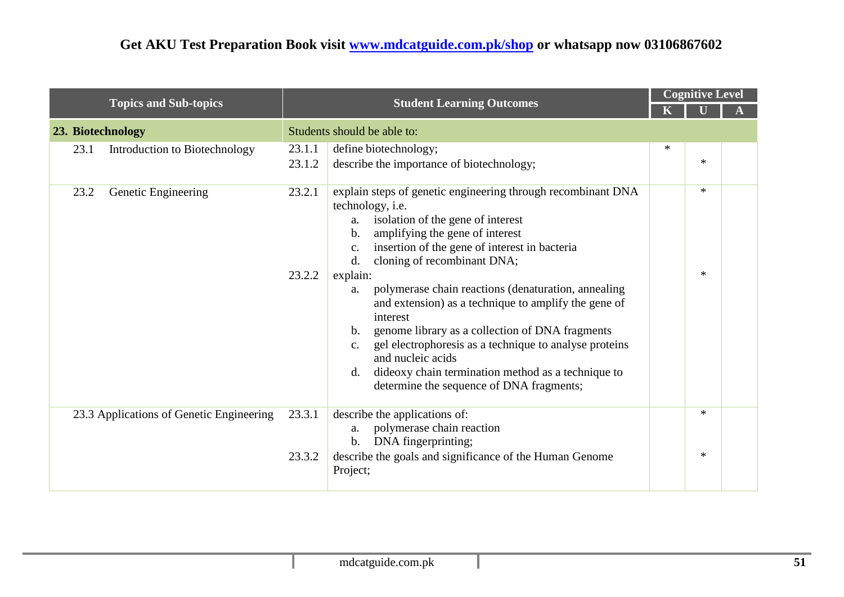|                                          | <b>Student Learning Outcomes</b> |                                                                                                                                                                                                                                                                                                                                                                                                                                                                                                                                                                                                                                                                     | <b>Cognitive Level</b> |                  |  |  |
|------------------------------------------|----------------------------------|---------------------------------------------------------------------------------------------------------------------------------------------------------------------------------------------------------------------------------------------------------------------------------------------------------------------------------------------------------------------------------------------------------------------------------------------------------------------------------------------------------------------------------------------------------------------------------------------------------------------------------------------------------------------|------------------------|------------------|--|--|
| <b>Topics and Sub-topics</b>             |                                  |                                                                                                                                                                                                                                                                                                                                                                                                                                                                                                                                                                                                                                                                     |                        |                  |  |  |
| 23. Biotechnology                        |                                  | Students should be able to:                                                                                                                                                                                                                                                                                                                                                                                                                                                                                                                                                                                                                                         |                        |                  |  |  |
| Introduction to Biotechnology<br>23.1    | 23.1.1                           | define biotechnology;                                                                                                                                                                                                                                                                                                                                                                                                                                                                                                                                                                                                                                               | $\ast$                 |                  |  |  |
|                                          | 23.1.2                           | describe the importance of biotechnology;                                                                                                                                                                                                                                                                                                                                                                                                                                                                                                                                                                                                                           |                        | $\ast$           |  |  |
| Genetic Engineering<br>23.2              | 23.2.1<br>23.2.2                 | explain steps of genetic engineering through recombinant DNA<br>technology, i.e.<br>isolation of the gene of interest<br>a.<br>amplifying the gene of interest<br>b.<br>insertion of the gene of interest in bacteria<br>c.<br>cloning of recombinant DNA;<br>d.<br>explain:<br>polymerase chain reactions (denaturation, annealing<br>a.<br>and extension) as a technique to amplify the gene of<br>interest<br>genome library as a collection of DNA fragments<br>b.<br>gel electrophoresis as a technique to analyse proteins<br>c.<br>and nucleic acids<br>dideoxy chain termination method as a technique to<br>d.<br>determine the sequence of DNA fragments; |                        | $\ast$<br>$\ast$ |  |  |
| 23.3 Applications of Genetic Engineering | 23.3.1                           | describe the applications of:<br>polymerase chain reaction<br>a.<br>DNA fingerprinting;<br>$\mathbf b$ .                                                                                                                                                                                                                                                                                                                                                                                                                                                                                                                                                            |                        | $\ast$           |  |  |
|                                          | 23.3.2                           | describe the goals and significance of the Human Genome<br>Project;                                                                                                                                                                                                                                                                                                                                                                                                                                                                                                                                                                                                 |                        | $\ast$           |  |  |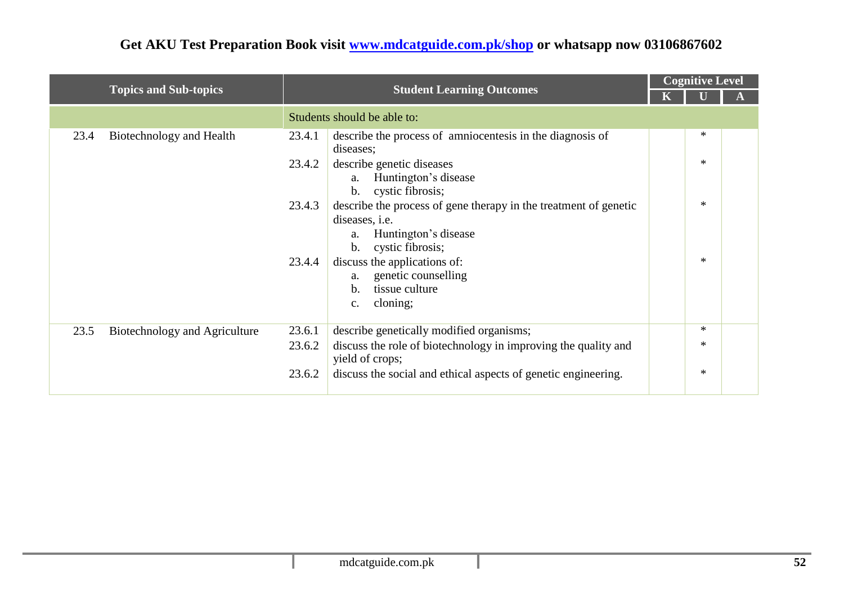|                                       |                                                                                                                                                                         |  | <b>Cognitive Level</b> |  |  |
|---------------------------------------|-------------------------------------------------------------------------------------------------------------------------------------------------------------------------|--|------------------------|--|--|
| <b>Topics and Sub-topics</b>          | <b>Student Learning Outcomes</b>                                                                                                                                        |  |                        |  |  |
|                                       | Students should be able to:                                                                                                                                             |  |                        |  |  |
| Biotechnology and Health<br>23.4      | describe the process of amniocentesis in the diagnosis of<br>23.4.1<br>diseases;                                                                                        |  | ∗                      |  |  |
|                                       | describe genetic diseases<br>23.4.2<br>Huntington's disease<br>a.<br>b. cystic fibrosis;                                                                                |  | $\ast$                 |  |  |
|                                       | describe the process of gene therapy in the treatment of genetic<br>23.4.3<br>diseases, <i>i.e.</i><br>Huntington's disease<br>a.<br>cystic fibrosis;<br>$\mathbf{b}$ . |  | $\ast$                 |  |  |
|                                       | discuss the applications of:<br>23.4.4<br>genetic counselling<br>a.<br>tissue culture<br>b.<br>cloning;<br>c.                                                           |  | $\ast$                 |  |  |
| 23.5<br>Biotechnology and Agriculture | 23.6.1<br>describe genetically modified organisms;                                                                                                                      |  | $\ast$                 |  |  |
|                                       | discuss the role of biotechnology in improving the quality and<br>23.6.2<br>yield of crops;                                                                             |  | $\ast$                 |  |  |
|                                       | discuss the social and ethical aspects of genetic engineering.<br>23.6.2                                                                                                |  | $\ast$                 |  |  |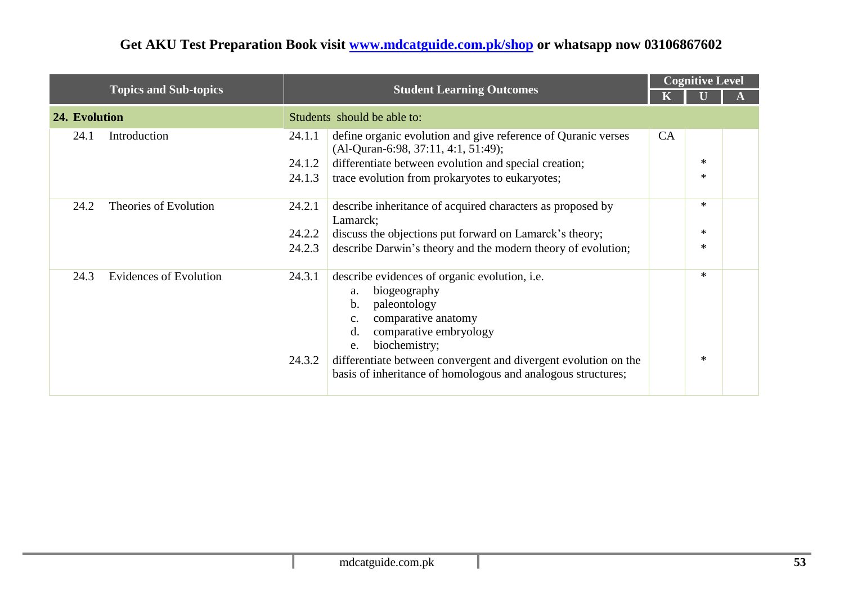|                                       |        |                                                                                                                                                                                                  |           | <b>Cognitive Level</b> |  |  |
|---------------------------------------|--------|--------------------------------------------------------------------------------------------------------------------------------------------------------------------------------------------------|-----------|------------------------|--|--|
| <b>Topics and Sub-topics</b>          |        | <b>Student Learning Outcomes</b>                                                                                                                                                                 |           |                        |  |  |
| 24. Evolution                         |        | Students should be able to:                                                                                                                                                                      |           |                        |  |  |
| Introduction<br>24.1                  | 24.1.1 | define organic evolution and give reference of Quranic verses<br>$(Al$ -Quran-6:98, 37:11, 4:1, 51:49);                                                                                          | <b>CA</b> |                        |  |  |
|                                       | 24.1.2 | differentiate between evolution and special creation;                                                                                                                                            |           | $\ast$                 |  |  |
|                                       | 24.1.3 | trace evolution from prokaryotes to eukaryotes;                                                                                                                                                  |           | $\ast$                 |  |  |
| Theories of Evolution<br>24.2         | 24.2.1 | describe inheritance of acquired characters as proposed by<br>Lamarck;                                                                                                                           |           | $\ast$                 |  |  |
|                                       | 24.2.2 | discuss the objections put forward on Lamarck's theory;                                                                                                                                          |           | $\ast$                 |  |  |
|                                       | 24.2.3 | describe Darwin's theory and the modern theory of evolution;                                                                                                                                     |           | $\ast$                 |  |  |
| 24.3<br><b>Evidences of Evolution</b> | 24.3.1 | describe evidences of organic evolution, <i>i.e.</i><br>biogeography<br>a.<br>paleontology<br>b.<br>comparative anatomy<br>$\mathbf{C}$ .<br>comparative embryology<br>d.<br>biochemistry;<br>e. |           | $\ast$                 |  |  |
|                                       | 24.3.2 | differentiate between convergent and divergent evolution on the<br>basis of inheritance of homologous and analogous structures;                                                                  |           | $\ast$                 |  |  |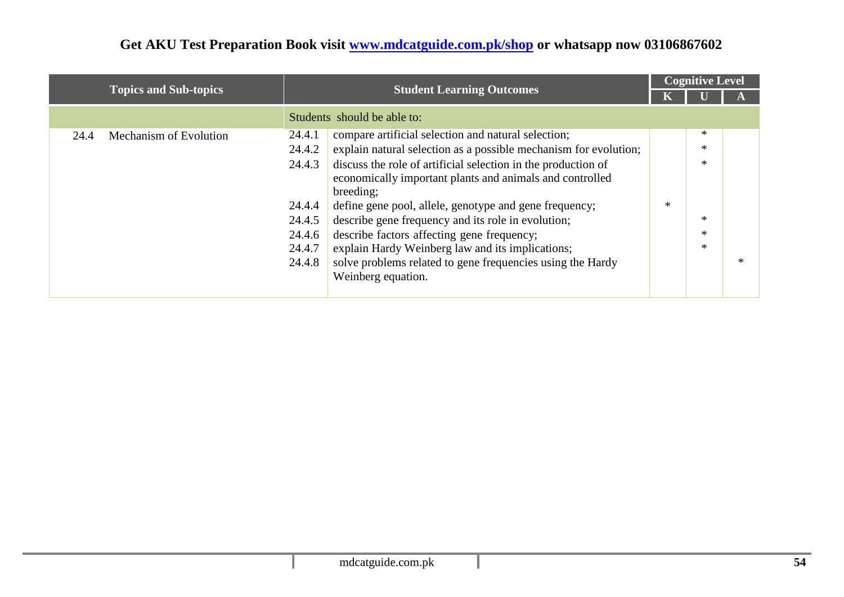|                                |                                                                            |        | <b>Cognitive Level</b> |        |  |
|--------------------------------|----------------------------------------------------------------------------|--------|------------------------|--------|--|
| <b>Topics and Sub-topics</b>   | <b>Student Learning Outcomes</b>                                           |        |                        |        |  |
|                                | Students should be able to:                                                |        |                        |        |  |
| Mechanism of Evolution<br>24.4 | compare artificial selection and natural selection;<br>24.4.1              |        | $\ast$                 |        |  |
|                                | explain natural selection as a possible mechanism for evolution;<br>24.4.2 |        | $\ast$                 |        |  |
|                                | discuss the role of artificial selection in the production of<br>24.4.3    |        | $\ast$                 |        |  |
|                                | economically important plants and animals and controlled                   |        |                        |        |  |
|                                | breeding;                                                                  |        |                        |        |  |
|                                | define gene pool, allele, genotype and gene frequency;<br>24.4.4           | $\ast$ |                        |        |  |
|                                | describe gene frequency and its role in evolution;<br>24.4.5               |        | $\ast$                 |        |  |
|                                | describe factors affecting gene frequency;<br>24.4.6                       |        | $*$                    |        |  |
|                                | explain Hardy Weinberg law and its implications;<br>24.4.7                 |        | $*$                    |        |  |
|                                | solve problems related to gene frequencies using the Hardy<br>24.4.8       |        |                        | $\ast$ |  |
|                                | Weinberg equation.                                                         |        |                        |        |  |
|                                |                                                                            |        |                        |        |  |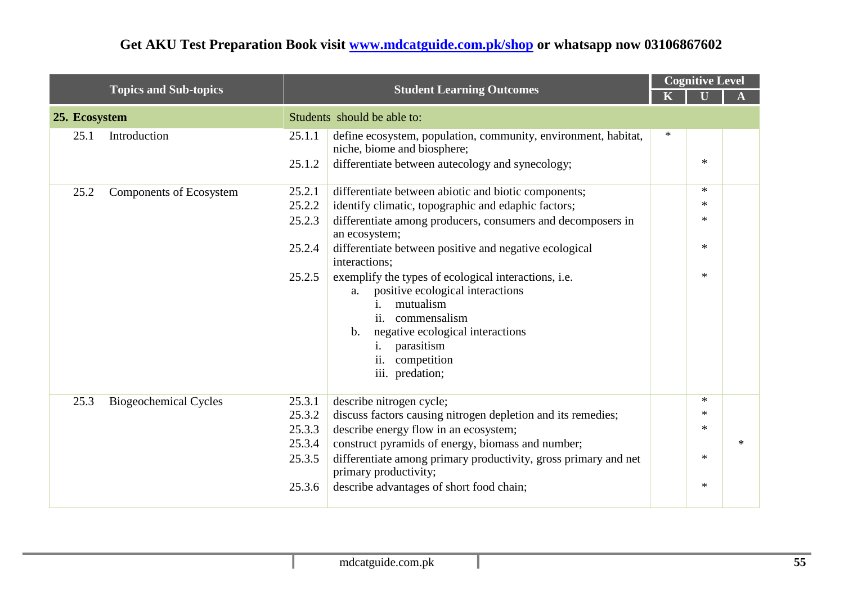|               |                              | <b>Student Learning Outcomes</b>                         |                                                                                                                                                                                                                                                                                                                                | <b>Cognitive Level</b> |                                                |        |  |
|---------------|------------------------------|----------------------------------------------------------|--------------------------------------------------------------------------------------------------------------------------------------------------------------------------------------------------------------------------------------------------------------------------------------------------------------------------------|------------------------|------------------------------------------------|--------|--|
|               | <b>Topics and Sub-topics</b> |                                                          |                                                                                                                                                                                                                                                                                                                                |                        |                                                |        |  |
| 25. Ecosystem |                              |                                                          | Students should be able to:                                                                                                                                                                                                                                                                                                    |                        |                                                |        |  |
| 25.1          | Introduction                 | 25.1.1                                                   | define ecosystem, population, community, environment, habitat,<br>niche, biome and biosphere;                                                                                                                                                                                                                                  | $\ast$                 |                                                |        |  |
|               |                              | 25.1.2                                                   | differentiate between autecology and synecology;                                                                                                                                                                                                                                                                               |                        | $\ast$                                         |        |  |
| 25.2          | Components of Ecosystem      | 25.2.1                                                   | differentiate between abiotic and biotic components;                                                                                                                                                                                                                                                                           |                        | $\ast$                                         |        |  |
|               |                              | 25.2.2                                                   | identify climatic, topographic and edaphic factors;                                                                                                                                                                                                                                                                            |                        | $\ast$                                         |        |  |
|               |                              | 25.2.3                                                   | differentiate among producers, consumers and decomposers in<br>an ecosystem;                                                                                                                                                                                                                                                   |                        | $\ast$                                         |        |  |
|               |                              | 25.2.4                                                   | differentiate between positive and negative ecological<br>interactions;                                                                                                                                                                                                                                                        |                        | $\ast$                                         |        |  |
|               |                              | 25.2.5                                                   | exemplify the types of ecological interactions, i.e.<br>positive ecological interactions<br>a.<br>mutualism<br>1.<br>ii.<br>commensalism<br>negative ecological interactions<br>$\mathbf b$ .<br>parasitism<br>İ.<br>competition<br>$\overline{11}$ .<br>iii. predation;                                                       |                        | $\ast$                                         |        |  |
| 25.3          | <b>Biogeochemical Cycles</b> | 25.3.1<br>25.3.2<br>25.3.3<br>25.3.4<br>25.3.5<br>25.3.6 | describe nitrogen cycle;<br>discuss factors causing nitrogen depletion and its remedies;<br>describe energy flow in an ecosystem;<br>construct pyramids of energy, biomass and number;<br>differentiate among primary productivity, gross primary and net<br>primary productivity;<br>describe advantages of short food chain; |                        | $\ast$<br>$\ast$<br>$\ast$<br>$\ast$<br>$\ast$ | $\ast$ |  |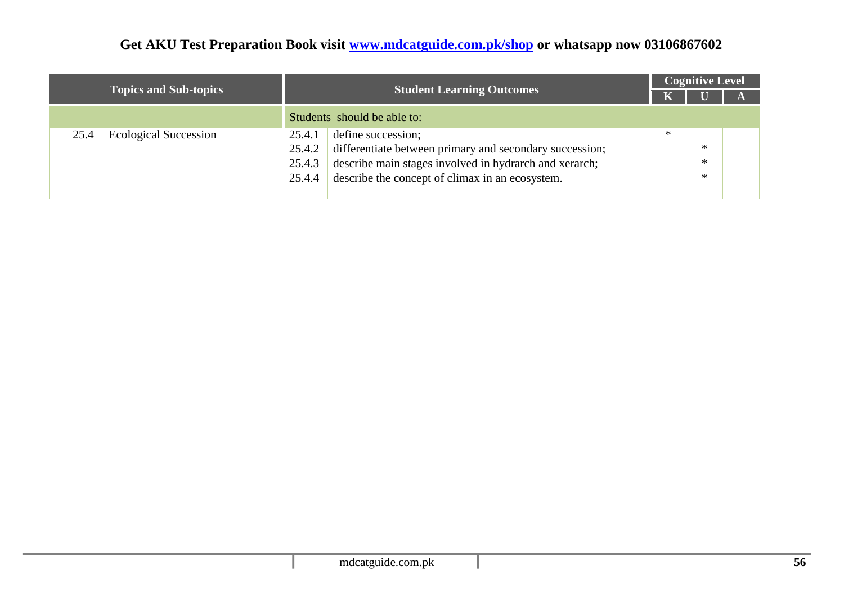|                                      |                                                                                                                                                                                                                                    |        | <b>Cognitive Level</b> |  |  |  |  |
|--------------------------------------|------------------------------------------------------------------------------------------------------------------------------------------------------------------------------------------------------------------------------------|--------|------------------------|--|--|--|--|
| <b>Topics and Sub-topics</b>         | <b>Student Learning Outcomes</b>                                                                                                                                                                                                   |        |                        |  |  |  |  |
|                                      | Students should be able to:                                                                                                                                                                                                        |        |                        |  |  |  |  |
| <b>Ecological Succession</b><br>25.4 | define succession;<br>25.4.1<br>differentiate between primary and secondary succession;<br>25.4.2<br>describe main stages involved in hydrarch and xerarch;<br>25.4.3<br>describe the concept of climax in an ecosystem.<br>25.4.4 | $\ast$ | ∗<br>∗<br>∗            |  |  |  |  |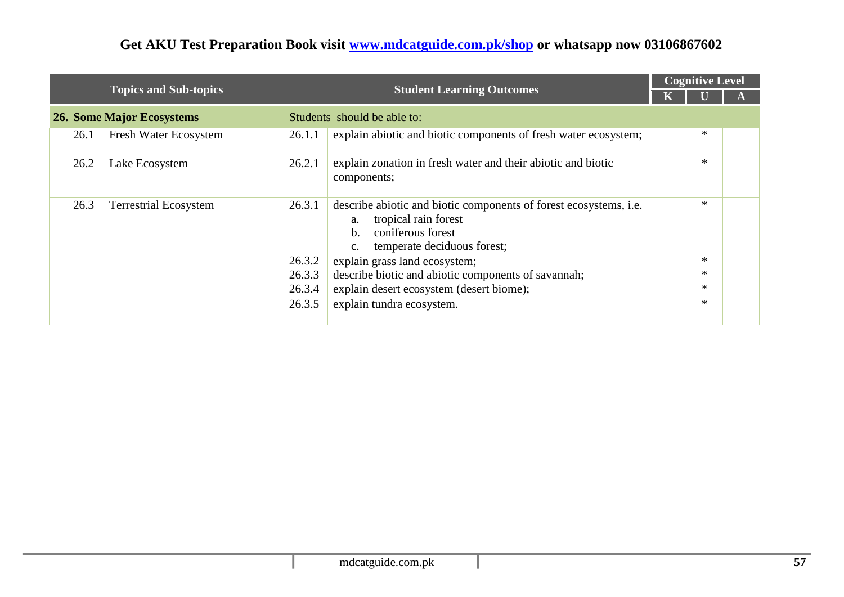|      |                                  |                                                |                                                                                                                                                                                                                                                                                                                                                    |  | <b>Cognitive Level</b>                    |  |  |  |
|------|----------------------------------|------------------------------------------------|----------------------------------------------------------------------------------------------------------------------------------------------------------------------------------------------------------------------------------------------------------------------------------------------------------------------------------------------------|--|-------------------------------------------|--|--|--|
|      | <b>Topics and Sub-topics</b>     |                                                | <b>Student Learning Outcomes</b>                                                                                                                                                                                                                                                                                                                   |  |                                           |  |  |  |
|      | <b>26. Some Major Ecosystems</b> |                                                | Students should be able to:                                                                                                                                                                                                                                                                                                                        |  |                                           |  |  |  |
| 26.1 | Fresh Water Ecosystem            | 26.1.1                                         | explain abiotic and biotic components of fresh water ecosystem;                                                                                                                                                                                                                                                                                    |  | *                                         |  |  |  |
| 26.2 | Lake Ecosystem                   | 26.2.1                                         | explain zonation in fresh water and their abiotic and biotic<br>components;                                                                                                                                                                                                                                                                        |  | $\ast$                                    |  |  |  |
| 26.3 | <b>Terrestrial Ecosystem</b>     | 26.3.1<br>26.3.2<br>26.3.3<br>26.3.4<br>26.3.5 | describe abiotic and biotic components of forest ecosystems, <i>i.e.</i><br>tropical rain forest<br>a.<br>coniferous forest<br>b.<br>temperate deciduous forest;<br>$C_{\bullet}$<br>explain grass land ecosystem;<br>describe biotic and abiotic components of savannah;<br>explain desert ecosystem (desert biome);<br>explain tundra ecosystem. |  | $\ast$<br>$\ast$<br>*<br>$\ast$<br>$\ast$ |  |  |  |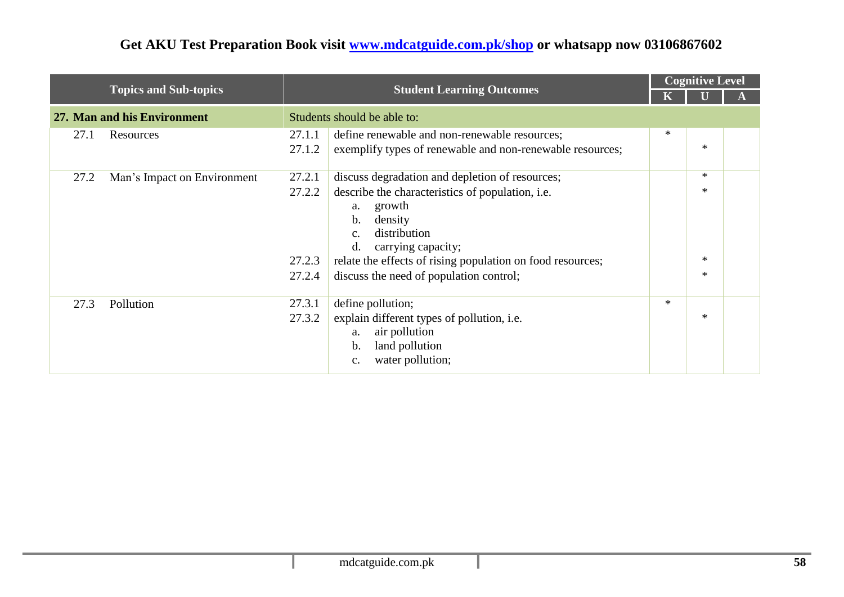|      |                              |                                      |                                                                                                                                                                                                                                                                                                                   |        | <b>Cognitive Level</b>       |  |  |
|------|------------------------------|--------------------------------------|-------------------------------------------------------------------------------------------------------------------------------------------------------------------------------------------------------------------------------------------------------------------------------------------------------------------|--------|------------------------------|--|--|
|      | <b>Topics and Sub-topics</b> |                                      | <b>Student Learning Outcomes</b>                                                                                                                                                                                                                                                                                  |        |                              |  |  |
|      | 27. Man and his Environment  |                                      | Students should be able to:                                                                                                                                                                                                                                                                                       |        |                              |  |  |
| 27.1 | Resources                    | 27.1.1<br>27.1.2                     | define renewable and non-renewable resources;<br>exemplify types of renewable and non-renewable resources;                                                                                                                                                                                                        | $\ast$ | $\ast$                       |  |  |
| 27.2 | Man's Impact on Environment  | 27.2.1<br>27.2.2<br>27.2.3<br>27.2.4 | discuss degradation and depletion of resources;<br>describe the characteristics of population, <i>i.e.</i><br>growth<br>a.<br>density<br>$\mathbf b$ .<br>distribution<br>c.<br>d.<br>carrying capacity;<br>relate the effects of rising population on food resources;<br>discuss the need of population control; |        | $*$<br>$\ast$<br>*<br>$\ast$ |  |  |
| 27.3 | Pollution                    | 27.3.1<br>27.3.2                     | define pollution;<br>explain different types of pollution, i.e.<br>air pollution<br>a.<br>land pollution<br>b.<br>water pollution;<br>c.                                                                                                                                                                          | $\ast$ | $\ast$                       |  |  |